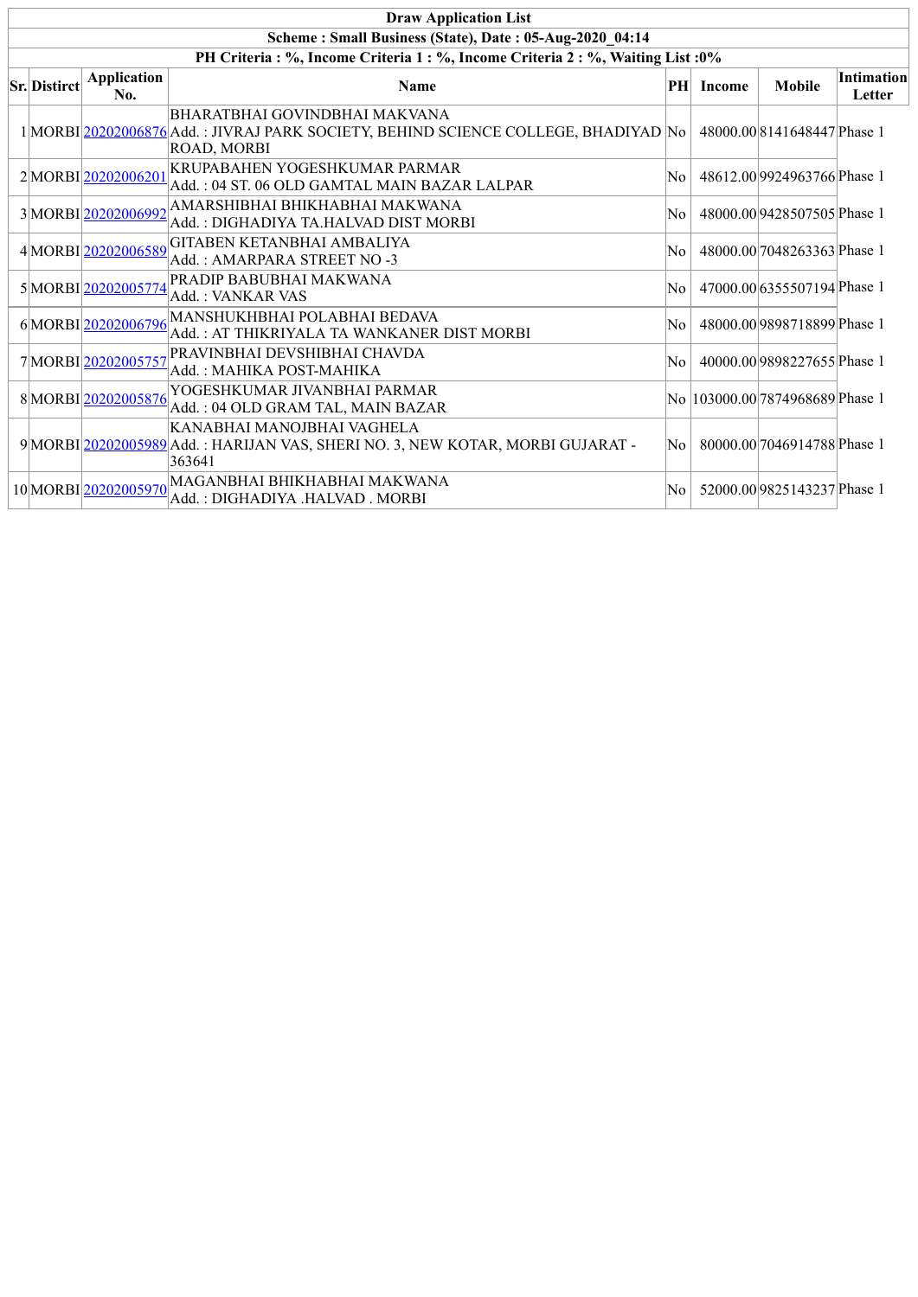|                                                                                  |                           | <b>Draw Application List</b>                                                                                                       |     |               |                                 |                             |  |  |  |
|----------------------------------------------------------------------------------|---------------------------|------------------------------------------------------------------------------------------------------------------------------------|-----|---------------|---------------------------------|-----------------------------|--|--|--|
| Scheme: Small Business (State), Date: 05-Aug-2020 04:14                          |                           |                                                                                                                                    |     |               |                                 |                             |  |  |  |
| PH Criteria : %, Income Criteria 1 : %, Income Criteria 2 : %, Waiting List : 0% |                           |                                                                                                                                    |     |               |                                 |                             |  |  |  |
| <b>Sr.</b> Distirct                                                              | <b>Application</b><br>No. | <b>Name</b>                                                                                                                        | PH  | <b>Income</b> | <b>Mobile</b>                   | <b>Intimation</b><br>Letter |  |  |  |
|                                                                                  |                           | BHARATBHAI GOVINDBHAI MAKVANA<br>1 MORBI 20202006876 Add.: JIVRAJ PARK SOCIETY, BEHIND SCIENCE COLLEGE, BHADIYAD No<br>ROAD, MORBI |     |               | 48000.00 8141648447 Phase 1     |                             |  |  |  |
|                                                                                  | 2MORBI20202006201         | KRUPABAHEN YOGESHKUMAR PARMAR<br>Add. : 04 ST. 06 OLD GAMTAL MAIN BAZAR LALPAR                                                     | No. |               | 48612.00 9924963766 Phase 1     |                             |  |  |  |
|                                                                                  | 3 MORBI20202006992        | AMARSHIBHAI BHIKHABHAI MAKWANA<br>Add. : DIGHADIYA TA.HALVAD DIST MORBI                                                            | No  |               | 48000.00 9428507505 Phase 1     |                             |  |  |  |
|                                                                                  | 4MORBI20202006589         | GITABEN KETANBHAI AMBALIYA<br>Add.: AMARPARA STREET NO -3                                                                          | No. |               | 48000.00 7048263363 Phase 1     |                             |  |  |  |
|                                                                                  | 5MORBI20202005774         | PRADIP BABUBHAI MAKWANA<br>Add.: VANKAR VAS                                                                                        | No  |               | 47000.00 6355507194 Phase 1     |                             |  |  |  |
|                                                                                  | 6MORBI20202006796         | MANSHUKHBHAI POLABHAI BEDAVA<br>Add. : AT THIKRIYALA TA WANKANER DIST MORBI                                                        | No  |               | 48000.00 9898718899 Phase 1     |                             |  |  |  |
|                                                                                  | 7MORBI20202005757         | PRAVINBHAI DEVSHIBHAI CHAVDA<br>Add.: MAHIKA POST-MAHIKA                                                                           | No  |               | 40000.00 9898227655 Phase 1     |                             |  |  |  |
|                                                                                  | 8MORBI20202005876         | YOGESHKUMAR JIVANBHAI PARMAR<br>Add.: 04 OLD GRAM TAL, MAIN BAZAR                                                                  |     |               | No 103000.00 7874968689 Phase 1 |                             |  |  |  |
|                                                                                  |                           | KANABHAI MANOJBHAI VAGHELA<br>9 MORBI 20202005989 Add.: HARIJAN VAS, SHERI NO. 3, NEW KOTAR, MORBI GUJARAT -<br>363641             | No. |               | 80000.00 7046914788 Phase 1     |                             |  |  |  |
|                                                                                  | 10 MORBI 20202005970      | MAGANBHAI BHIKHABHAI MAKWANA<br>Add. : DIGHADIYA .HALVAD . MORBI                                                                   | No  |               | 52000.00 9825143237 Phase 1     |                             |  |  |  |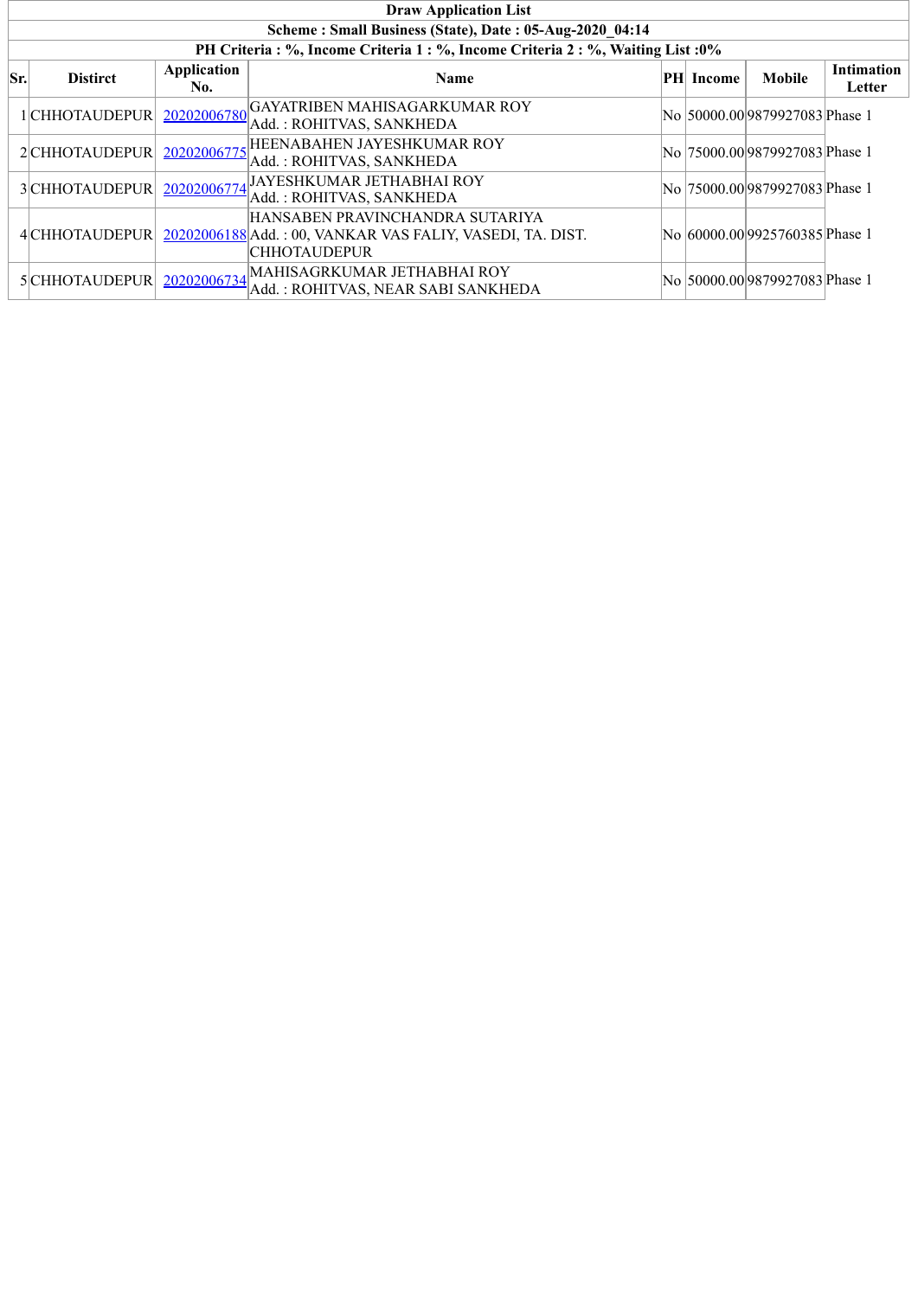|     | <b>Draw Application List</b>                            |                    |                                                                                                                                    |  |                  |                                 |                             |  |  |  |  |
|-----|---------------------------------------------------------|--------------------|------------------------------------------------------------------------------------------------------------------------------------|--|------------------|---------------------------------|-----------------------------|--|--|--|--|
|     | Scheme: Small Business (State), Date: 05-Aug-2020 04:14 |                    |                                                                                                                                    |  |                  |                                 |                             |  |  |  |  |
|     |                                                         |                    | PH Criteria : %, Income Criteria 1 : %, Income Criteria 2 : %, Waiting List : 0%                                                   |  |                  |                                 |                             |  |  |  |  |
| Sr. | <b>Distirct</b>                                         | Application<br>No. | <b>Name</b>                                                                                                                        |  | <b>PH</b> Income | Mobile                          | <b>Intimation</b><br>Letter |  |  |  |  |
|     | l CHHOTAUDEPUR                                          | 20202006780        | GAYATRIBEN MAHISAGARKUMAR ROY<br>Add.: ROHITVAS, SANKHEDA                                                                          |  |                  | No  50000.00 9879927083 Phase 1 |                             |  |  |  |  |
|     | 2 CHHOTAUDEPUR                                          | 20202006775        | HEENABAHEN JAYESHKUMAR ROY<br>Add.: ROHITVAS, SANKHEDA                                                                             |  |                  | No 75000.00 9879927083 Phase 1  |                             |  |  |  |  |
|     | 3 CHHOTAUDEPUR                                          | 20202006774        | JAYESHKUMAR JETHABHAI ROY<br>Add.: ROHITVAS, SANKHEDA                                                                              |  |                  | No 75000.00 9879927083 Phase 1  |                             |  |  |  |  |
|     |                                                         |                    | HANSABEN PRAVINCHANDRA SUTARIYA<br>4 CHHOTAUDEPUR 20202006188 Add.: 00, VANKAR VAS FALIY, VASEDI, TA. DIST.<br><b>CHHOTAUDEPUR</b> |  |                  | No 60000.00 9925760385 Phase 1  |                             |  |  |  |  |
|     | 5CHHOTAUDEPUR                                           | 20202006734        | MAHISAGRKUMAR JETHABHAI ROY<br>Add.: ROHITVAS, NEAR SABI SANKHEDA                                                                  |  |                  | No  50000.00 9879927083 Phase 1 |                             |  |  |  |  |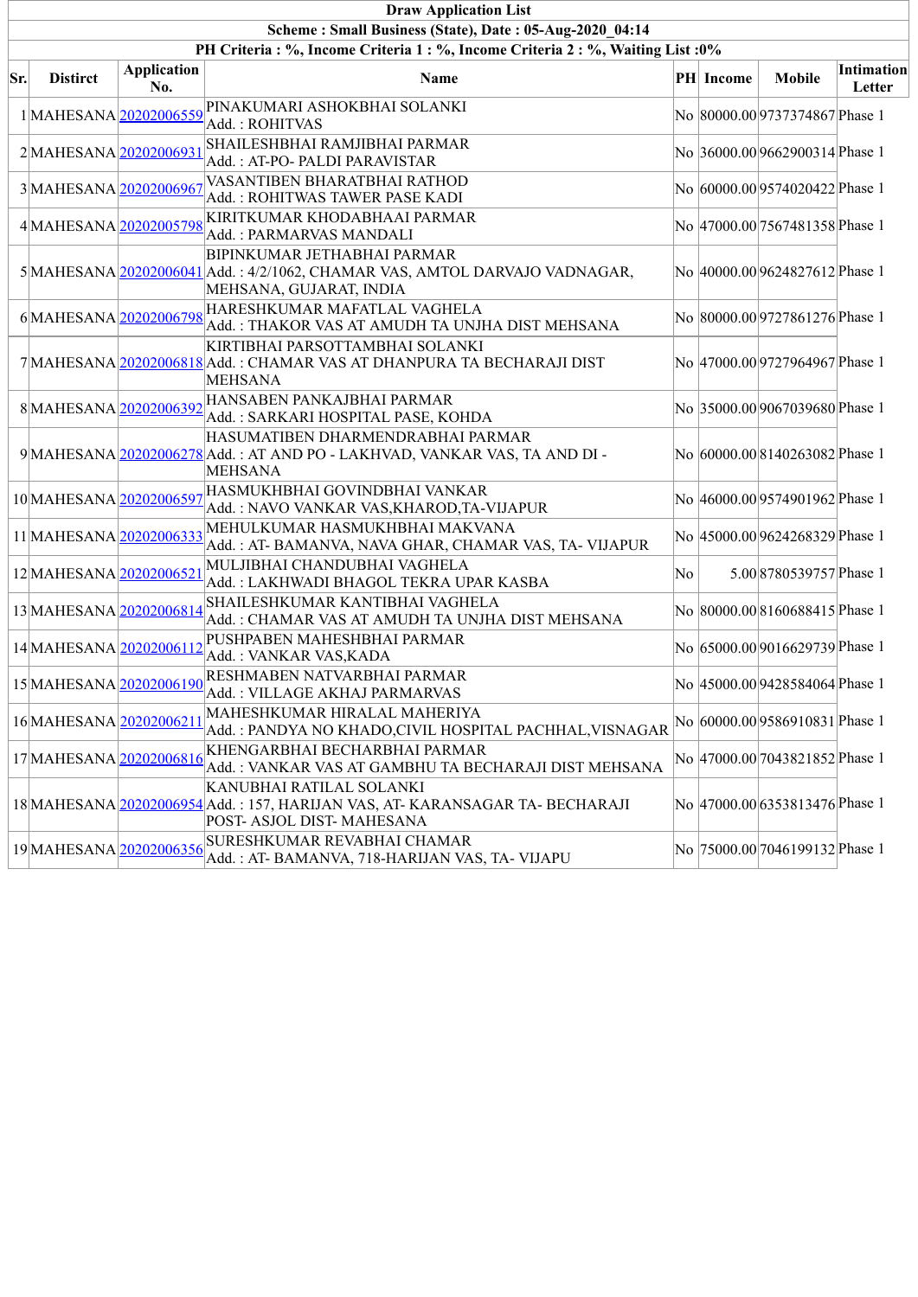|     | <b>Draw Application List</b>                                                     |                           |                                                                                                                                                      |    |                  |                                 |                      |  |  |  |  |  |
|-----|----------------------------------------------------------------------------------|---------------------------|------------------------------------------------------------------------------------------------------------------------------------------------------|----|------------------|---------------------------------|----------------------|--|--|--|--|--|
|     | Scheme: Small Business (State), Date: 05-Aug-2020 04:14                          |                           |                                                                                                                                                      |    |                  |                                 |                      |  |  |  |  |  |
|     | PH Criteria : %, Income Criteria 1 : %, Income Criteria 2 : %, Waiting List : 0% |                           |                                                                                                                                                      |    |                  |                                 |                      |  |  |  |  |  |
| Sr. | <b>Distirct</b>                                                                  | <b>Application</b><br>No. | Name                                                                                                                                                 |    | <b>PH</b> Income | <b>Mobile</b>                   | Intimation<br>Letter |  |  |  |  |  |
|     | 1MAHESANA20202006559                                                             |                           | PINAKUMARI ASHOKBHAI SOLANKI<br>Add.: ROHITVAS                                                                                                       |    |                  | No 80000.00 9737374867 Phase 1  |                      |  |  |  |  |  |
|     | 2MAHESANA 20202006931                                                            |                           | SHAILESHBHAI RAMJIBHAI PARMAR<br>Add.: AT-PO- PALDI PARAVISTAR                                                                                       |    |                  | No 36000.00 9662900314 Phase 1  |                      |  |  |  |  |  |
|     | 3MAHESANA 20202006967                                                            |                           | VASANTIBEN BHARATBHAI RATHOD<br>Add.: ROHITWAS TAWER PASE KADI                                                                                       |    |                  | No 60000.00 9574020422 Phase 1  |                      |  |  |  |  |  |
|     | 4MAHESANA 20202005798                                                            |                           | KIRITKUMAR KHODABHAAI PARMAR<br>Add.: PARMARVAS MANDALI                                                                                              |    |                  | No 47000.00 7567481358 Phase 1  |                      |  |  |  |  |  |
|     |                                                                                  |                           | <b>BIPINKUMAR JETHABHAI PARMAR</b><br>5 MAHESANA 20202006041 Add.: 4/2/1062, CHAMAR VAS, AMTOL DARVAJO VADNAGAR,<br>MEHSANA, GUJARAT, INDIA          |    |                  | No 40000.00 9624827612 Phase 1  |                      |  |  |  |  |  |
|     | 6MAHESANA 20202006798                                                            |                           | HARESHKUMAR MAFATLAL VAGHELA<br>Add.: THAKOR VAS AT AMUDH TA UNJHA DIST MEHSANA                                                                      |    |                  | No 80000.00 9727861276 Phase 1  |                      |  |  |  |  |  |
|     |                                                                                  |                           | KIRTIBHAI PARSOTTAMBHAI SOLANKI<br>7 MAHESANA 20202006818 Add.: CHAMAR VAS AT DHANPURA TA BECHARAJI DIST<br><b>MEHSANA</b>                           |    |                  | No 47000.00 9727964967 Phase 1  |                      |  |  |  |  |  |
|     | 8MAHESANA20202006392                                                             |                           | HANSABEN PANKAJBHAI PARMAR<br>Add.: SARKARI HOSPITAL PASE, KOHDA                                                                                     |    |                  | No 35000.00 9067039680 Phase 1  |                      |  |  |  |  |  |
|     |                                                                                  |                           | HASUMATIBEN DHARMENDRABHAI PARMAR<br>9 MAHESANA 20202006278 Add.: AT AND PO - LAKHVAD, VANKAR VAS, TA AND DI -<br><b>MEHSANA</b>                     |    |                  | No 60000.00 8140263082 Phase 1  |                      |  |  |  |  |  |
|     | 10 MAHESANA 20202006597                                                          |                           | HASMUKHBHAI GOVINDBHAI VANKAR<br>Add.: NAVO VANKAR VAS, KHAROD, TA-VIJAPUR                                                                           |    |                  | No 46000.00 9574901962 Phase 1  |                      |  |  |  |  |  |
|     | 11 MAHESANA 20202006333                                                          |                           | MEHULKUMAR HASMUKHBHAI MAKVANA<br>Add.: AT-BAMANVA, NAVA GHAR, CHAMAR VAS, TA- VIJAPUR                                                               |    |                  | No 45000.00 9624268329 Phase 1  |                      |  |  |  |  |  |
|     | 12MAHESANA 20202006521                                                           |                           | MULJIBHAI CHANDUBHAI VAGHELA<br>Add.: LAKHWADI BHAGOL TEKRA UPAR KASBA                                                                               | No |                  | 5.00 8780539757 Phase 1         |                      |  |  |  |  |  |
|     |                                                                                  |                           | 13 MAHESANA 20202006814 SHAILESHKUMAR KANTIBHAI VAGHELA<br>Add.: CHAMAR VAS AT AMUDH TA UNJHA DIST MEHSANA                                           |    |                  | No 80000.008160688415 Phase 1   |                      |  |  |  |  |  |
|     | 14 MAHESANA 20202006112                                                          |                           | PUSHPABEN MAHESHBHAI PARMAR<br>Add.: VANKAR VAS, KADA                                                                                                |    |                  | No 65000.00 9016629739 Phase 1  |                      |  |  |  |  |  |
|     | 15 MAHESANA 20202006190                                                          |                           | RESHMABEN NATVARBHAI PARMAR<br>Add. : VILLAGE AKHAJ PARMARVAS                                                                                        |    |                  | No 45000.00 9428584064 Phase 1  |                      |  |  |  |  |  |
|     | 16 MAHESANA 20202006211                                                          |                           | MAHESHKUMAR HIRALAL MAHERIYA<br>Add.: PANDYA NO KHADO,CIVIL HOSPITAL PACHHAL, VISNAGAR                                                               |    |                  | No 60000.00 9586910831 Phase 1  |                      |  |  |  |  |  |
|     | 17 MAHESANA 20202006816                                                          |                           | KHENGARBHAI BECHARBHAI PARMAR<br>Add.: VANKAR VAS AT GAMBHU TA BECHARAJI DIST MEHSANA                                                                |    |                  | No  47000.00 7043821852 Phase 1 |                      |  |  |  |  |  |
|     |                                                                                  |                           | KANUBHAI RATILAL SOLANKI<br>18 MAHESANA  <mark>20202006954 </mark> Add. : 157, HARIJAN VAS, AT- KARANSAGAR TA- BECHARAJI<br>POST-ASJOL DIST-MAHESANA |    |                  | No  47000.00 6353813476 Phase 1 |                      |  |  |  |  |  |
|     | 19 MAHESANA 20202006356                                                          |                           | SURESHKUMAR REVABHAI CHAMAR<br>Add.: AT-BAMANVA, 718-HARIJAN VAS, TA- VIJAPU                                                                         |    |                  | No  75000.00 7046199132 Phase 1 |                      |  |  |  |  |  |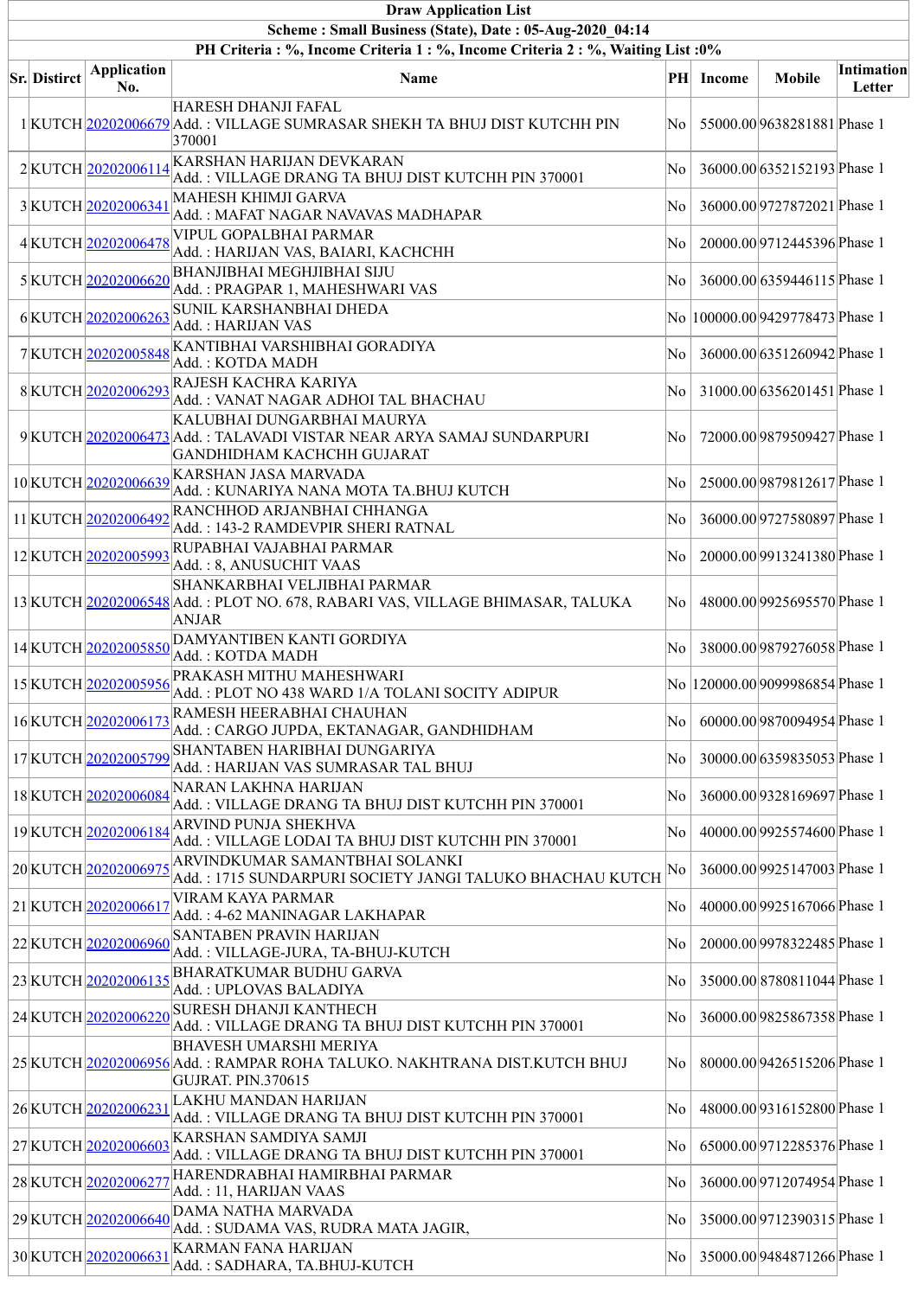| <b>Draw Application List</b>                                                                                                                |                           |                                                                                                                                  |     |           |                                    |                             |  |  |  |  |  |  |
|---------------------------------------------------------------------------------------------------------------------------------------------|---------------------------|----------------------------------------------------------------------------------------------------------------------------------|-----|-----------|------------------------------------|-----------------------------|--|--|--|--|--|--|
| Scheme: Small Business (State), Date: 05-Aug-2020 04:14<br>PH Criteria : %, Income Criteria 1 : %, Income Criteria 2 : %, Waiting List : 0% |                           |                                                                                                                                  |     |           |                                    |                             |  |  |  |  |  |  |
| <b>Sr. Distirct</b>                                                                                                                         | <b>Application</b><br>No. | <b>Name</b>                                                                                                                      |     | PH Income | <b>Mobile</b>                      | <b>Intimation</b><br>Letter |  |  |  |  |  |  |
|                                                                                                                                             |                           | HARESH DHANJI FAFAL<br>1 KUTCH 20202006679 Add.: VILLAGE SUMRASAR SHEKH TA BHUJ DIST KUTCHH PIN<br>370001                        | No. |           | 55000.00 9638281881 Phase 1        |                             |  |  |  |  |  |  |
|                                                                                                                                             | 2KUTCH 20202006114        | KARSHAN HARIJAN DEVKARAN<br>Add.: VILLAGE DRANG TA BHUJ DIST KUTCHH PIN 370001                                                   | No  |           | 36000.00 6352152193 Phase 1        |                             |  |  |  |  |  |  |
|                                                                                                                                             | 3KUTCH 20202006341        | MAHESH KHIMJI GARVA<br>Add.: MAFAT NAGAR NAVAVAS MADHAPAR                                                                        | No  |           | 36000.00 9727872021 Phase 1        |                             |  |  |  |  |  |  |
|                                                                                                                                             | 4KUTCH 20202006478        | VIPUL GOPALBHAI PARMAR<br>Add.: HARIJAN VAS, BAIARI, KACHCHH                                                                     | No  |           | 20000.00 9712445396 Phase 1        |                             |  |  |  |  |  |  |
|                                                                                                                                             | 5KUTCH20202006620         | <b>BHANJIBHAI MEGHJIBHAI SIJU</b><br>Add.: PRAGPAR 1, MAHESHWARI VAS                                                             | No  |           | 36000.00 6359446115 Phase 1        |                             |  |  |  |  |  |  |
|                                                                                                                                             | 6KUTCH 20202006263        | SUNIL KARSHANBHAI DHEDA<br>Add.: HARIJAN VAS                                                                                     |     |           | No  100000.00 9429778473 Phase 1   |                             |  |  |  |  |  |  |
|                                                                                                                                             | 7KUTCH20202005848         | KANTIBHAI VARSHIBHAI GORADIYA<br>Add.: KOTDA MADH                                                                                | No  |           | 36000.00 6351260942 Phase 1        |                             |  |  |  |  |  |  |
|                                                                                                                                             | 8KUTCH 20202006293        | RAJESH KACHRA KARIYA<br>Add. : VANAT NAGAR ADHOI TAL BHACHAU                                                                     | No  |           | 31000.00 6356201451 Phase 1        |                             |  |  |  |  |  |  |
|                                                                                                                                             |                           | KALUBHAI DUNGARBHAI MAURYA<br>9 KUTCH 20202006473 Add.: TALAVADI VISTAR NEAR ARYA SAMAJ SUNDARPURI<br>GANDHIDHAM KACHCHH GUJARAT | No  |           | 72000.00 9879509427 Phase 1        |                             |  |  |  |  |  |  |
|                                                                                                                                             | 10KUTCH20202006639        | KARSHAN JASA MARVADA<br>Add.: KUNARIYA NANA MOTA TA.BHUJ KUTCH                                                                   | No  |           | 25000.00 9879812617 Phase 1        |                             |  |  |  |  |  |  |
|                                                                                                                                             | 11 KUTCH 20202006492      | RANCHHOD ARJANBHAI CHHANGA<br>Add.: 143-2 RAMDEVPIR SHERI RATNAL                                                                 | No  |           | 36000.00 9727580897 Phase 1        |                             |  |  |  |  |  |  |
|                                                                                                                                             | 12KUTCH20202005993        | RUPABHAI VAJABHAI PARMAR<br>Add.: 8, ANUSUCHIT VAAS                                                                              | No  |           | 20000.00 9913241380 Phase 1        |                             |  |  |  |  |  |  |
|                                                                                                                                             |                           | SHANKARBHAI VELJIBHAI PARMAR<br>13 KUTCH 20202006548 Add.: PLOT NO. 678, RABARI VAS, VILLAGE BHIMASAR, TALUKA<br><b>ANJAR</b>    | No  |           | 48000.00 9925695570 Phase 1        |                             |  |  |  |  |  |  |
|                                                                                                                                             | 14 KUTCH 20202005850      | DAMYANTIBEN KANTI GORDIYA<br>Add.: KOTDA MADH                                                                                    | No  |           | 38000.00 9879276058 Phase 1        |                             |  |  |  |  |  |  |
|                                                                                                                                             | 15 KUTCH 20202005956      | PRAKASH MITHU MAHESHWARI<br>Add.: PLOT NO 438 WARD 1/A TOLANI SOCITY ADIPUR                                                      |     |           | No   120000.00  9099986854 Phase 1 |                             |  |  |  |  |  |  |
|                                                                                                                                             | 16KUTCH 20202006173       | RAMESH HEERABHAI CHAUHAN<br>Add.: CARGO JUPDA, EKTANAGAR, GANDHIDHAM                                                             | No  |           | 60000.00 9870094954 Phase 1        |                             |  |  |  |  |  |  |
|                                                                                                                                             | 17KUTCH20202005799        | SHANTABEN HARIBHAI DUNGARIYA<br>Add.: HARIJAN VAS SUMRASAR TAL BHUJ                                                              | No  |           | 30000.00 6359835053 Phase 1        |                             |  |  |  |  |  |  |
|                                                                                                                                             | 18KUTCH20202006084        | NARAN LAKHNA HARIJAN<br>Add.: VILLAGE DRANG TA BHUJ DIST KUTCHH PIN 370001                                                       | No  |           | 36000.00 9328169697 Phase 1        |                             |  |  |  |  |  |  |
|                                                                                                                                             | 19KUTCH20202006184        | <b>ARVIND PUNJA SHEKHVA</b><br>Add.: VILLAGE LODAI TA BHUJ DIST KUTCHH PIN 370001                                                | No  |           | 40000.00 9925574600 Phase 1        |                             |  |  |  |  |  |  |
|                                                                                                                                             | 20KUTCH 20202006975       | ARVINDKUMAR SAMANTBHAI SOLANKI<br>Add.: 1715 SUNDARPURI SOCIETY JANGI TALUKO BHACHAU KUTCH                                       | No  |           | 36000.00 9925147003 Phase 1        |                             |  |  |  |  |  |  |
|                                                                                                                                             | 21 KUTCH 20202006617      | VIRAM KAYA PARMAR<br>Add. : 4-62 MANINAGAR LAKHAPAR                                                                              | No  |           | 40000.00 9925167066 Phase 1        |                             |  |  |  |  |  |  |
|                                                                                                                                             | 22KUTCH 20202006960       | <b>SANTABEN PRAVIN HARIJAN</b><br>Add.: VILLAGE-JURA, TA-BHUJ-KUTCH                                                              | No  |           | 20000.00 9978322485 Phase 1        |                             |  |  |  |  |  |  |
|                                                                                                                                             | 23KUTCH 20202006135       | <b>BHARATKUMAR BUDHU GARVA</b><br>Add.: UPLOVAS BALADIYA                                                                         | No  |           | 35000.00 8780811044 Phase 1        |                             |  |  |  |  |  |  |
|                                                                                                                                             | 24 KUTCH 20202006220      | <b>SURESH DHANJI KANTHECH</b><br>Add.: VILLAGE DRANG TA BHUJ DIST KUTCHH PIN 370001                                              | No  |           | 36000.00 9825867358 Phase 1        |                             |  |  |  |  |  |  |
|                                                                                                                                             |                           | <b>BHAVESH UMARSHI MERIYA</b><br>25 KUTCH 20202006956 Add.: RAMPAR ROHA TALUKO. NAKHTRANA DIST.KUTCH BHUJ<br>GUJRAT. PIN.370615  | No  |           | 80000.00 9426515206 Phase 1        |                             |  |  |  |  |  |  |
|                                                                                                                                             | 26 KUTCH 20202006231      | LAKHU MANDAN HARIJAN<br>Add.: VILLAGE DRANG TA BHUJ DIST KUTCHH PIN 370001                                                       | No  |           | 48000.00 9316152800 Phase 1        |                             |  |  |  |  |  |  |
|                                                                                                                                             | 27KUTCH 20202006603       | KARSHAN SAMDIYA SAMJI<br>Add. : VILLAGE DRANG TA BHUJ DIST KUTCHH PIN 370001                                                     | No  |           | 65000.00 9712285376 Phase 1        |                             |  |  |  |  |  |  |
|                                                                                                                                             | 28 KUTCH 20202006277      | HARENDRABHAI HAMIRBHAI PARMAR<br>Add.: 11, HARIJAN VAAS                                                                          | No  |           | 36000.00 9712074954 Phase 1        |                             |  |  |  |  |  |  |
|                                                                                                                                             | 29KUTCH20202006640        | DAMA NATHA MARVADA<br>Add.: SUDAMA VAS, RUDRA MATA JAGIR,                                                                        | No  |           | 35000.00 9712390315 Phase 1        |                             |  |  |  |  |  |  |
|                                                                                                                                             | 30 KUTCH 20202006631      | <b>KARMAN FANA HARIJAN</b><br>Add.: SADHARA, TA.BHUJ-KUTCH                                                                       | No  |           | 35000.00 9484871266 Phase 1        |                             |  |  |  |  |  |  |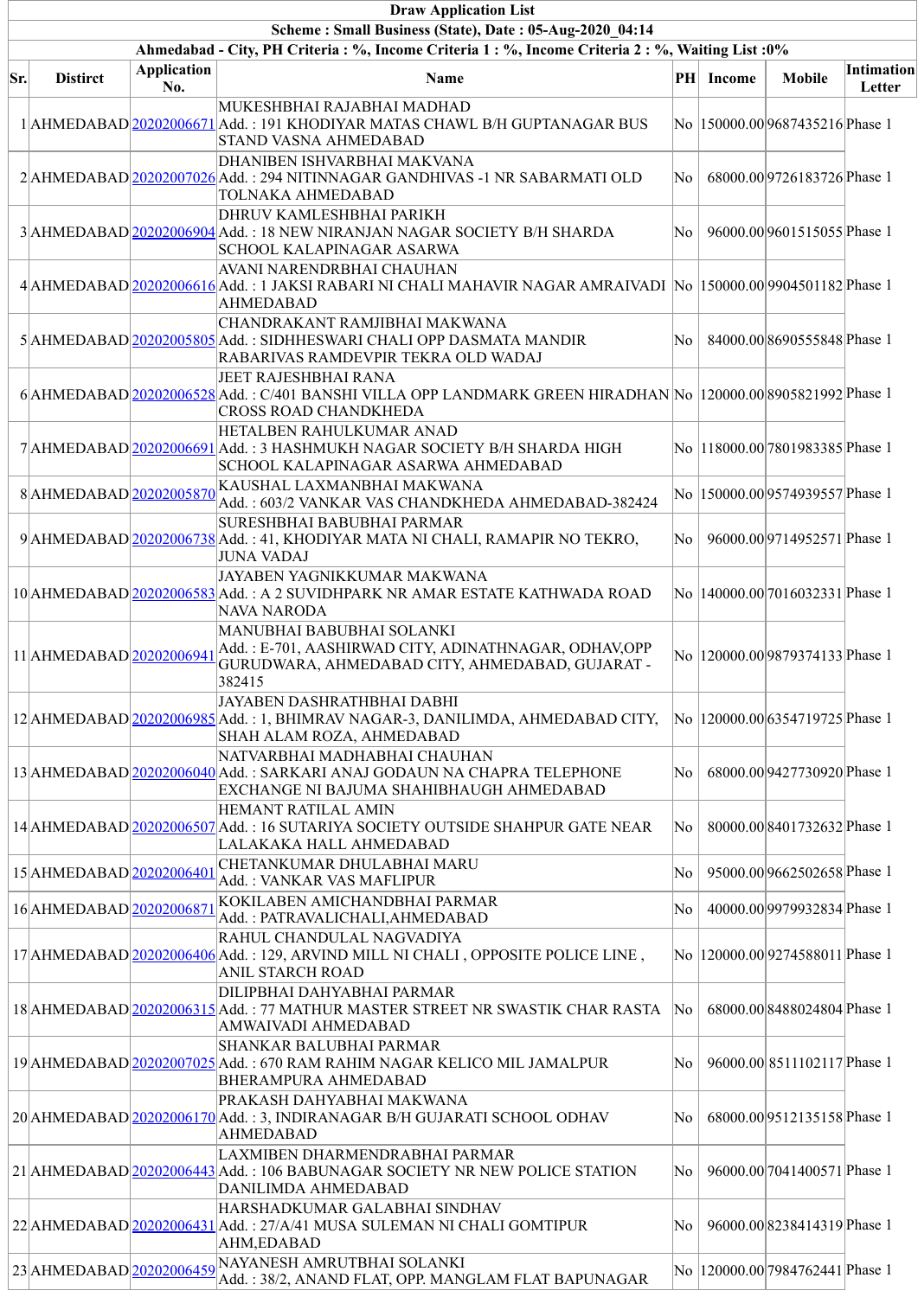|     | <b>Draw Application List</b>                                                                       |                           |                                                                                                                                                                      |    |           |                                  |                             |  |  |  |  |  |
|-----|----------------------------------------------------------------------------------------------------|---------------------------|----------------------------------------------------------------------------------------------------------------------------------------------------------------------|----|-----------|----------------------------------|-----------------------------|--|--|--|--|--|
|     | Scheme: Small Business (State), Date: 05-Aug-2020 04:14                                            |                           |                                                                                                                                                                      |    |           |                                  |                             |  |  |  |  |  |
|     | Ahmedabad - City, PH Criteria : %, Income Criteria 1 : %, Income Criteria 2 : %, Waiting List : 0% |                           |                                                                                                                                                                      |    |           |                                  |                             |  |  |  |  |  |
| Sr. | <b>Distirct</b>                                                                                    | <b>Application</b><br>No. | Name                                                                                                                                                                 |    | PH Income | <b>Mobile</b>                    | <b>Intimation</b><br>Letter |  |  |  |  |  |
|     |                                                                                                    |                           | MUKESHBHAI RAJABHAI MADHAD<br>1 AHMEDABAD 20202006671 Add.: 191 KHODIYAR MATAS CHAWL B/H GUPTANAGAR BUS<br>STAND VASNA AHMEDABAD                                     |    |           | No  150000.00 9687435216 Phase 1 |                             |  |  |  |  |  |
|     |                                                                                                    |                           | DHANIBEN ISHVARBHAI MAKVANA<br>2 AHMEDABAD 20202007026 Add.: 294 NITINNAGAR GANDHIVAS -1 NR SABARMATI OLD<br>TOLNAKA AHMEDABAD                                       | No |           | 68000.00 9726183726 Phase 1      |                             |  |  |  |  |  |
|     |                                                                                                    |                           | DHRUV KAMLESHBHAI PARIKH<br>3 AHMEDABAD 20202006904 Add.: 18 NEW NIRANJAN NAGAR SOCIETY B/H SHARDA<br>SCHOOL KALAPINAGAR ASARWA                                      | No |           | 96000.00 9601515055 Phase 1      |                             |  |  |  |  |  |
|     |                                                                                                    |                           | AVANI NARENDRBHAI CHAUHAN<br>4 AHMEDABAD 20202006616 Add.: 1 JAKSI RABARI NI CHALI MAHAVIR NAGAR AMRAIVADI No  150000.00 9904501182 Phase 1<br><b>AHMEDABAD</b>      |    |           |                                  |                             |  |  |  |  |  |
|     |                                                                                                    |                           | CHANDRAKANT RAMJIBHAI MAKWANA<br>5 AHMEDABAD 20202005805 Add.: SIDHHESWARI CHALI OPP DASMATA MANDIR<br>RABARIVAS RAMDEVPIR TEKRA OLD WADAJ                           | No |           | 84000.008690555848 Phase 1       |                             |  |  |  |  |  |
|     |                                                                                                    |                           | JEET RAJESHBHAI RANA<br>6 AHMEDABAD 20202006528 Add.: C/401 BANSHI VILLA OPP LANDMARK GREEN HIRADHAN No 120000.00 8905821992 Phase 1<br><b>CROSS ROAD CHANDKHEDA</b> |    |           |                                  |                             |  |  |  |  |  |
|     |                                                                                                    |                           | HETALBEN RAHULKUMAR ANAD<br>7 AHMEDABAD 20202006691 Add.: 3 HASHMUKH NAGAR SOCIETY B/H SHARDA HIGH<br>SCHOOL KALAPINAGAR ASARWA AHMEDABAD                            |    |           | No  118000.00 7801983385 Phase 1 |                             |  |  |  |  |  |
|     |                                                                                                    |                           | $8\mbox{$\mid$AHMEDABAD$}\underline{20202005870}\mbox{$\mid$KAUSHAL LAXMANBHAI MAXWANA}$<br>Add.: 603/2 VANKAR VAS CHANDKHEDA AHMEDABAD-382424                       |    |           | No  150000.00 9574939557 Phase 1 |                             |  |  |  |  |  |
|     |                                                                                                    |                           | SURESHBHAI BABUBHAI PARMAR<br>9 AHMEDABAD 20202006738 Add.: 41, KHODIYAR MATA NI CHALI, RAMAPIR NO TEKRO,<br><b>JUNA VADAJ</b>                                       | No |           | 96000.00 9714952571 Phase 1      |                             |  |  |  |  |  |
|     |                                                                                                    |                           | JAYABEN YAGNIKKUMAR MAKWANA<br>10 AHMEDABAD 20202006583 Add.: A 2 SUVIDHPARK NR AMAR ESTATE KATHWADA ROAD<br><b>NAVA NARODA</b>                                      |    |           | No  140000.00 7016032331 Phase 1 |                             |  |  |  |  |  |
|     | 11 AHMEDABAD 20202006941                                                                           |                           | MANUBHAI BABUBHAI SOLANKI<br>Add.: E-701, AASHIRWAD CITY, ADINATHNAGAR, ODHAV,OPP<br>GURUDWARA, AHMEDABAD CITY, AHMEDABAD, GUJARAT -<br>382415                       |    |           | No  120000.00 9879374133 Phase 1 |                             |  |  |  |  |  |
|     |                                                                                                    |                           | JAYABEN DASHRATHBHAI DABHI<br>12 AHMEDABAD 20202006985 Add.: 1, BHIMRAV NAGAR-3, DANILIMDA, AHMEDABAD CITY,<br>SHAH ALAM ROZA, AHMEDABAD                             |    |           | No  120000.00 6354719725 Phase 1 |                             |  |  |  |  |  |
|     |                                                                                                    |                           | NATVARBHAI MADHABHAI CHAUHAN<br>13 AHMEDABAD 20202006040 Add.: SARKARI ANAJ GODAUN NA CHAPRA TELEPHONE<br>EXCHANGE NI BAJUMA SHAHIBHAUGH AHMEDABAD                   | No |           | 68000.00 9427730920 Phase 1      |                             |  |  |  |  |  |
|     |                                                                                                    |                           | <b>HEMANT RATILAL AMIN</b><br>14 AHMEDABAD 20202006507 Add.: 16 SUTARIYA SOCIETY OUTSIDE SHAHPUR GATE NEAR<br>LALAKAKA HALL AHMEDABAD                                | No |           | 80000.00 8401732632 Phase 1      |                             |  |  |  |  |  |
|     | 15 AHMEDABAD 20202006401                                                                           |                           | CHETANKUMAR DHULABHAI MARU<br>Add.: VANKAR VAS MAFLIPUR                                                                                                              | No |           | 95000.00 9662502658 Phase 1      |                             |  |  |  |  |  |
|     | 16 AHMEDABAD 20202006871                                                                           |                           | KOKILABEN AMICHANDBHAI PARMAR<br>Add.: PATRAVALICHALI, AHMEDABAD                                                                                                     | No |           | 40000.00 9979932834 Phase 1      |                             |  |  |  |  |  |
|     |                                                                                                    |                           | RAHUL CHANDULAL NAGVADIYA<br>17 AHMEDABAD 20202006406 Add.: 129, ARVIND MILL NI CHALI, OPPOSITE POLICE LINE,<br>ANIL STARCH ROAD                                     |    |           | No  120000.00 9274588011 Phase 1 |                             |  |  |  |  |  |
|     |                                                                                                    |                           | DILIPBHAI DAHYABHAI PARMAR<br>18 AHMEDABAD 20202006315 Add.: 77 MATHUR MASTER STREET NR SWASTIK CHAR RASTA<br>AMWAIVADI AHMEDABAD                                    | No |           | 68000.008488024804Phase 1        |                             |  |  |  |  |  |
|     |                                                                                                    |                           | <b>SHANKAR BALUBHAI PARMAR</b><br>19 AHMEDABAD 20202007025 Add.: 670 RAM RAHIM NAGAR KELICO MIL JAMALPUR<br><b>BHERAMPURA AHMEDABAD</b>                              | No |           | 96000.00 8511102117 Phase 1      |                             |  |  |  |  |  |
|     |                                                                                                    |                           | PRAKASH DAHYABHAI MAKWANA<br>20 AHMEDABAD 20202006170 Add.: 3, INDIRANAGAR B/H GUJARATI SCHOOL ODHAV<br><b>AHMEDABAD</b>                                             | No |           | 68000.00 9512135158 Phase 1      |                             |  |  |  |  |  |
|     |                                                                                                    |                           | LAXMIBEN DHARMENDRABHAI PARMAR<br>21 AHMEDABAD 20202006443 Add.: 106 BABUNAGAR SOCIETY NR NEW POLICE STATION<br>DANILIMDA AHMEDABAD                                  | No |           | 96000.00 7041400571 Phase 1      |                             |  |  |  |  |  |
|     |                                                                                                    |                           | HARSHADKUMAR GALABHAI SINDHAV<br>22 AHMEDABAD 20202006431 Add.: 27/A/41 MUSA SULEMAN NI CHALI GOMTIPUR<br>AHM, EDABAD                                                | No |           | 96000.00 8238414319 Phase 1      |                             |  |  |  |  |  |
|     |                                                                                                    |                           | 23 AHMEDABAD 202020206459 NAYANESH AMRUTBHAI SOLANKI<br>Add.: 38/2, ANAND FLAT, OPP. MANGLAM FLAT BAPUNAGAR                                                          |    |           | No  120000.00 7984762441 Phase 1 |                             |  |  |  |  |  |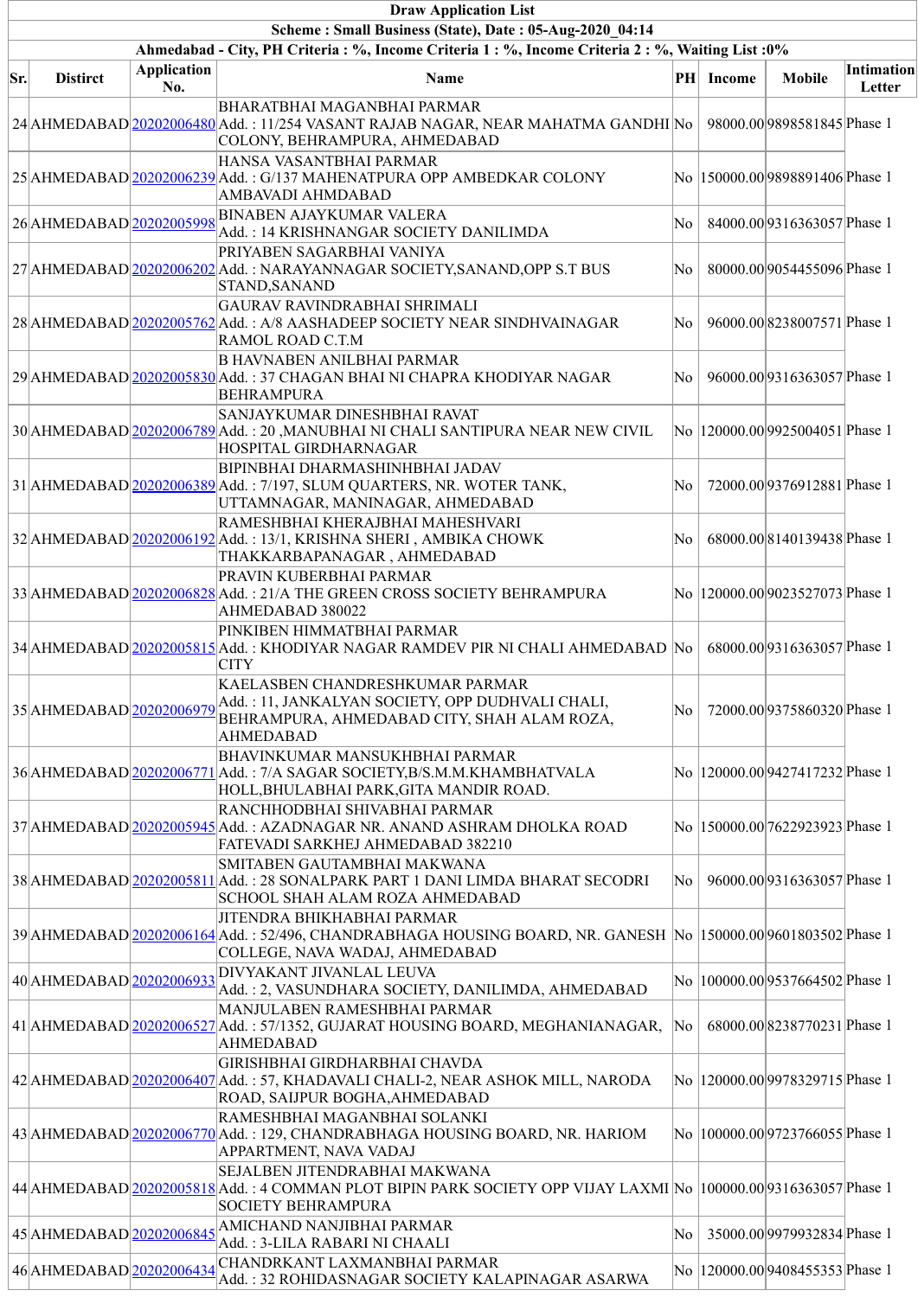|     | <b>Draw Application List</b>                                                                       |                           |                                                                                                                                                                                 |     |           |                                  |                             |  |  |  |  |
|-----|----------------------------------------------------------------------------------------------------|---------------------------|---------------------------------------------------------------------------------------------------------------------------------------------------------------------------------|-----|-----------|----------------------------------|-----------------------------|--|--|--|--|
|     | Scheme: Small Business (State), Date: 05-Aug-2020 04:14                                            |                           |                                                                                                                                                                                 |     |           |                                  |                             |  |  |  |  |
|     | Ahmedabad - City, PH Criteria : %, Income Criteria 1 : %, Income Criteria 2 : %, Waiting List : 0% |                           |                                                                                                                                                                                 |     |           |                                  |                             |  |  |  |  |
| Sr. | <b>Distirct</b>                                                                                    | <b>Application</b><br>No. | <b>Name</b>                                                                                                                                                                     |     | PH Income | <b>Mobile</b>                    | <b>Intimation</b><br>Letter |  |  |  |  |
|     |                                                                                                    |                           | <b>BHARATBHAI MAGANBHAI PARMAR</b><br>24 AHMEDABAD 20202006480 Add.: 11/254 VASANT RAJAB NAGAR, NEAR MAHATMA GANDHI No<br>COLONY, BEHRAMPURA, AHMEDABAD                         |     |           | 98000.00 9898581845 Phase 1      |                             |  |  |  |  |
|     |                                                                                                    |                           | HANSA VASANTBHAI PARMAR<br>25 AHMEDABAD 20202006239 Add.: G/137 MAHENATPURA OPP AMBEDKAR COLONY<br>AMBAVADI AHMDABAD                                                            |     |           | No  150000.00 9898891406 Phase 1 |                             |  |  |  |  |
|     | 26 AHMEDABAD 20202005998                                                                           |                           | <b>BINABEN AJAYKUMAR VALERA</b><br>Add.: 14 KRISHNANGAR SOCIETY DANILIMDA                                                                                                       | No. |           | 84000.00 9316363057 Phase 1      |                             |  |  |  |  |
|     |                                                                                                    |                           | PRIYABEN SAGARBHAI VANIYA<br>27 AHMEDABAD 20202006202 Add.: NARAYANNAGAR SOCIETY, SANAND, OPP S.T BUS<br>STAND, SANAND                                                          | No  |           | 80000.00 9054455096 Phase 1      |                             |  |  |  |  |
|     |                                                                                                    |                           | GAURAV RAVINDRABHAI SHRIMALI<br>28 AHMEDABAD 20202005762 Add.: A/8 AASHADEEP SOCIETY NEAR SINDHVAINAGAR<br>RAMOL ROAD C.T.M                                                     | No  |           | 96000.008238007571Phase 1        |                             |  |  |  |  |
|     |                                                                                                    |                           | <b>B HAVNABEN ANILBHAI PARMAR</b><br>29 AHMEDABAD 20202005830 Add.: 37 CHAGAN BHAI NI CHAPRA KHODIYAR NAGAR<br><b>BEHRAMPURA</b>                                                | No  |           | 96000.00 9316363057 Phase 1      |                             |  |  |  |  |
|     |                                                                                                    |                           | SANJAYKUMAR DINESHBHAI RAVAT<br>30 AHMEDABAD 20202006789 Add.: 20 , MANUBHAI NI CHALI SANTIPURA NEAR NEW CIVIL<br>HOSPITAL GIRDHARNAGAR                                         |     |           | No  120000.00 9925004051 Phase 1 |                             |  |  |  |  |
|     |                                                                                                    |                           | <b>BIPINBHAI DHARMASHINHBHAI JADAV</b><br>31 AHMEDABAD 20202006389 Add.: 7/197, SLUM QUARTERS, NR. WOTER TANK,<br>UTTAMNAGAR, MANINAGAR, AHMEDABAD                              | No  |           | 72000.00 9376912881 Phase 1      |                             |  |  |  |  |
|     |                                                                                                    |                           | RAMESHBHAI KHERAJBHAI MAHESHVARI<br>32 AHMEDABAD 202020206192 Add.: 13/1, KRISHNA SHERI, AMBIKA CHOWK<br>THAKKARBAPANAGAR, AHMEDABAD                                            | No  |           | 68000.00 8140139438 Phase 1      |                             |  |  |  |  |
|     |                                                                                                    |                           | PRAVIN KUBERBHAI PARMAR<br>33 AHMEDABAD 20202006828 Add.: 21/A THE GREEN CROSS SOCIETY BEHRAMPURA<br>AHMEDABAD 380022                                                           |     |           | No  120000.00 9023527073 Phase 1 |                             |  |  |  |  |
|     |                                                                                                    |                           | PINKIBEN HIMMATBHAI PARMAR<br>34 AHMEDABAD 20202005815 Add.: KHODIYAR NAGAR RAMDEV PIR NI CHALI AHMEDABAD No<br><b>CITY</b>                                                     |     |           | 68000.00 9316363057 Phase 1      |                             |  |  |  |  |
|     |                                                                                                    |                           | KAELASBEN CHANDRESHKUMAR PARMAR<br>35 AHMEDABAD 20202006979 Add.: 11, JANKALYAN SOCIETY, OPP DUDHVALI CHALI,<br>BEHRAMPURA, AHMEDABAD CITY, SHAH ALAM ROZA,<br><b>AHMEDABAD</b> | No  |           | 72000.00 9375860320 Phase 1      |                             |  |  |  |  |
|     |                                                                                                    |                           | <b>BHAVINKUMAR MANSUKHBHAI PARMAR</b><br>36 AHMEDABAD 20202006771 Add.: 7/A SAGAR SOCIETY, B/S.M.M.KHAMBHATVALA<br>HOLL, BHULABHAI PARK, GITA MANDIR ROAD.                      |     |           | No  120000.00 9427417232 Phase 1 |                             |  |  |  |  |
|     |                                                                                                    |                           | RANCHHODBHAI SHIVABHAI PARMAR<br>37 AHMEDABAD 20202005945 Add.: AZADNAGAR NR. ANAND ASHRAM DHOLKA ROAD<br>FATEVADI SARKHEJ AHMEDABAD 382210                                     |     |           | No  150000.00 7622923923 Phase 1 |                             |  |  |  |  |
|     |                                                                                                    |                           | SMITABEN GAUTAMBHAI MAKWANA<br>38 AHMEDABAD 20202005811 Add.: 28 SONALPARK PART 1 DANI LIMDA BHARAT SECODRI<br>SCHOOL SHAH ALAM ROZA AHMEDABAD                                  | No  |           | 96000.00 9316363057 Phase 1      |                             |  |  |  |  |
|     |                                                                                                    |                           | JITENDRA BHIKHABHAI PARMAR<br>39 AHMEDABAD 202020206164 Add.: 52/496, CHANDRABHAGA HOUSING BOARD, NR. GANESH No  150000.00 9601803502 Phase 1<br>COLLEGE, NAVA WADAJ, AHMEDABAD |     |           |                                  |                             |  |  |  |  |
|     | 40 AHMEDABAD 20202006933                                                                           |                           | DIVYAKANT JIVANLAL LEUVA<br>Add.: 2, VASUNDHARA SOCIETY, DANILIMDA, AHMEDABAD                                                                                                   |     |           | No  100000.00 9537664502 Phase 1 |                             |  |  |  |  |
|     |                                                                                                    |                           | MANJULABEN RAMESHBHAI PARMAR<br>41 AHMEDABAD 20202006527 Add.: 57/1352, GUJARAT HOUSING BOARD, MEGHANIANAGAR,<br><b>AHMEDABAD</b>                                               | No  |           | 68000.008238770231 Phase 1       |                             |  |  |  |  |
|     |                                                                                                    |                           | GIRISHBHAI GIRDHARBHAI CHAVDA<br>42 AHMEDABAD 20202006407 Add.: 57, KHADAVALI CHALI-2, NEAR ASHOK MILL, NARODA<br>ROAD, SAIJPUR BOGHA, AHMEDABAD                                |     |           | No  120000.00 9978329715 Phase 1 |                             |  |  |  |  |
|     |                                                                                                    |                           | RAMESHBHAI MAGANBHAI SOLANKI<br>43 AHMEDABAD 20202006770 Add.: 129, CHANDRABHAGA HOUSING BOARD, NR. HARIOM<br>APPARTMENT, NAVA VADAJ                                            |     |           | No  100000.00 9723766055 Phase 1 |                             |  |  |  |  |
|     |                                                                                                    |                           | SEJALBEN JITENDRABHAI MAKWANA<br>44 AHMEDABAD 20202005818 Add.: 4 COMMAN PLOT BIPIN PARK SOCIETY OPP VIJAY LAXMI No 100000.00 9316363057 Phase 1<br><b>SOCIETY BEHRAMPURA</b>   |     |           |                                  |                             |  |  |  |  |
|     | 45 AHMEDABAD 20202006845                                                                           |                           | AMICHAND NANJIBHAI PARMAR<br>Add. : 3-LILA RABARI NI CHAALI                                                                                                                     | No  |           | 35000.00 9979932834 Phase 1      |                             |  |  |  |  |
|     | 46 AHMEDABAD 20202006434                                                                           |                           | CHANDRKANT LAXMANBHAI PARMAR<br>Add.: 32 ROHIDASNAGAR SOCIETY KALAPINAGAR ASARWA                                                                                                |     |           | No  120000.00 9408455353 Phase 1 |                             |  |  |  |  |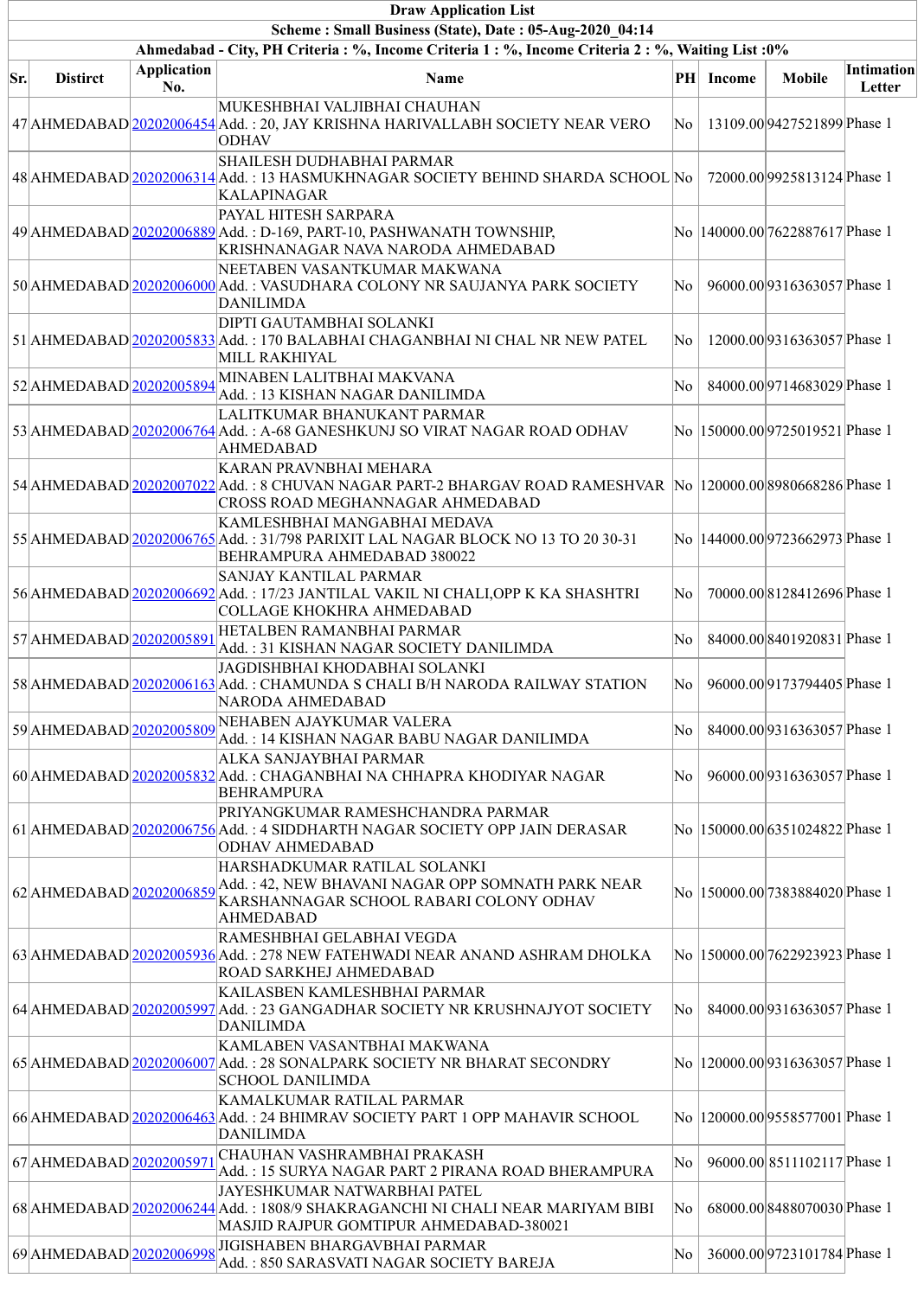|     | <b>Draw Application List</b>                            |                           |                                                                                                                                                                           |    |           |                                  |                             |  |  |  |  |
|-----|---------------------------------------------------------|---------------------------|---------------------------------------------------------------------------------------------------------------------------------------------------------------------------|----|-----------|----------------------------------|-----------------------------|--|--|--|--|
|     | Scheme: Small Business (State), Date: 05-Aug-2020 04:14 |                           |                                                                                                                                                                           |    |           |                                  |                             |  |  |  |  |
|     |                                                         |                           | Ahmedabad - City, PH Criteria : %, Income Criteria 1 : %, Income Criteria 2 : %, Waiting List : 0%                                                                        |    |           |                                  |                             |  |  |  |  |
| Sr. | <b>Distirct</b>                                         | <b>Application</b><br>No. | Name                                                                                                                                                                      |    | PH Income | <b>Mobile</b>                    | <b>Intimation</b><br>Letter |  |  |  |  |
|     |                                                         |                           | MUKESHBHAI VALJIBHAI CHAUHAN<br>47 AHMEDABAD 20202006454 Add.: 20, JAY KRISHNA HARIVALLABH SOCIETY NEAR VERO<br><b>ODHAV</b>                                              | No |           | 13109.00 9427521899 Phase 1      |                             |  |  |  |  |
|     |                                                         |                           | SHAILESH DUDHABHAI PARMAR<br>48 AHMEDABAD 20202006314 Add.: 13 HASMUKHNAGAR SOCIETY BEHIND SHARDA SCHOOL No<br><b>KALAPINAGAR</b>                                         |    |           | 72000.00 9925813124 Phase 1      |                             |  |  |  |  |
|     |                                                         |                           | PAYAL HITESH SARPARA<br>49 AHMEDABAD 20202006889 Add.: D-169, PART-10, PASHWANATH TOWNSHIP,<br>KRISHNANAGAR NAVA NARODA AHMEDABAD                                         |    |           | No  140000.00 7622887617 Phase 1 |                             |  |  |  |  |
|     |                                                         |                           | NEETABEN VASANTKUMAR MAKWANA<br>50 AHMEDABAD 20202006000 Add.: VASUDHARA COLONY NR SAUJANYA PARK SOCIETY<br><b>DANILIMDA</b>                                              | No |           | 96000.00 9316363057 Phase 1      |                             |  |  |  |  |
|     |                                                         |                           | DIPTI GAUTAMBHAI SOLANKI<br>51 AHMEDABAD 20202005833 Add.: 170 BALABHAI CHAGANBHAI NI CHAL NR NEW PATEL<br>MILL RAKHIYAL                                                  | No |           | 12000.00 9316363057 Phase 1      |                             |  |  |  |  |
|     | 52 AHMEDABAD 20202005894                                |                           | MINABEN LALITBHAI MAKVANA<br>Add.: 13 KISHAN NAGAR DANILIMDA                                                                                                              | No |           | 84000.00 9714683029 Phase 1      |                             |  |  |  |  |
|     |                                                         |                           | LALITKUMAR BHANUKANT PARMAR<br>53 AHMEDABAD 20202006764 Add.: A-68 GANESHKUNJ SO VIRAT NAGAR ROAD ODHAV<br>AHMEDABAD                                                      |    |           | No  150000.00 9725019521 Phase 1 |                             |  |  |  |  |
|     |                                                         |                           | KARAN PRAVNBHAI MEHARA<br>54 AHMEDABAD 20202007022 Add.: 8 CHUVAN NAGAR PART-2 BHARGAV ROAD RAMESHVAR No 120000.00 8980668286 Phase 1<br>CROSS ROAD MEGHANNAGAR AHMEDABAD |    |           |                                  |                             |  |  |  |  |
|     |                                                         |                           | KAMLESHBHAI MANGABHAI MEDAVA<br>55 AHMEDABAD 20202006765 Add.: 31/798 PARIXIT LAL NAGAR BLOCK NO 13 TO 20 30-31<br>BEHRAMPURA AHMEDABAD 380022                            |    |           | No  144000.00 9723662973 Phase 1 |                             |  |  |  |  |
|     |                                                         |                           | SANJAY KANTILAL PARMAR<br>56 AHMEDABAD 20202006692 Add.: 17/23 JANTILAL VAKIL NI CHALI, OPP K KA SHASHTRI<br>COLLAGE KHOKHRA AHMEDABAD                                    | No |           | 70000.008128412696 Phase 1       |                             |  |  |  |  |
|     | 57 AHMEDABAD 20202005891                                |                           | HETALBEN RAMANBHAI PARMAR<br>Add.: 31 KISHAN NAGAR SOCIETY DANILIMDA                                                                                                      | No |           | 84000.008401920831Phase 1        |                             |  |  |  |  |
|     |                                                         |                           | JAGDISHBHAI KHODABHAI SOLANKI<br>58 AHMEDABAD 20202006163 Add.: CHAMUNDA S CHALI B/H NARODA RAILWAY STATION<br>NARODA AHMEDABAD                                           | No |           | 96000.00 9173794405 Phase 1      |                             |  |  |  |  |
|     | 59 AHMEDABAD 20202005809                                |                           | NEHABEN AJAYKUMAR VALERA<br>Add.: 14 KISHAN NAGAR BABU NAGAR DANILIMDA                                                                                                    | No |           | 84000.00 9316363057 Phase 1      |                             |  |  |  |  |
|     |                                                         |                           | ALKA SANJAYBHAI PARMAR<br>60 AHMEDABAD 20202005832 Add.: CHAGANBHAI NA CHHAPRA KHODIYAR NAGAR<br><b>BEHRAMPURA</b>                                                        | No |           | 96000.00 9316363057 Phase 1      |                             |  |  |  |  |
|     |                                                         |                           | PRIYANGKUMAR RAMESHCHANDRA PARMAR<br>61 AHMEDABAD 20202006756 Add.: 4 SIDDHARTH NAGAR SOCIETY OPP JAIN DERASAR<br><b>ODHAV AHMEDABAD</b>                                  |    |           | No  150000.00 6351024822 Phase 1 |                             |  |  |  |  |
|     |                                                         |                           | HARSHADKUMAR RATILAL SOLANKI<br>62 AHMEDABAD 20202006859 Add.: 42, NEW BHAVANI NAGAR OPP SOMNATH PARK NEAR<br>KARSHANNAGAR SCHOOL RABARI COLONY ODHAV<br><b>AHMEDABAD</b> |    |           | No  150000.00 7383884020 Phase 1 |                             |  |  |  |  |
|     |                                                         |                           | RAMESHBHAI GELABHAI VEGDA<br>63 AHMEDABAD 20202005936 Add.: 278 NEW FATEHWADI NEAR ANAND ASHRAM DHOLKA<br>ROAD SARKHEJ AHMEDABAD                                          |    |           | No  150000.00 7622923923 Phase 1 |                             |  |  |  |  |
|     |                                                         |                           | KAILASBEN KAMLESHBHAI PARMAR<br>64 AHMEDABAD 202020205997 Add.: 23 GANGADHAR SOCIETY NR KRUSHNAJYOT SOCIETY<br><b>DANILIMDA</b>                                           | No |           | 84000.00 9316363057 Phase 1      |                             |  |  |  |  |
|     |                                                         |                           | KAMLABEN VASANTBHAI MAKWANA<br>65 AHMEDABAD 20202006007 Add.: 28 SONALPARK SOCIETY NR BHARAT SECONDRY<br><b>SCHOOL DANILIMDA</b>                                          |    |           | No  120000.00 9316363057 Phase 1 |                             |  |  |  |  |
|     |                                                         |                           | KAMALKUMAR RATILAL PARMAR<br>66 AHMEDABAD 20202006463 Add.: 24 BHIMRAV SOCIETY PART 1 OPP MAHAVIR SCHOOL<br><b>DANILIMDA</b>                                              |    |           | No  120000.00 9558577001 Phase 1 |                             |  |  |  |  |
|     | 67 AHMEDABAD 20202005971                                |                           | CHAUHAN VASHRAMBHAI PRAKASH<br>Add. : 15 SURYA NAGAR PART 2 PIRANA ROAD BHERAMPURA                                                                                        | No |           | 96000.00 8511102117 Phase 1      |                             |  |  |  |  |
|     |                                                         |                           | JAYESHKUMAR NATWARBHAI PATEL<br>68 AHMEDABAD 20202006244 Add.: 1808/9 SHAKRAGANCHI NI CHALI NEAR MARIYAM BIBI<br>MASJID RAJPUR GOMTIPUR AHMEDABAD-380021                  | No |           | 68000.008488070030Phase 1        |                             |  |  |  |  |
|     | 69 AHMEDABAD 20202006998                                |                           | JIGISHABEN BHARGAVBHAI PARMAR<br>Add. : 850 SARASVATI NAGAR SOCIETY BAREJA                                                                                                | No |           | 36000.00 9723101784 Phase 1      |                             |  |  |  |  |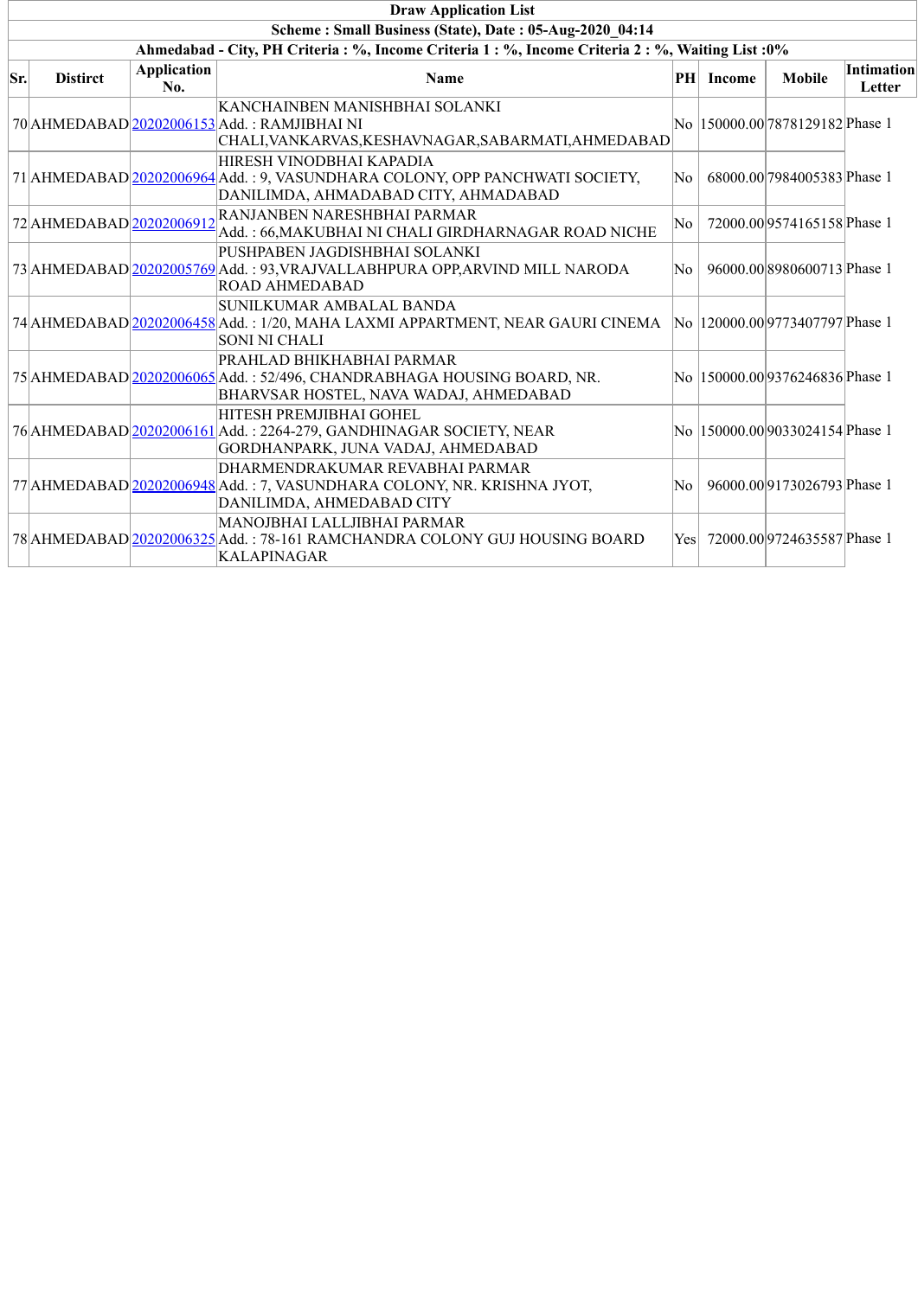|     | <b>Draw Application List</b>                                                                       |                           |                                                                                                                                                 |      |           |                                  |                             |  |  |  |  |
|-----|----------------------------------------------------------------------------------------------------|---------------------------|-------------------------------------------------------------------------------------------------------------------------------------------------|------|-----------|----------------------------------|-----------------------------|--|--|--|--|
|     | Scheme: Small Business (State), Date: 05-Aug-2020 04:14                                            |                           |                                                                                                                                                 |      |           |                                  |                             |  |  |  |  |
|     | Ahmedabad - City, PH Criteria : %, Income Criteria 1 : %, Income Criteria 2 : %, Waiting List : 0% |                           |                                                                                                                                                 |      |           |                                  |                             |  |  |  |  |
| Sr. | <b>Distirct</b>                                                                                    | <b>Application</b><br>No. | Name                                                                                                                                            |      | PH Income | <b>Mobile</b>                    | <b>Intimation</b><br>Letter |  |  |  |  |
|     |                                                                                                    |                           | KANCHAINBEN MANISHBHAI SOLANKI<br>70 AHMEDABAD 20202006153 Add.: RAMJIBHAI NI<br> CHALI,VANKARVAS,KESHAVNAGAR,SABARMATI,AHMEDABAD               |      |           | No  150000.00 7878129182 Phase 1 |                             |  |  |  |  |
|     |                                                                                                    |                           | HIRESH VINODBHAI KAPADIA<br>71 AHMEDABAD 20202006964 Add.: 9, VASUNDHARA COLONY, OPP PANCHWATI SOCIETY,<br>DANILIMDA, AHMADABAD CITY, AHMADABAD | No.  |           | 68000.00 7984005383 Phase 1      |                             |  |  |  |  |
|     | 72 AHMEDABAD 20202006912                                                                           |                           | RANJANBEN NARESHBHAI PARMAR<br>Add.: 66, MAKUBHAI NI CHALI GIRDHARNAGAR ROAD NICHE                                                              | No   |           | 72000.00 9574165158 Phase 1      |                             |  |  |  |  |
|     |                                                                                                    |                           | PUSHPABEN JAGDISHBHAI SOLANKI<br>73 AHMEDABAD 20202005769 Add.: 93, VRAJVALLABHPURA OPP, ARVIND MILL NARODA<br><b>ROAD AHMEDABAD</b>            | No   |           | 96000.00 8980600713 Phase 1      |                             |  |  |  |  |
|     |                                                                                                    |                           | SUNILKUMAR AMBALAL BANDA<br>74 AHMEDABAD 20202006458 Add.: 1/20, MAHA LAXMI APPARTMENT, NEAR GAURI CINEMA<br><b>SONI NI CHALI</b>               |      |           | No  120000.00 9773407797 Phase 1 |                             |  |  |  |  |
|     |                                                                                                    |                           | PRAHLAD BHIKHABHAI PARMAR<br>75 AHMEDABAD 20202006065 Add.: 52/496, CHANDRABHAGA HOUSING BOARD, NR.<br>BHARVSAR HOSTEL, NAVA WADAJ, AHMEDABAD   |      |           | No  150000.00 9376246836 Phase 1 |                             |  |  |  |  |
|     |                                                                                                    |                           | HITESH PREMJIBHAI GOHEL<br>76 AHMEDABAD 20202006161 Add.: 2264-279, GANDHINAGAR SOCIETY, NEAR<br>GORDHANPARK, JUNA VADAJ, AHMEDABAD             |      |           | No  150000.00 9033024154 Phase 1 |                             |  |  |  |  |
|     |                                                                                                    |                           | DHARMENDRAKUMAR REVABHAI PARMAR<br>77 AHMEDABAD 20202006948 Add.: 7, VASUNDHARA COLONY, NR. KRISHNA JYOT,<br>DANILIMDA, AHMEDABAD CITY          | No   |           | 96000.00 9173026793 Phase 1      |                             |  |  |  |  |
|     |                                                                                                    |                           | MANOJBHAI LALLJIBHAI PARMAR<br>78 AHMEDABAD 20202006325 Add.: 78-161 RAMCHANDRA COLONY GUJ HOUSING BOARD<br>KALAPINAGAR                         | Yesl |           | 72000.00 9724635587 Phase 1      |                             |  |  |  |  |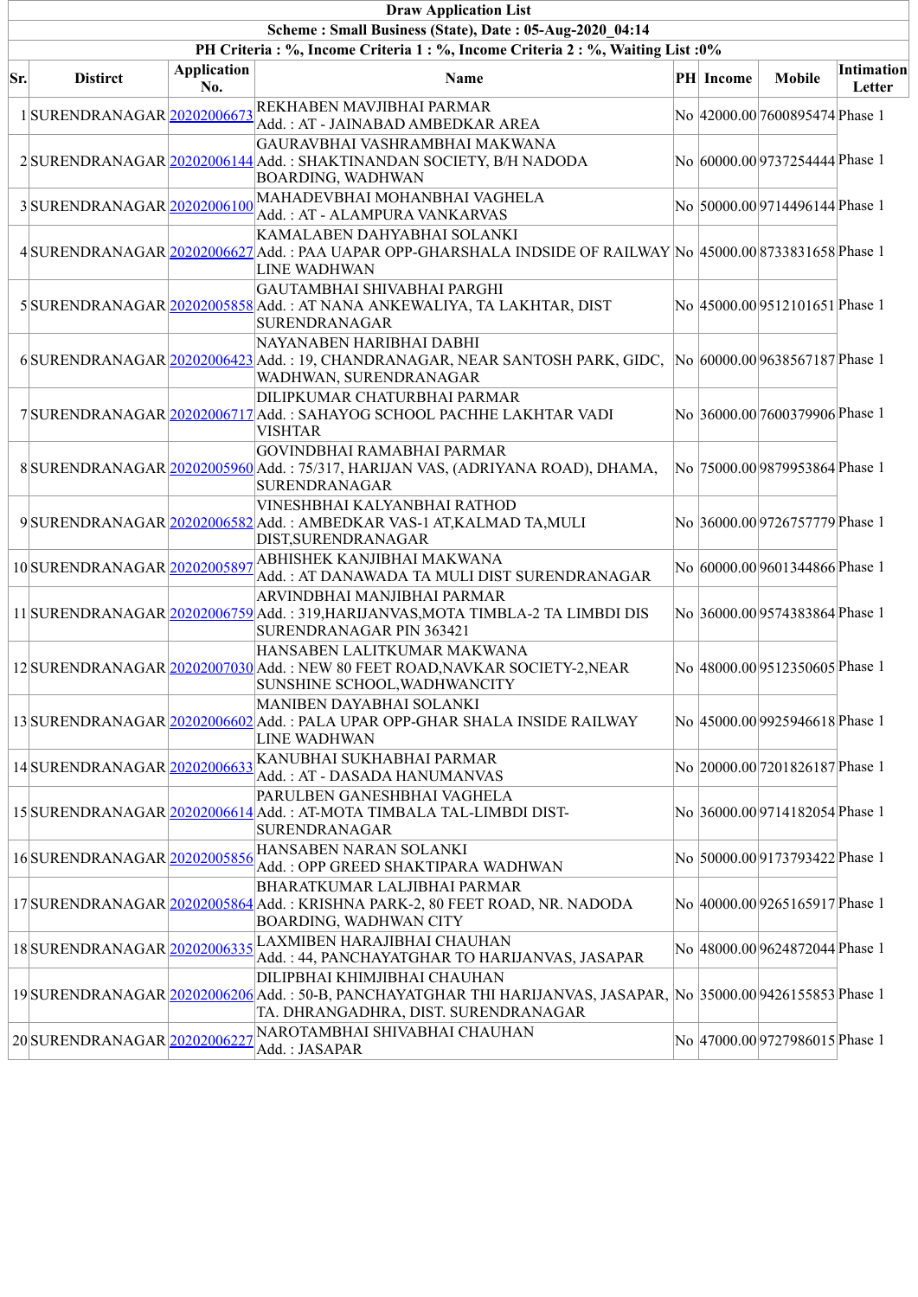|     | <b>Draw Application List</b>                            |                           |                                                                                                                                                                                        |  |           |                                 |                      |  |  |  |  |  |
|-----|---------------------------------------------------------|---------------------------|----------------------------------------------------------------------------------------------------------------------------------------------------------------------------------------|--|-----------|---------------------------------|----------------------|--|--|--|--|--|
|     | Scheme: Small Business (State), Date: 05-Aug-2020 04:14 |                           |                                                                                                                                                                                        |  |           |                                 |                      |  |  |  |  |  |
|     |                                                         |                           | PH Criteria : %, Income Criteria 1 : %, Income Criteria 2 : %, Waiting List : 0%                                                                                                       |  |           |                                 |                      |  |  |  |  |  |
| Sr. | <b>Distirct</b>                                         | <b>Application</b><br>No. | Name                                                                                                                                                                                   |  | PH Income | <b>Mobile</b>                   | Intimation<br>Letter |  |  |  |  |  |
|     | 1SURENDRANAGAR 20202006673                              |                           | REKHABEN MAVJIBHAI PARMAR<br>Add.: AT - JAINABAD AMBEDKAR AREA                                                                                                                         |  |           | No 42000.00 7600895474 Phase 1  |                      |  |  |  |  |  |
|     |                                                         |                           | GAURAVBHAI VASHRAMBHAI MAKWANA<br>2 SURENDRANAGAR 20202006144 Add.: SHAKTINANDAN SOCIETY, B/H NADODA<br>BOARDING, WADHWAN                                                              |  |           | No 60000.00 9737254444 Phase 1  |                      |  |  |  |  |  |
|     | 3SURENDRANAGAR 20202006100                              |                           | MAHADEVBHAI MOHANBHAI VAGHELA<br>Add.: AT - ALAMPURA VANKARVAS                                                                                                                         |  |           | No 50000.00 9714496144 Phase 1  |                      |  |  |  |  |  |
|     |                                                         |                           | KAMALABEN DAHYABHAI SOLANKI<br>4 SURENDRANAGAR 20202006627 Add.: PAA UAPAR OPP-GHARSHALA INDSIDE OF RAILWAY No 45000.00 8733831658 Phase 1<br>LINE WADHWAN                             |  |           |                                 |                      |  |  |  |  |  |
|     |                                                         |                           | GAUTAMBHAI SHIVABHAI PARGHI<br>5 SURENDRANAGAR 20202005858 Add.: AT NANA ANKEWALIYA, TA LAKHTAR, DIST<br>SURENDRANAGAR                                                                 |  |           | No  45000.00 9512101651 Phase 1 |                      |  |  |  |  |  |
|     |                                                         |                           | NAYANABEN HARIBHAI DABHI<br>6SURENDRANAGAR 20202006423 Add.: 19, CHANDRANAGAR, NEAR SANTOSH PARK, GIDC,<br>WADHWAN, SURENDRANAGAR                                                      |  |           | No 60000.00 9638567187 Phase 1  |                      |  |  |  |  |  |
|     |                                                         |                           | DILIPKUMAR CHATURBHAI PARMAR<br>7 SURENDRANAGAR 20202006717 Add.: SAHAYOG SCHOOL PACHHE LAKHTAR VADI<br><b>VISHTAR</b>                                                                 |  |           | No 36000.00 7600379906 Phase 1  |                      |  |  |  |  |  |
|     |                                                         |                           | <b>GOVINDBHAI RAMABHAI PARMAR</b><br>8 SURENDRANAGAR 20202005960 Add.: 75/317, HARIJAN VAS, (ADRIYANA ROAD), DHAMA,<br>SURENDRANAGAR                                                   |  |           | No 75000.00 9879953864 Phase 1  |                      |  |  |  |  |  |
|     |                                                         |                           | VINESHBHAI KALYANBHAI RATHOD<br>9 SURENDRANAGAR 20202006582 Add.: AMBEDKAR VAS-1 AT, KALMAD TA, MULI<br>DIST, SURENDRANAGAR                                                            |  |           | No 36000.00 9726757779 Phase 1  |                      |  |  |  |  |  |
|     |                                                         |                           | $10 \text{SUBENDRANAGAR} \textcolor{red}{\underline{20202005897}} \textcolor{red}{\textbf{ABHISHEK KANJIBHAI MAKWANA}}$<br>Add.: AT DANAWADA TA MULI DIST SURENDRANAGAR                |  |           | No 60000.00 9601344866 Phase 1  |                      |  |  |  |  |  |
|     |                                                         |                           | ARVINDBHAI MANJIBHAI PARMAR<br>11 SURENDRANAGAR 20202006759 Add.: 319, HARIJANVAS, MOTA TIMBLA-2 TA LIMBDI DIS<br>SURENDRANAGAR PIN 363421                                             |  |           | No 36000.00 9574383864 Phase 1  |                      |  |  |  |  |  |
|     |                                                         |                           | HANSABEN LALITKUMAR MAKWANA<br>12 SURENDRANAGAR 20202007030 Add.: NEW 80 FEET ROAD, NAVKAR SOCIETY-2, NEAR<br>SUNSHINE SCHOOL, WADHWANCITY                                             |  |           | No 48000.00 9512350605 Phase 1  |                      |  |  |  |  |  |
|     |                                                         |                           | MANIBEN DAYABHAI SOLANKI<br>13 SURENDRANAGAR 20202006602 Add.: PALA UPAR OPP-GHAR SHALA INSIDE RAILWAY<br>LINE WADHWAN                                                                 |  |           | No  45000.00 9925946618 Phase 1 |                      |  |  |  |  |  |
|     | 14SURENDRANAGAR 20202006633                             |                           | KANUBHAI SUKHABHAI PARMAR<br>Add.: AT - DASADA HANUMANVAS                                                                                                                              |  |           | No 20000.00 7201826187 Phase 1  |                      |  |  |  |  |  |
|     |                                                         |                           | PARULBEN GANESHBHAI VAGHELA<br>15 SURENDRANAGAR 20202006614 Add.: AT-MOTA TIMBALA TAL-LIMBDI DIST-<br><b>SURENDRANAGAR</b>                                                             |  |           | No 36000.00 9714182054 Phase 1  |                      |  |  |  |  |  |
|     | 16SURENDRANAGAR 20202005856                             |                           | HANSABEN NARAN SOLANKI<br>Add.: OPP GREED SHAKTIPARA WADHWAN                                                                                                                           |  |           | No 50000.00 9173793422 Phase 1  |                      |  |  |  |  |  |
|     |                                                         |                           | <b>BHARATKUMAR LALJIBHAI PARMAR</b><br>17 SURENDRANAGAR 20202005864 Add.: KRISHNA PARK-2, 80 FEET ROAD, NR. NADODA<br>BOARDING, WADHWAN CITY                                           |  |           | No 40000.00 9265165917 Phase 1  |                      |  |  |  |  |  |
|     | 18 SURENDRANAGAR 20202006335                            |                           | LAXMIBEN HARAJIBHAI CHAUHAN<br>Add.: 44, PANCHAYATGHAR TO HARIJANVAS, JASAPAR                                                                                                          |  |           | No 48000.00 9624872044 Phase 1  |                      |  |  |  |  |  |
|     |                                                         |                           | DILIPBHAI KHIMJIBHAI CHAUHAN<br>19 SURENDRANAGAR 20202006206 Add.: 50-B, PANCHAYATGHAR THI HARIJANVAS, JASAPAR, No 35000.00 9426155853 Phase 1<br>TA. DHRANGADHRA, DIST. SURENDRANAGAR |  |           |                                 |                      |  |  |  |  |  |
|     | 20SURENDRANAGAR 20202006227                             |                           | NAROTAMBHAI SHIVABHAI CHAUHAN<br>Add.: JASAPAR                                                                                                                                         |  |           | No  47000.00 9727986015 Phase 1 |                      |  |  |  |  |  |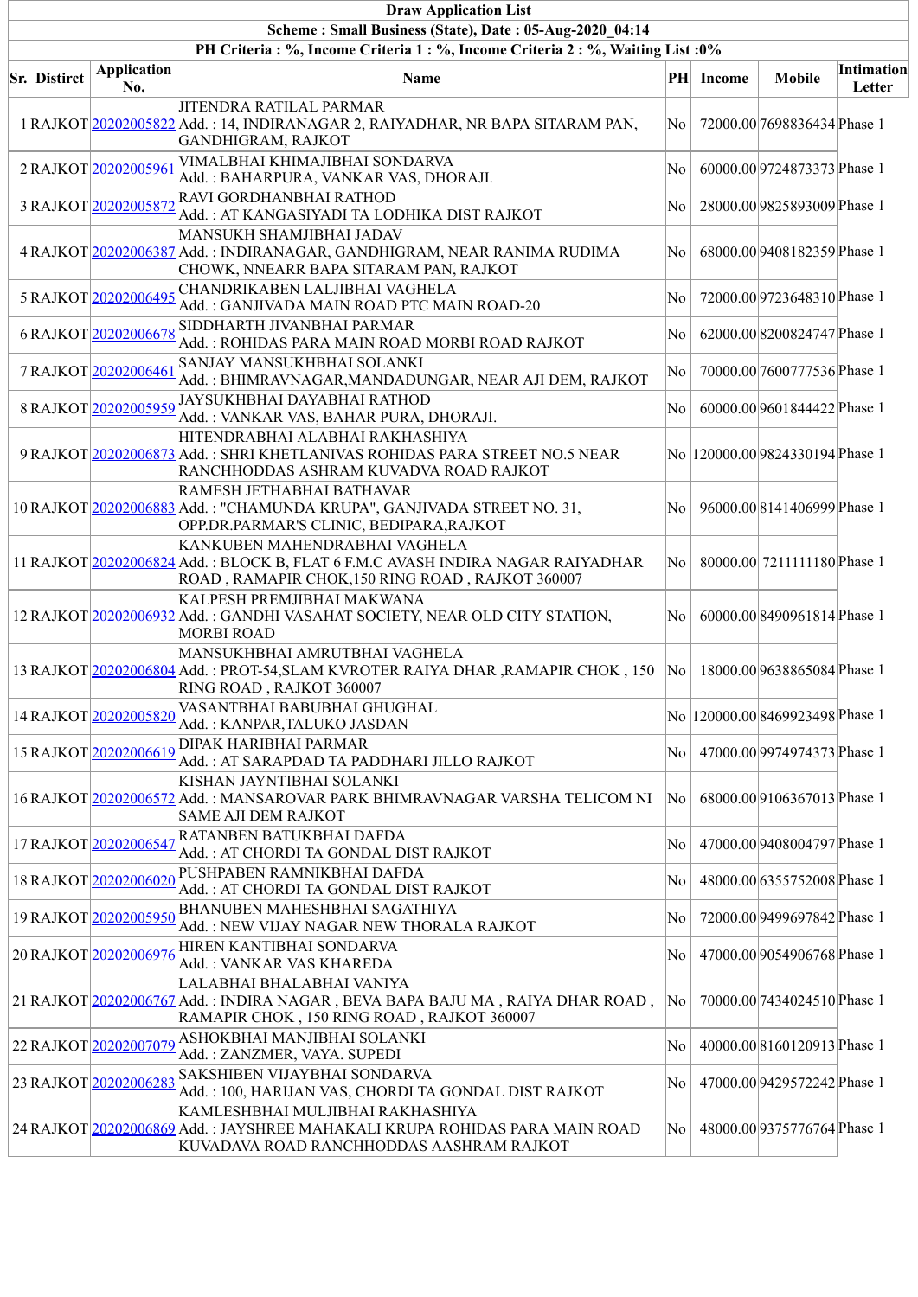| <b>Draw Application List</b>                                                                                                                |                       |                                                                                                                                                                     |                        |           |                                  |            |  |  |  |  |
|---------------------------------------------------------------------------------------------------------------------------------------------|-----------------------|---------------------------------------------------------------------------------------------------------------------------------------------------------------------|------------------------|-----------|----------------------------------|------------|--|--|--|--|
| Scheme: Small Business (State), Date: 05-Aug-2020 04:14<br>PH Criteria : %, Income Criteria 1 : %, Income Criteria 2 : %, Waiting List : 0% |                       |                                                                                                                                                                     |                        |           |                                  |            |  |  |  |  |
|                                                                                                                                             | <b>Application</b>    |                                                                                                                                                                     |                        |           |                                  | Intimation |  |  |  |  |
| <b>Sr.</b> Distirct                                                                                                                         | No.                   | Name                                                                                                                                                                |                        | PH Income | <b>Mobile</b>                    | Letter     |  |  |  |  |
|                                                                                                                                             |                       | <b>JITENDRA RATILAL PARMAR</b><br>1 RAJKOT 20202005822 Add.: 14, INDIRANAGAR 2, RAIYADHAR, NR BAPA SITARAM PAN,<br>GANDHIGRAM, RAJKOT                               | $\overline{\rm No}$    |           | 72000.00 7698836434 Phase 1      |            |  |  |  |  |
|                                                                                                                                             | 2RAJKOT 20202005961   | VIMALBHAI KHIMAJIBHAI SONDARVA<br>Add.: BAHARPURA, VANKAR VAS, DHORAJI.                                                                                             | No                     |           | 60000.00 9724873373 Phase 1      |            |  |  |  |  |
|                                                                                                                                             | 3RAJKOT 20202005872   | RAVI GORDHANBHAI RATHOD<br>Add.: AT KANGASIYADI TA LODHIKA DIST RAJKOT                                                                                              | No                     |           | 28000.00 9825893009 Phase 1      |            |  |  |  |  |
|                                                                                                                                             |                       | MANSUKH SHAMJIBHAI JADAV<br>4 RAJKOT 20202006387 Add.: INDIRANAGAR, GANDHIGRAM, NEAR RANIMA RUDIMA<br>CHOWK, NNEARR BAPA SITARAM PAN, RAJKOT                        | No                     |           | 68000.00 9408182359 Phase 1      |            |  |  |  |  |
|                                                                                                                                             | 5RAJKOT20202006495    | CHANDRIKABEN LALJIBHAI VAGHELA<br>Add.: GANJIVADA MAIN ROAD PTC MAIN ROAD-20                                                                                        | No                     |           | 72000.00 9723648310 Phase 1      |            |  |  |  |  |
|                                                                                                                                             | 6RAJKOT20202006678    | SIDDHARTH JIVANBHAI PARMAR<br>Add.: ROHIDAS PARA MAIN ROAD MORBI ROAD RAJKOT                                                                                        | No                     |           | 62000.00 8200824747 Phase 1      |            |  |  |  |  |
|                                                                                                                                             | 7RAJKOT 20202006461   | SANJAY MANSUKHBHAI SOLANKI<br>Add.: BHIMRAVNAGAR, MANDADUNGAR, NEAR AJI DEM, RAJKOT                                                                                 | $\overline{\rm No}$    |           | 70000.00 7600777536 Phase 1      |            |  |  |  |  |
|                                                                                                                                             | 8RAJKOT20202005959    | JAYSUKHBHAI DAYABHAI RATHOD<br>Add.: VANKAR VAS, BAHAR PURA, DHORAJI.                                                                                               | No.                    |           | 60000.00 9601844422 Phase 1      |            |  |  |  |  |
|                                                                                                                                             |                       | HITENDRABHAI ALABHAI RAKHASHIYA<br>9 RAJKOT 20202006873 Add.: SHRI KHETLANIVAS ROHIDAS PARA STREET NO.5 NEAR<br>RANCHHODDAS ASHRAM KUVADVA ROAD RAJKOT              |                        |           | No  120000.00 9824330194 Phase 1 |            |  |  |  |  |
|                                                                                                                                             |                       | RAMESH JETHABHAI BATHAVAR<br>10 RAJKOT 20202006883 Add.: "CHAMUNDA KRUPA", GANJIVADA STREET NO. 31,<br>OPP.DR.PARMAR'S CLINIC, BEDIPARA,RAJKOT                      | No.                    |           | 96000.008141406999Phase 1        |            |  |  |  |  |
|                                                                                                                                             |                       | KANKUBEN MAHENDRABHAI VAGHELA<br>11 RAJKOT 20202006824 Add.: BLOCK B, FLAT 6 F.M.C AVASH INDIRA NAGAR RAIYADHAR<br>ROAD, RAMAPIR CHOK, 150 RING ROAD, RAJKOT 360007 | $\overline{\text{No}}$ |           | 80000.00 7211111180 Phase 1      |            |  |  |  |  |
|                                                                                                                                             |                       | KALPESH PREMJIBHAI MAKWANA<br>12 RAJKOT 20202006932 Add.: GANDHI VASAHAT SOCIETY, NEAR OLD CITY STATION,<br><b>MORBI ROAD</b>                                       | $\overline{\rm No}$    |           | 60000.008490961814Phase 1        |            |  |  |  |  |
|                                                                                                                                             |                       | MANSUKHBHAI AMRUTBHAI VAGHELA<br>13 RAJKOT 20202006804 Add.: PROT-54, SLAM KVROTER RAIYA DHAR, RAMAPIR CHOK, 150<br>RING ROAD, RAJKOT 360007                        | $\overline{\rm No}$    |           | 18000.00 9638865084 Phase 1      |            |  |  |  |  |
|                                                                                                                                             | 14 RAJKOT 20202005820 | VASANTBHAI BABUBHAI GHUGHAL<br>Add.: KANPAR,TALUKO JASDAN                                                                                                           |                        |           | No  120000.00 8469923498 Phase 1 |            |  |  |  |  |
|                                                                                                                                             | 15 RAJKOT 20202006619 | <b>DIPAK HARIBHAI PARMAR</b><br>Add.: AT SARAPDAD TA PADDHARI JILLO RAJKOT                                                                                          | No                     |           | 47000.00 9974974373 Phase 1      |            |  |  |  |  |
|                                                                                                                                             |                       | KISHAN JAYNTIBHAI SOLANKI<br>16 RAJKOT 20202006572 Add.: MANSAROVAR PARK BHIMRAVNAGAR VARSHA TELICOM NI<br><b>SAME AJI DEM RAJKOT</b>                               | No                     |           | 68000.00 9106367013 Phase 1      |            |  |  |  |  |
|                                                                                                                                             | 17RAJKOT20202006547   | RATANBEN BATUKBHAI DAFDA<br>Add. : AT CHORDI TA GONDAL DIST RAJKOT                                                                                                  | No                     |           | 47000.00 9408004797 Phase 1      |            |  |  |  |  |
|                                                                                                                                             | 18 RAJKOT 20202006020 | PUSHPABEN RAMNIKBHAI DAFDA<br>Add.: AT CHORDI TA GONDAL DIST RAJKOT                                                                                                 | No                     |           | 48000.00 6355752008 Phase 1      |            |  |  |  |  |
|                                                                                                                                             | 19RAJKOT20202005950   | BHANUBEN MAHESHBHAI SAGATHIYA<br>Add.: NEW VIJAY NAGAR NEW THORALA RAJKOT                                                                                           | No                     |           | 72000.00 9499697842 Phase 1      |            |  |  |  |  |
|                                                                                                                                             | 20RAJKOT20202006976   | HIREN KANTIBHAI SONDARVA<br>Add.: VANKAR VAS KHAREDA                                                                                                                | $\overline{\rm No}$    |           | 47000.00 9054906768 Phase 1      |            |  |  |  |  |
|                                                                                                                                             |                       | LALABHAI BHALABHAI VANIYA<br>21 RAJKOT 20202006767 Add.: INDIRA NAGAR, BEVA BAPA BAJU MA, RAIYA DHAR ROAD,<br>RAMAPIR CHOK, 150 RING ROAD, RAJKOT 360007            | No                     |           | 70000.00 7434024510 Phase 1      |            |  |  |  |  |
|                                                                                                                                             | 22RAJKOT20202007079   | ASHOKBHAI MANJIBHAI SOLANKI<br>Add.: ZANZMER, VAYA. SUPEDI                                                                                                          | No                     |           | 40000.00 8160120913 Phase 1      |            |  |  |  |  |
|                                                                                                                                             | 23RAJKOT20202006283   | <b>SAKSHIBEN VIJAYBHAI SONDARVA</b><br>Add.: 100, HARIJAN VAS, CHORDI TA GONDAL DIST RAJKOT                                                                         | No                     |           | 47000.00 9429572242 Phase 1      |            |  |  |  |  |
|                                                                                                                                             |                       | KAMLESHBHAI MULJIBHAI RAKHASHIYA<br>24 RAJKOT 20202006869 Add.: JAYSHREE MAHAKALI KRUPA ROHIDAS PARA MAIN ROAD<br>KUVADAVA ROAD RANCHHODDAS AASHRAM RAJKOT          | No                     |           | 48000.00 9375776764 Phase 1      |            |  |  |  |  |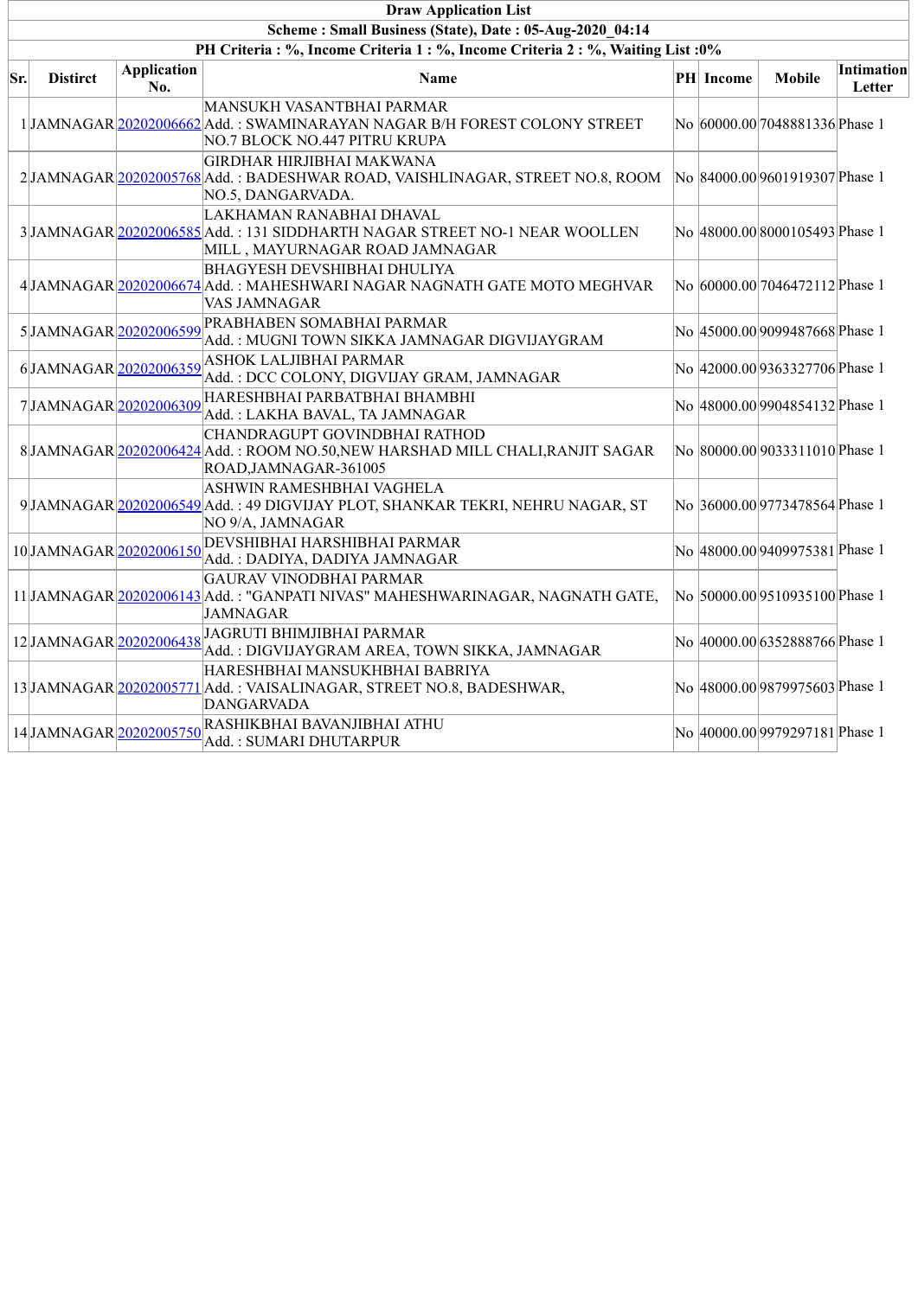|     | <b>Draw Application List</b>                                                 |                           |                                                                                                                                         |  |           |                                 |                      |  |  |  |
|-----|------------------------------------------------------------------------------|---------------------------|-----------------------------------------------------------------------------------------------------------------------------------------|--|-----------|---------------------------------|----------------------|--|--|--|
|     | Scheme: Small Business (State), Date: 05-Aug-2020 04:14                      |                           |                                                                                                                                         |  |           |                                 |                      |  |  |  |
|     | PH Criteria: %, Income Criteria 1: %, Income Criteria 2: %, Waiting List: 0% |                           |                                                                                                                                         |  |           |                                 |                      |  |  |  |
| Sr. | <b>Distirct</b>                                                              | <b>Application</b><br>No. | <b>Name</b>                                                                                                                             |  | PH Income | <b>Mobile</b>                   | Intimation<br>Letter |  |  |  |
|     |                                                                              |                           | MANSUKH VASANTBHAI PARMAR<br>1 JAMNAGAR 20202006662 Add.: SWAMINARAYAN NAGAR B/H FOREST COLONY STREET<br>NO.7 BLOCK NO.447 PITRU KRUPA  |  |           | No 60000.00 7048881336 Phase 1  |                      |  |  |  |
|     |                                                                              |                           | GIRDHAR HIRJIBHAI MAKWANA<br>2 JAMNAGAR 20202005768 Add.: BADESHWAR ROAD, VAISHLINAGAR, STREET NO.8, ROOM<br>NO.5, DANGARVADA.          |  |           | No 84000.00 9601919307 Phase 1  |                      |  |  |  |
|     |                                                                              |                           | LAKHAMAN RANABHAI DHAVAL<br>3 JAMNAGAR 20202006585 Add.: 131 SIDDHARTH NAGAR STREET NO-1 NEAR WOOLLEN<br>MILL, MAYURNAGAR ROAD JAMNAGAR |  |           | No 48000.00 8000105493 Phase 1  |                      |  |  |  |
|     |                                                                              |                           | <b>BHAGYESH DEVSHIBHAI DHULIYA</b><br>4 JAMNAGAR 20202006674 Add.: MAHESHWARI NAGAR NAGNATH GATE MOTO MEGHVAR<br>VAS JAMNAGAR           |  |           | No 60000.00 7046472112 Phase 1  |                      |  |  |  |
|     |                                                                              |                           | 5 JAMNAGAR 20202006599 PRABHABEN SOMABHAI PARMAR<br>Add.: MUGNI TOWN SIKKA JAMNAGAR DIGVIJAYGRAM                                        |  |           | No  45000.00 9099487668 Phase 1 |                      |  |  |  |
|     |                                                                              |                           | 6JAMNAGAR 20202006359 ASHOK LALJIBHAI PARMAR<br>Add.: DCC COLONY, DIGVIJAY GRAM, JAMNAGAR                                               |  |           | No 42000.00 9363327706 Phase 1  |                      |  |  |  |
|     |                                                                              |                           | 7JAMNAGAR 20202006309 HARESHBHAI PARBATBHAI BHAMBHI<br>Add.: LAKHA BAVAL, TA JAMNAGAR                                                   |  |           | No 48000.00 9904854132 Phase 1  |                      |  |  |  |
|     |                                                                              |                           | CHANDRAGUPT GOVINDBHAI RATHOD<br>8 JAMNAGAR 20202006424 Add.: ROOM NO.50, NEW HARSHAD MILL CHALI, RANJIT SAGAR<br>ROAD, JAMNAGAR-361005 |  |           | No 80000.00 9033311010 Phase 1  |                      |  |  |  |
|     |                                                                              |                           | ASHWIN RAMESHBHAI VAGHELA<br>9 JAMNAGAR 20202006549 Add.: 49 DIGVIJAY PLOT, SHANKAR TEKRI, NEHRU NAGAR, ST<br>NO 9/A, JAMNAGAR          |  |           | No 36000.00 9773478564 Phase 1  |                      |  |  |  |
|     | 10JAMNAGAR 20202006150                                                       |                           | <b>DEVSHIBHAI HARSHIBHAI PARMAR</b><br>Add.: DADIYA, DADIYA JAMNAGAR                                                                    |  |           | No 48000.00 9409975381 Phase 1  |                      |  |  |  |
|     |                                                                              |                           | <b>GAURAV VINODBHAI PARMAR</b><br>11 JAMNAGAR 20202006143 Add.: "GANPATI NIVAS" MAHESHWARINAGAR, NAGNATH GATE,<br><b>JAMNAGAR</b>       |  |           | No 50000.00 9510935100 Phase 1  |                      |  |  |  |
|     | 12JAMNAGAR 20202006438                                                       |                           | JAGRUTI BHIMJIBHAI PARMAR<br>Add.: DIGVIJAYGRAM AREA, TOWN SIKKA, JAMNAGAR                                                              |  |           | No 40000.00 6352888766 Phase 1  |                      |  |  |  |
|     |                                                                              |                           | HARESHBHAI MANSUKHBHAI BABRIYA<br>13 JAMNAGAR 20202005771 Add.: VAISALINAGAR, STREET NO.8, BADESHWAR,<br><b>DANGARVADA</b>              |  |           | No 48000.00 9879975603 Phase 1  |                      |  |  |  |
|     |                                                                              |                           | 14 JAMNAGAR 20202005750 RASHIKBHAI BAVANJIBHAI ATHU<br>Add.: SUMARI DHUTARPUR                                                           |  |           | No 40000.00 9979297181 Phase 1  |                      |  |  |  |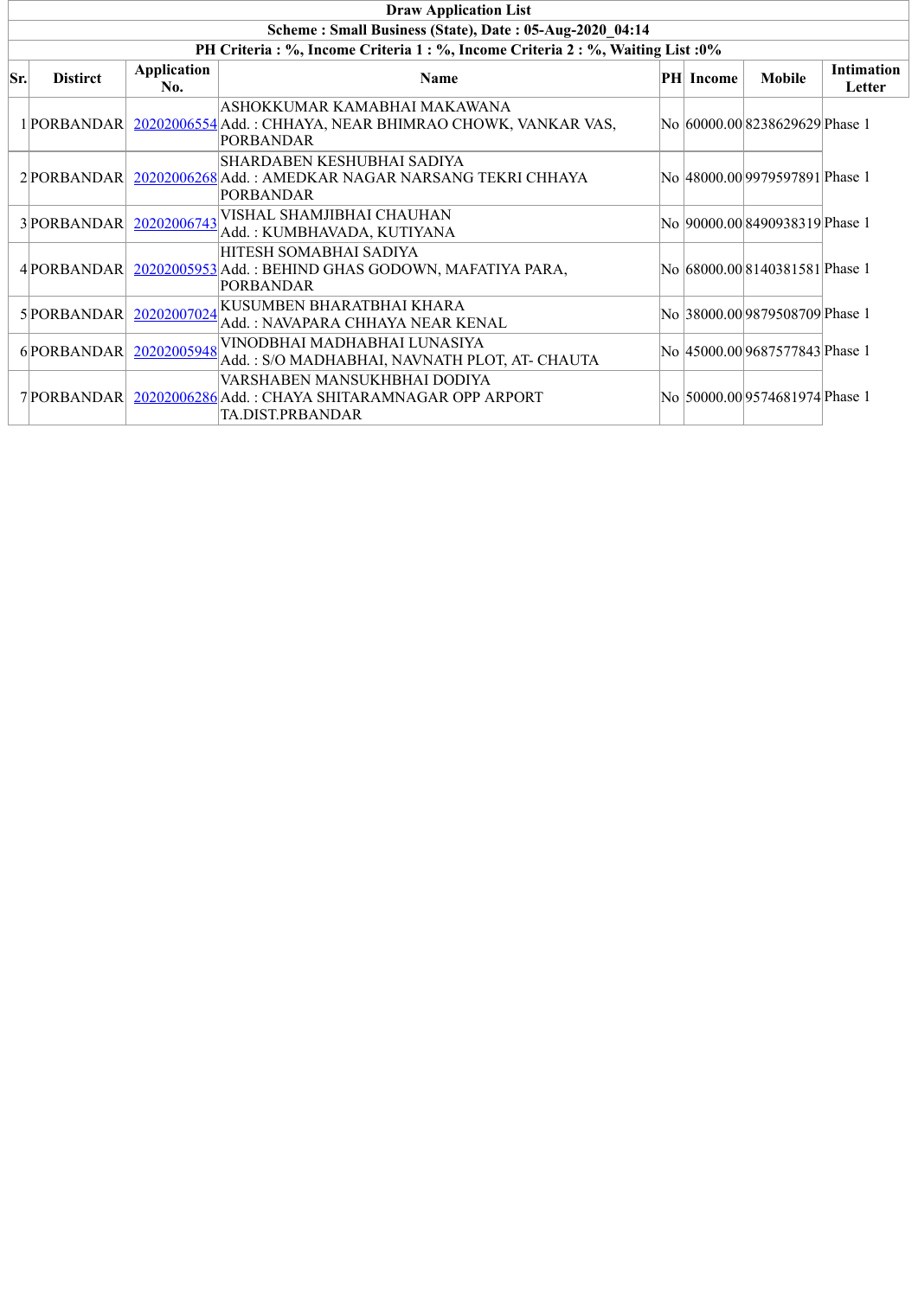|     | <b>Draw Application List</b>                            |                           |                                                                                                               |  |                  |                                 |                             |  |  |  |
|-----|---------------------------------------------------------|---------------------------|---------------------------------------------------------------------------------------------------------------|--|------------------|---------------------------------|-----------------------------|--|--|--|
|     | Scheme: Small Business (State), Date: 05-Aug-2020 04:14 |                           |                                                                                                               |  |                  |                                 |                             |  |  |  |
|     |                                                         |                           | PH Criteria : %, Income Criteria 1 : %, Income Criteria 2 : %, Waiting List : 0%                              |  |                  |                                 |                             |  |  |  |
| Sr. | <b>Distirct</b>                                         | <b>Application</b><br>No. | <b>Name</b>                                                                                                   |  | <b>PH</b> Income | <b>Mobile</b>                   | <b>Intimation</b><br>Letter |  |  |  |
|     | 1 PORBANDAR                                             |                           | ASHOKKUMAR KAMABHAI MAKAWANA<br>20202006554 Add.: CHHAYA, NEAR BHIMRAO CHOWK, VANKAR VAS,<br><b>PORBANDAR</b> |  |                  | No  60000.00 8238629629 Phase 1 |                             |  |  |  |
|     | 2PORBANDAR                                              |                           | SHARDABEN KESHUBHAI SADIYA<br>20202006268 Add.: AMEDKAR NAGAR NARSANG TEKRI CHHAYA<br><b>PORBANDAR</b>        |  |                  | No  48000.00 9979597891 Phase 1 |                             |  |  |  |
|     | 3 PORBANDAR                                             | 20202006743               | VISHAL SHAMJIBHAI CHAUHAN<br>Add.: KUMBHAVADA, KUTIYANA                                                       |  |                  | No 90000.00 8490938319 Phase 1  |                             |  |  |  |
|     | 4 PORBANDAR                                             |                           | HITESH SOMABHAI SADIYA<br>20202005953 Add.: BEHIND GHAS GODOWN, MAFATIYA PARA,<br><b>PORBANDAR</b>            |  |                  | No 68000.00 8140381581 Phase 1  |                             |  |  |  |
|     | 5 PORBANDAR                                             | 20202007024               | KUSUMBEN BHARATBHAI KHARA<br>Add.: NAVAPARA CHHAYA NEAR KENAL                                                 |  |                  | No 38000.00 9879508709 Phase 1  |                             |  |  |  |
|     | 6PORBANDAR                                              | 20202005948               | VINODBHAI MADHABHAI LUNASIYA<br>Add.: S/O MADHABHAI, NAVNATH PLOT, AT- CHAUTA                                 |  |                  | No  45000.00 9687577843 Phase 1 |                             |  |  |  |
|     | 7 PORBANDAR                                             |                           | VARSHABEN MANSUKHBHAI DODIYA<br>20202006286 Add.: CHAYA SHITARAMNAGAR OPP ARPORT<br>TA.DIST.PRBANDAR          |  |                  | No  50000.00 9574681974 Phase 1 |                             |  |  |  |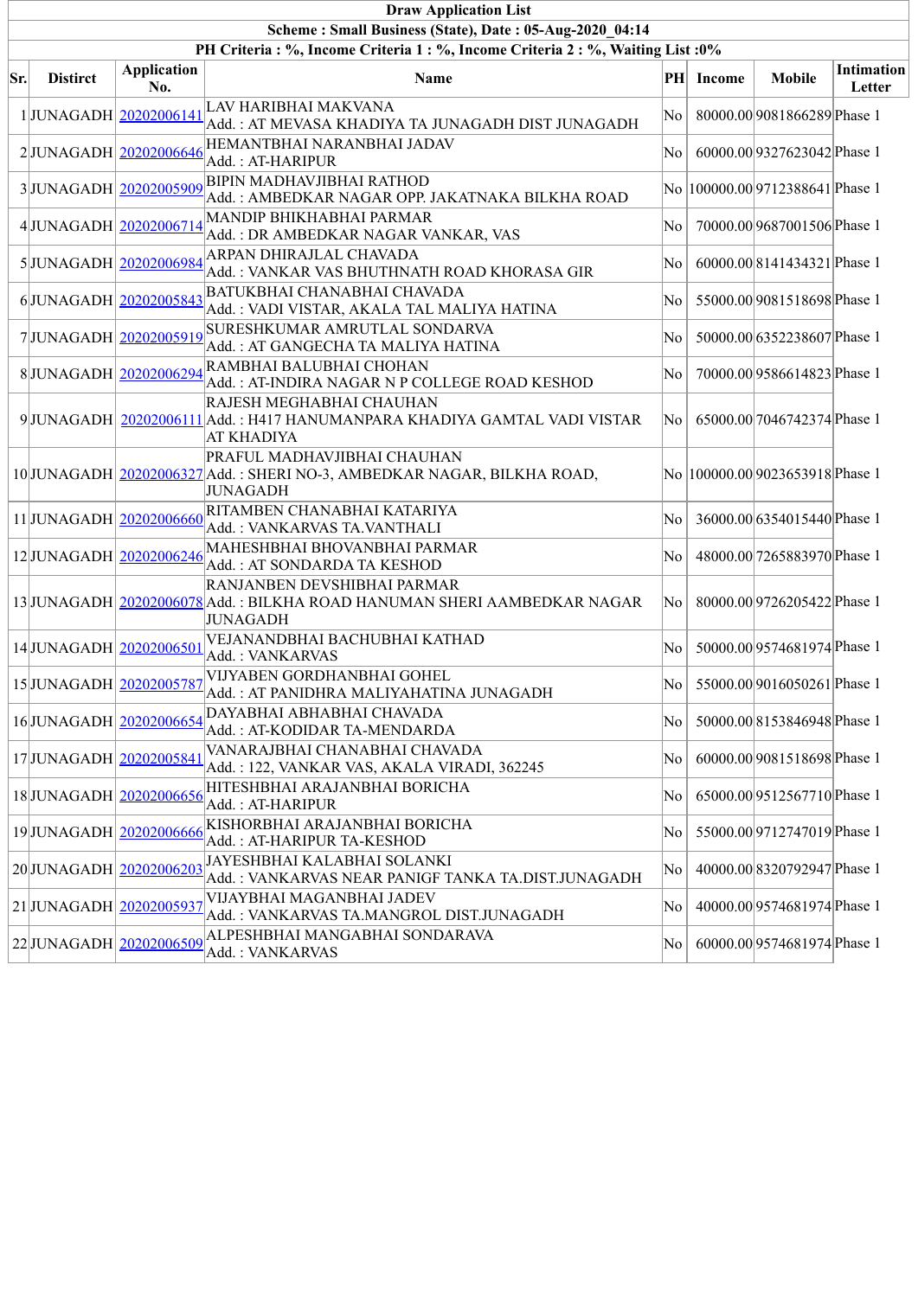|     | <b>Draw Application List</b>                            |                           |                                                                                                                                  |     |           |                                  |                             |  |  |  |  |  |
|-----|---------------------------------------------------------|---------------------------|----------------------------------------------------------------------------------------------------------------------------------|-----|-----------|----------------------------------|-----------------------------|--|--|--|--|--|
|     | Scheme: Small Business (State), Date: 05-Aug-2020 04:14 |                           |                                                                                                                                  |     |           |                                  |                             |  |  |  |  |  |
|     |                                                         |                           | PH Criteria: %, Income Criteria 1: %, Income Criteria 2: %, Waiting List: 0%                                                     |     |           |                                  |                             |  |  |  |  |  |
| Sr. | <b>Distirct</b>                                         | <b>Application</b><br>No. | Name                                                                                                                             |     | PH Income | <b>Mobile</b>                    | <b>Intimation</b><br>Letter |  |  |  |  |  |
|     |                                                         | 1JUNAGADH 20202006141     | LAV HARIBHAI MAKVANA<br>Add.: AT MEVASA KHADIYA TA JUNAGADH DIST JUNAGADH                                                        | No. |           | 80000.00 9081866289 Phase 1      |                             |  |  |  |  |  |
|     |                                                         | 2JUNAGADH 20202006646     | HEMANTBHAI NARANBHAI JADAV<br>Add. : AT-HARIPUR                                                                                  | No. |           | 60000.00 9327623042 Phase 1      |                             |  |  |  |  |  |
|     |                                                         | 3JUNAGADH 20202005909     | <b>BIPIN MADHAVJIBHAI RATHOD</b><br>Add.: AMBEDKAR NAGAR OPP. JAKATNAKA BILKHA ROAD                                              |     |           | No  100000.00 9712388641 Phase 1 |                             |  |  |  |  |  |
|     |                                                         | 4JUNAGADH 20202006714     | MANDIP BHIKHABHAI PARMAR<br>Add.: DR AMBEDKAR NAGAR VANKAR, VAS                                                                  | No  |           | 70000.00 9687001506 Phase 1      |                             |  |  |  |  |  |
|     |                                                         | 5JUNAGADH 20202006984     | ARPAN DHIRAJLAL CHAVADA<br>Add.: VANKAR VAS BHUTHNATH ROAD KHORASA GIR                                                           | No. |           | 60000.00 8141434321 Phase 1      |                             |  |  |  |  |  |
|     |                                                         | 6JUNAGADH 20202005843     | BATUKBHAI CHANABHAI CHAVADA<br>Add.: VADI VISTAR, AKALA TAL MALIYA HATINA                                                        | No. |           | 55000.00 9081518698 Phase 1      |                             |  |  |  |  |  |
|     |                                                         | 7JUNAGADH 20202005919     | SURESHKUMAR AMRUTLAL SONDARVA<br>Add.: AT GANGECHA TA MALIYA HATINA                                                              | No. |           | 50000.00 6352238607 Phase 1      |                             |  |  |  |  |  |
|     |                                                         | 8JUNAGADH 20202006294     | RAMBHAI BALUBHAI CHOHAN<br>Add.: AT-INDIRA NAGAR N P COLLEGE ROAD KESHOD                                                         | No. |           | 70000.00 9586614823 Phase 1      |                             |  |  |  |  |  |
|     |                                                         |                           | <b>RAJESH MEGHABHAI CHAUHAN</b><br>9 JUNAGADH 20202006111 Add.: H417 HANUMANPARA KHADIYA GAMTAL VADI VISTAR<br><b>AT KHADIYA</b> | No  |           | 65000.00 7046742374 Phase 1      |                             |  |  |  |  |  |
|     |                                                         |                           | PRAFUL MADHAVJIBHAI CHAUHAN<br>10 JUNAGADH 20202006327 Add.: SHERI NO-3, AMBEDKAR NAGAR, BILKHA ROAD,<br><b>JUNAGADH</b>         |     |           | No  100000.00 9023653918 Phase 1 |                             |  |  |  |  |  |
|     |                                                         | 11 JUNAGADH 20202006660   | RITAMBEN CHANABHAI KATARIYA<br>Add.: VANKARVAS TA.VANTHALI                                                                       | No  |           | 36000.00 6354015440 Phase 1      |                             |  |  |  |  |  |
|     |                                                         | 12JUNAGADH 20202006246    | MAHESHBHAI BHOVANBHAI PARMAR<br>Add.: AT SONDARDA TA KESHOD                                                                      | No  |           | 48000.00 7265883970 Phase 1      |                             |  |  |  |  |  |
|     |                                                         |                           | RANJANBEN DEVSHIBHAI PARMAR<br>13 JUNAGADH 20202006078 Add. : BILKHA ROAD HANUMAN SHERI AAMBEDKAR NAGAR<br><b>JUNAGADH</b>       | No  |           | 80000.00 9726205422 Phase 1      |                             |  |  |  |  |  |
|     |                                                         | 14JUNAGADH 20202006501    | VEJANANDBHAI BACHUBHAI KATHAD<br>Add.: VANKARVAS                                                                                 | No  |           | 50000.00 9574681974 Phase 1      |                             |  |  |  |  |  |
|     |                                                         | 15 JUNAGADH 20202005787   | VIJYABEN GORDHANBHAI GOHEL<br>Add. : AT PANIDHRA MALIYAHATINA JUNAGADH                                                           |     |           | No   55000.00 9016050261 Phase 1 |                             |  |  |  |  |  |
|     |                                                         | 16JUNAGADH 20202006654    | DAYABHAI ABHABHAI CHAVADA<br>Add.: AT-KODIDAR TA-MENDARDA                                                                        | No  |           | 50000.00 8153846948 Phase 1      |                             |  |  |  |  |  |
|     | 17JUNAGADH 20202005841                                  |                           | VANARAJBHAI CHANABHAI CHAVADA<br>Add.: 122, VANKAR VAS, AKALA VIRADI, 362245                                                     | No  |           | 60000.00 9081518698 Phase 1      |                             |  |  |  |  |  |
|     |                                                         | 18JUNAGADH 20202006656    | HITESHBHAI ARAJANBHAI BORICHA<br>Add. : AT-HARIPUR                                                                               | No  |           | 65000.00 9512567710 Phase 1      |                             |  |  |  |  |  |
|     |                                                         | 19JUNAGADH 20202006666    | KISHORBHAI ARAJANBHAI BORICHA<br>Add.: AT-HARIPUR TA-KESHOD                                                                      | No  |           | 55000.00 9712747019 Phase 1      |                             |  |  |  |  |  |
|     |                                                         | 20JUNAGADH 20202006203    | JAYESHBHAI KALABHAI SOLANKI<br>Add. : VANKARVAS NEAR PANIGF TANKA TA.DIST.JUNAGADH                                               | No. |           | 40000.00 8320792947 Phase 1      |                             |  |  |  |  |  |
|     | 21 JUNAGADH 20202005937                                 |                           | VIJAYBHAI MAGANBHAI JADEV<br>Add.: VANKARVAS TA.MANGROL DIST.JUNAGADH                                                            | No  |           | 40000.00 9574681974 Phase 1      |                             |  |  |  |  |  |
|     |                                                         |                           | 22 JUNAGADH 20202006509 ALPESHBHAI MANGABHAI SONDARAVA<br>Add.: VANKARVAS                                                        | No  |           | 60000.00 9574681974 Phase 1      |                             |  |  |  |  |  |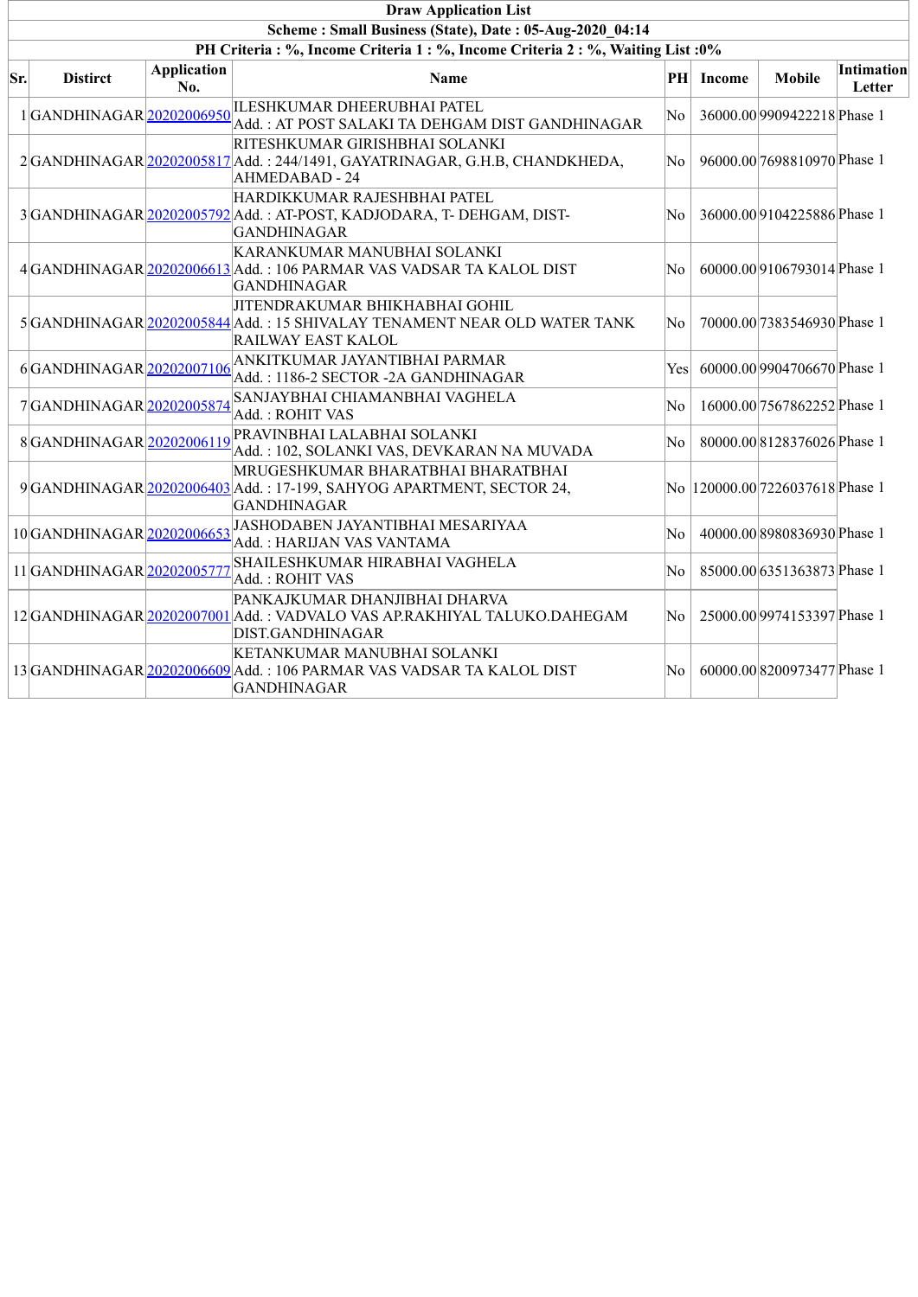|     | <b>Draw Application List</b>                                                 |                           |                                                                                                                                         |                |               |                                  |                      |  |  |  |  |  |
|-----|------------------------------------------------------------------------------|---------------------------|-----------------------------------------------------------------------------------------------------------------------------------------|----------------|---------------|----------------------------------|----------------------|--|--|--|--|--|
|     | Scheme: Small Business (State), Date: 05-Aug-2020 04:14                      |                           |                                                                                                                                         |                |               |                                  |                      |  |  |  |  |  |
|     | PH Criteria: %, Income Criteria 1: %, Income Criteria 2: %, Waiting List: 0% |                           |                                                                                                                                         |                |               |                                  |                      |  |  |  |  |  |
| Sr. | <b>Distirct</b>                                                              | <b>Application</b><br>No. | Name                                                                                                                                    | PH             | <b>Income</b> | <b>Mobile</b>                    | Intimation<br>Letter |  |  |  |  |  |
|     | 1GANDHINAGAR 20202006950                                                     |                           | ILESHKUMAR DHEERUBHAI PATEL<br>Add.: AT POST SALAKI TA DEHGAM DIST GANDHINAGAR                                                          | N <sub>0</sub> |               | 36000.00 9909422218 Phase 1      |                      |  |  |  |  |  |
|     |                                                                              |                           | RITESHKUMAR GIRISHBHAI SOLANKI<br>2 GANDHINAGAR 20202005817 Add.: 244/1491, GAYATRINAGAR, G.H.B, CHANDKHEDA,<br><b>AHMEDABAD - 24</b>   | No.            |               | 96000.00 7698810970 Phase 1      |                      |  |  |  |  |  |
|     |                                                                              |                           | HARDIKKUMAR RAJESHBHAI PATEL<br>3 GANDHINAGAR 20202005792 Add.: AT-POST, KADJODARA, T- DEHGAM, DIST-<br><b>GANDHINAGAR</b>              | No             |               | 36000.00 9104225886 Phase 1      |                      |  |  |  |  |  |
|     |                                                                              |                           | KARANKUMAR MANUBHAI SOLANKI<br>4 GANDHINAGAR 20202006613 Add.: 106 PARMAR VAS VADSAR TA KALOL DIST<br><b>GANDHINAGAR</b>                | No             |               | 60000.00 9106793014 Phase 1      |                      |  |  |  |  |  |
|     |                                                                              |                           | JITENDRAKUMAR BHIKHABHAI GOHIL<br>5 GANDHINAGAR 20202005844 Add.: 15 SHIVALAY TENAMENT NEAR OLD WATER TANK<br><b>RAILWAY EAST KALOL</b> | N <sub>0</sub> |               | 70000.00 7383546930 Phase 1      |                      |  |  |  |  |  |
|     | 6GANDHINAGAR 20202007106                                                     |                           | ANKITKUMAR JAYANTIBHAI PARMAR<br>Add.: 1186-2 SECTOR -2A GANDHINAGAR                                                                    | Yes            |               | 60000.00 9904706670 Phase 1      |                      |  |  |  |  |  |
|     | 7GANDHINAGAR 20202005874                                                     |                           | SANJAYBHAI CHIAMANBHAI VAGHELA<br>Add.: ROHIT VAS                                                                                       | N <sub>0</sub> |               | 16000.00 7567862252 Phase 1      |                      |  |  |  |  |  |
|     | 8GANDHINAGAR 20202006119                                                     |                           | PRAVINBHAI LALABHAI SOLANKI<br>Add.: 102, SOLANKI VAS, DEVKARAN NA MUVADA                                                               | No             |               | 80000.008128376026Phase 1        |                      |  |  |  |  |  |
|     |                                                                              |                           | MRUGESHKUMAR BHARATBHAI BHARATBHAI<br>9 GANDHINAGAR 20202006403 Add.: 17-199, SAHYOG APARTMENT, SECTOR 24,<br><b>GANDHINAGAR</b>        |                |               | No  120000.00 7226037618 Phase 1 |                      |  |  |  |  |  |
|     | 10GANDHINAGAR 20202006653                                                    |                           | JASHODABEN JAYANTIBHAI MESARIYAA<br>Add.: HARIJAN VAS VANTAMA                                                                           | No             |               | 40000.00 8980836930 Phase 1      |                      |  |  |  |  |  |
|     | 11GANDHINAGAR 2020200577                                                     |                           | SHAILESHKUMAR HIRABHAI VAGHELA<br>Add.: ROHIT VAS                                                                                       | N <sub>0</sub> |               | 85000.00 6351363873 Phase 1      |                      |  |  |  |  |  |
|     |                                                                              |                           | PANKAJKUMAR DHANJIBHAI DHARVA<br>12 GANDHINAGAR 20202007001 Add.: VADVALO VAS AP.RAKHIYAL TALUKO.DAHEGAM<br>DIST.GANDHINAGAR            | No             |               | 25000.00 9974153397 Phase 1      |                      |  |  |  |  |  |
|     |                                                                              |                           | KETANKUMAR MANUBHAI SOLANKI<br>13 GANDHINAGAR 20202006609 Add.: 106 PARMAR VAS VADSAR TA KALOL DIST<br><b>GANDHINAGAR</b>               | N <sub>0</sub> |               | 60000.008200973477 Phase 1       |                      |  |  |  |  |  |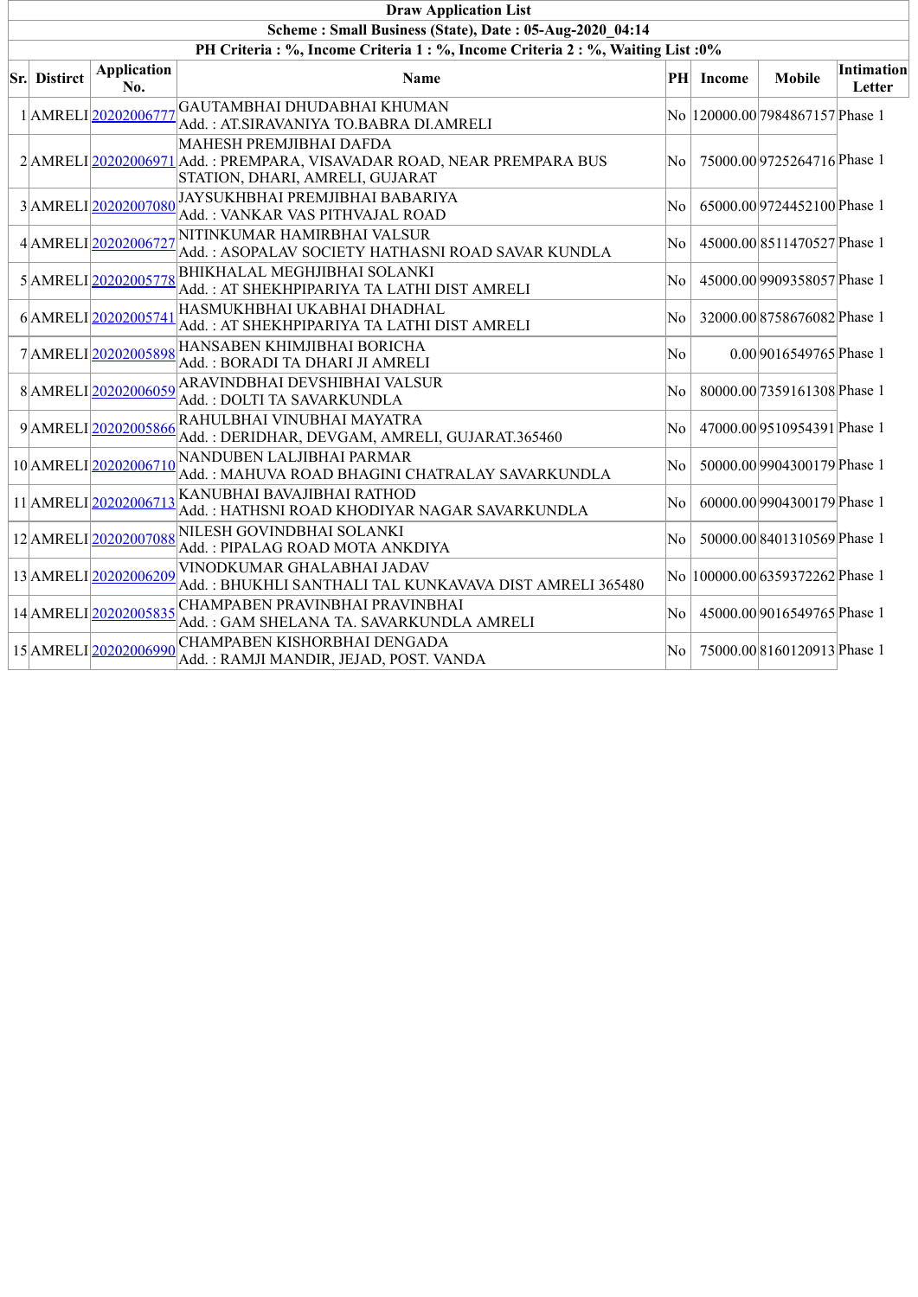| <b>Draw Application List</b>                                                     |                           |                                                                                                                                      |                        |           |                                  |                      |  |  |  |  |  |
|----------------------------------------------------------------------------------|---------------------------|--------------------------------------------------------------------------------------------------------------------------------------|------------------------|-----------|----------------------------------|----------------------|--|--|--|--|--|
| Scheme: Small Business (State), Date: 05-Aug-2020 04:14                          |                           |                                                                                                                                      |                        |           |                                  |                      |  |  |  |  |  |
| PH Criteria : %, Income Criteria 1 : %, Income Criteria 2 : %, Waiting List : 0% |                           |                                                                                                                                      |                        |           |                                  |                      |  |  |  |  |  |
| <b>Sr.</b> Distirct                                                              | <b>Application</b><br>No. | <b>Name</b>                                                                                                                          |                        | PH Income | <b>Mobile</b>                    | Intimation<br>Letter |  |  |  |  |  |
|                                                                                  | 1 AMRELI 20202006777      | GAUTAMBHAI DHUDABHAI KHUMAN<br>Add. : AT.SIRAVANIYA TO.BABRA DI.AMRELI                                                               |                        |           | No  120000.00 7984867157 Phase 1 |                      |  |  |  |  |  |
|                                                                                  |                           | MAHESH PREMJIBHAI DAFDA<br>2 AMRELI 20202006971 Add.: PREMPARA, VISAVADAR ROAD, NEAR PREMPARA BUS<br>STATION, DHARI, AMRELI, GUJARAT | No                     |           | 75000.00 9725264716 Phase 1      |                      |  |  |  |  |  |
|                                                                                  | 3AMRELI20202007080        | JAYSUKHBHAI PREMJIBHAI BABARIYA<br>Add.: VANKAR VAS PITHVAJAL ROAD                                                                   | No                     |           | 65000.00 9724452100 Phase 1      |                      |  |  |  |  |  |
|                                                                                  | 4AMRELI20202006727        | NITINKUMAR HAMIRBHAI VALSUR<br>Add.: ASOPALAV SOCIETY HATHASNI ROAD SAVAR KUNDLA                                                     | No                     |           | 45000.00 8511470527 Phase 1      |                      |  |  |  |  |  |
|                                                                                  | 5AMRELI 20202005778       | <b>BHIKHALAL MEGHJIBHAI SOLANKI</b><br>Add. : AT SHEKHPIPARIYA TA LATHI DIST AMRELI                                                  | $\overline{\text{No}}$ |           | 45000.00 9909358057 Phase 1      |                      |  |  |  |  |  |
|                                                                                  | 6AMRELI20202005741        | HASMUKHBHAI UKABHAI DHADHAL<br>Add.: AT SHEKHPIPARIYA TA LATHI DIST AMRELI                                                           | $\overline{\text{No}}$ |           | 32000.008758676082Phase 1        |                      |  |  |  |  |  |
|                                                                                  | 7AMRELI20202005898        | HANSABEN KHIMJIBHAI BORICHA<br>Add.: BORADI TA DHARI JI AMRELI                                                                       | No.                    |           | 0.00 9016549765 Phase 1          |                      |  |  |  |  |  |
|                                                                                  | 8AMRELI20202006059        | ARAVINDBHAI DEVSHIBHAI VALSUR<br>Add.: DOLTI TA SAVARKUNDLA                                                                          | No                     |           | 80000.00 7359161308 Phase 1      |                      |  |  |  |  |  |
|                                                                                  | 9AMRELI20202005866        | RAHULBHAI VINUBHAI MAYATRA<br>Add.: DERIDHAR, DEVGAM, AMRELI, GUJARAT.365460                                                         | No                     |           | 47000.00 9510954391 Phase 1      |                      |  |  |  |  |  |
|                                                                                  | 10 AMRELI 20202006710     | NANDUBEN LALJIBHAI PARMAR<br>Add.: MAHUVA ROAD BHAGINI CHATRALAY SAVARKUNDLA                                                         | $\overline{\text{No}}$ |           | 50000.00 9904300179 Phase 1      |                      |  |  |  |  |  |
|                                                                                  | 11 AMRELI 20202006713     | KANUBHAI BAVAJIBHAI RATHOD<br>Add. : HATHSNI ROAD KHODIYAR NAGAR SAVARKUNDLA                                                         | No                     |           | 60000.00 9904300179 Phase 1      |                      |  |  |  |  |  |
|                                                                                  | 12 AMRELI 20202007088     | <b>NILESH GOVINDBHAI SOLANKI</b><br>Add.: PIPALAG ROAD MOTA ANKDIYA                                                                  | $\overline{\text{No}}$ |           | 50000.00 8401310569 Phase 1      |                      |  |  |  |  |  |
|                                                                                  | 13AMRELI20202006209       | VINODKUMAR GHALABHAI JADAV<br>Add.: BHUKHLI SANTHALI TAL KUNKAVAVA DIST AMRELI 365480                                                |                        |           | No  100000.00 6359372262 Phase 1 |                      |  |  |  |  |  |
|                                                                                  | 14 AMRELI 20202005835     | CHAMPABEN PRAVINBHAI PRAVINBHAI<br>Add.: GAM SHELANA TA. SAVARKUNDLA AMRELI                                                          | No.                    |           | 45000.00 9016549765 Phase 1      |                      |  |  |  |  |  |
|                                                                                  | 15 AMRELI 20202006990     | CHAMPABEN KISHORBHAI DENGADA<br>Add.: RAMJI MANDIR, JEJAD, POST. VANDA                                                               | No.                    |           | 75000.00 8160120913 Phase 1      |                      |  |  |  |  |  |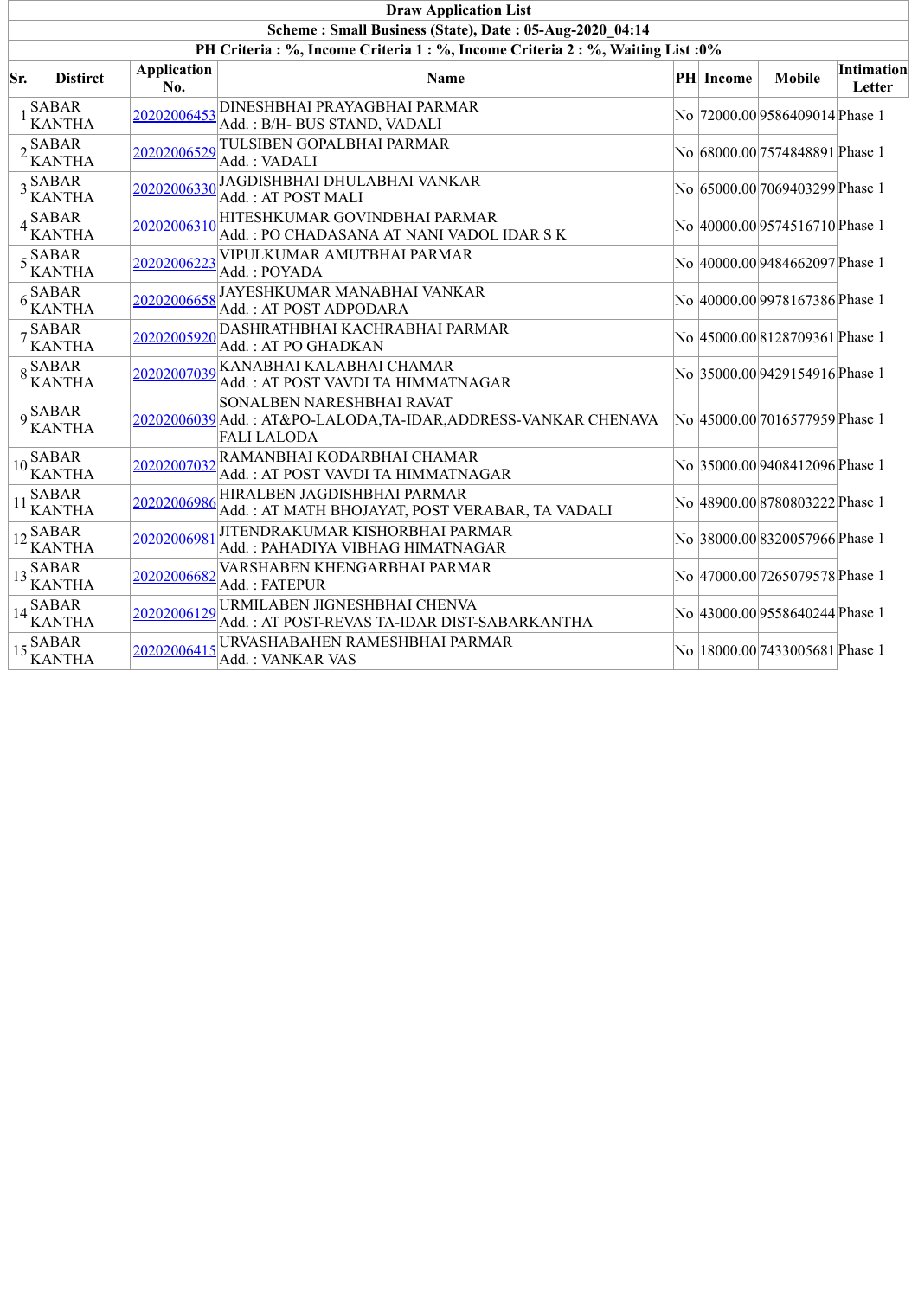|                 | <b>Draw Application List</b>                                                 |                           |                                                                                                                           |  |                  |                                 |                                    |  |  |  |  |  |  |
|-----------------|------------------------------------------------------------------------------|---------------------------|---------------------------------------------------------------------------------------------------------------------------|--|------------------|---------------------------------|------------------------------------|--|--|--|--|--|--|
|                 | Scheme: Small Business (State), Date: 05-Aug-2020 04:14                      |                           |                                                                                                                           |  |                  |                                 |                                    |  |  |  |  |  |  |
|                 | PH Criteria: %, Income Criteria 1: %, Income Criteria 2: %, Waiting List: 0% |                           |                                                                                                                           |  |                  |                                 |                                    |  |  |  |  |  |  |
| $\mathbf{S}$ r. | <b>Distirct</b>                                                              | <b>Application</b><br>No. | Name                                                                                                                      |  | <b>PH</b> Income | <b>Mobile</b>                   | <b>Intimation</b><br><b>Letter</b> |  |  |  |  |  |  |
|                 | $1$ KANTHA                                                                   | 20202006453               | <b>DINESHBHAI PRAYAGBHAI PARMAR</b><br>Add.: B/H- BUS STAND, VADALI                                                       |  |                  | No 72000.00 9586409014 Phase 1  |                                    |  |  |  |  |  |  |
|                 | $2$ <b>SABAR</b><br>KANTHA                                                   | 20202006529               | TULSIBEN GOPALBHAI PARMAR<br>Add.: VADALI                                                                                 |  |                  | No 68000.00 7574848891 Phase 1  |                                    |  |  |  |  |  |  |
|                 | $3\overline{\smash{\big)}\ x}$<br><b>KANTHA</b>                              | 20202006330               | JAGDISHBHAI DHULABHAI VANKAR<br>Add.: AT POST MALI                                                                        |  |                  | No 65000.00 7069403299 Phase 1  |                                    |  |  |  |  |  |  |
|                 | $4$ SABAR<br><b>KANTHA</b>                                                   | 20202006310               | HITESHKUMAR GOVINDBHAI PARMAR<br>Add.: PO CHADASANA AT NANI VADOL IDAR S K                                                |  |                  | No 40000.00 9574516710 Phase 1  |                                    |  |  |  |  |  |  |
|                 | $5\sqrt{\frac{\text{SABAR}}{\text{A}} }$<br><b>KANTHA</b>                    | 20202006223               | VIPULKUMAR AMUTBHAI PARMAR<br>Add.: POYADA                                                                                |  |                  | No 40000.00 9484662097 Phase 1  |                                    |  |  |  |  |  |  |
|                 | $6\begin{array}{l}\n\stackrel{\text{SABAR}}{\text{KANTHA}}\n\end{array}$     | 20202006658               | JAYESHKUMAR MANABHAI VANKAR<br>Add.: AT POST ADPODARA                                                                     |  |                  | No 40000.00 9978167386 Phase 1  |                                    |  |  |  |  |  |  |
|                 | $7\overline{\smash{\big)}\,{\rm SABAR}}$<br><b>KANTHA</b>                    | 20202005920               | DASHRATHBHAI KACHRABHAI PARMAR<br>Add.: AT PO GHADKAN                                                                     |  |                  | No 45000.00 8128709361 Phase 1  |                                    |  |  |  |  |  |  |
|                 | $8\overline{\smash{\big  \text{SABAR}}}$<br><b>KANTHA</b>                    | 20202007039               | KANABHAI KALABHAI CHAMAR<br>Add.: AT POST VAVDI TA HIMMATNAGAR                                                            |  |                  | No 35000.00 9429154916 Phase 1  |                                    |  |  |  |  |  |  |
|                 | $9$ <sup>SABAR</sup><br>KANTHA                                               |                           | <b>SONALBEN NARESHBHAI RAVAT</b><br>20202006039 Add.: AT&PO-LALODA, TA-IDAR, ADDRESS-VANKAR CHENAVA<br><b>FALI LALODA</b> |  |                  | No 45000.00 7016577959 Phase 1  |                                    |  |  |  |  |  |  |
|                 | $10\overline{\smash{\big  \}}_{rr}$ $\overline{\rm SABAR}$<br><b>KANTHA</b>  | 20202007032               | RAMANBHAI KODARBHAI CHAMAR<br>Add.: AT POST VAVDI TA HIMMATNAGAR                                                          |  |                  | No 35000.00 9408412096 Phase 1  |                                    |  |  |  |  |  |  |
| 11              | SABAR<br>KANTHA                                                              | 20202006986               | HIRALBEN JAGDISHBHAI PARMAR<br>Add.: AT MATH BHOJAYAT, POST VERABAR, TA VADALI                                            |  |                  | No 48900.00 8780803222 Phase 1  |                                    |  |  |  |  |  |  |
|                 | $12\overline{\smash{\big }\n\big _{\mathcal{H}}}$ SABAR<br><b>KANTHA</b>     | 20202006981               | JITENDRAKUMAR KISHORBHAI PARMAR<br>Add.: PAHADIYA VIBHAG HIMATNAGAR                                                       |  |                  | No 38000.00 8320057966 Phase 1  |                                    |  |  |  |  |  |  |
|                 | $13 \times \overline{\text{ABAR}}$<br><b>KANTHA</b>                          | 20202006682               | VARSHABEN KHENGARBHAI PARMAR<br>Add.: FATEPUR                                                                             |  |                  | No 47000.00 7265079578 Phase 1  |                                    |  |  |  |  |  |  |
|                 | $14\overline{\smash{\big)}\,_{\mathcal{F}}}$ ABAR<br><b>KANTHA</b>           | 20202006129               | URMILABEN JIGNESHBHAI CHENVA<br>Add.: AT POST-REVAS TA-IDAR DIST-SABARKANTHA                                              |  |                  | No 43000.00 9558640244 Phase 1  |                                    |  |  |  |  |  |  |
|                 | $15\overline{\smash{\big)}\,_{\cdot\cdot}^{SABAR}}$<br><b>KANTHA</b>         | 20202006415               | URVASHABAHEN RAMESHBHAI PARMAR<br>Add.: VANKAR VAS                                                                        |  |                  | No  18000.00 7433005681 Phase 1 |                                    |  |  |  |  |  |  |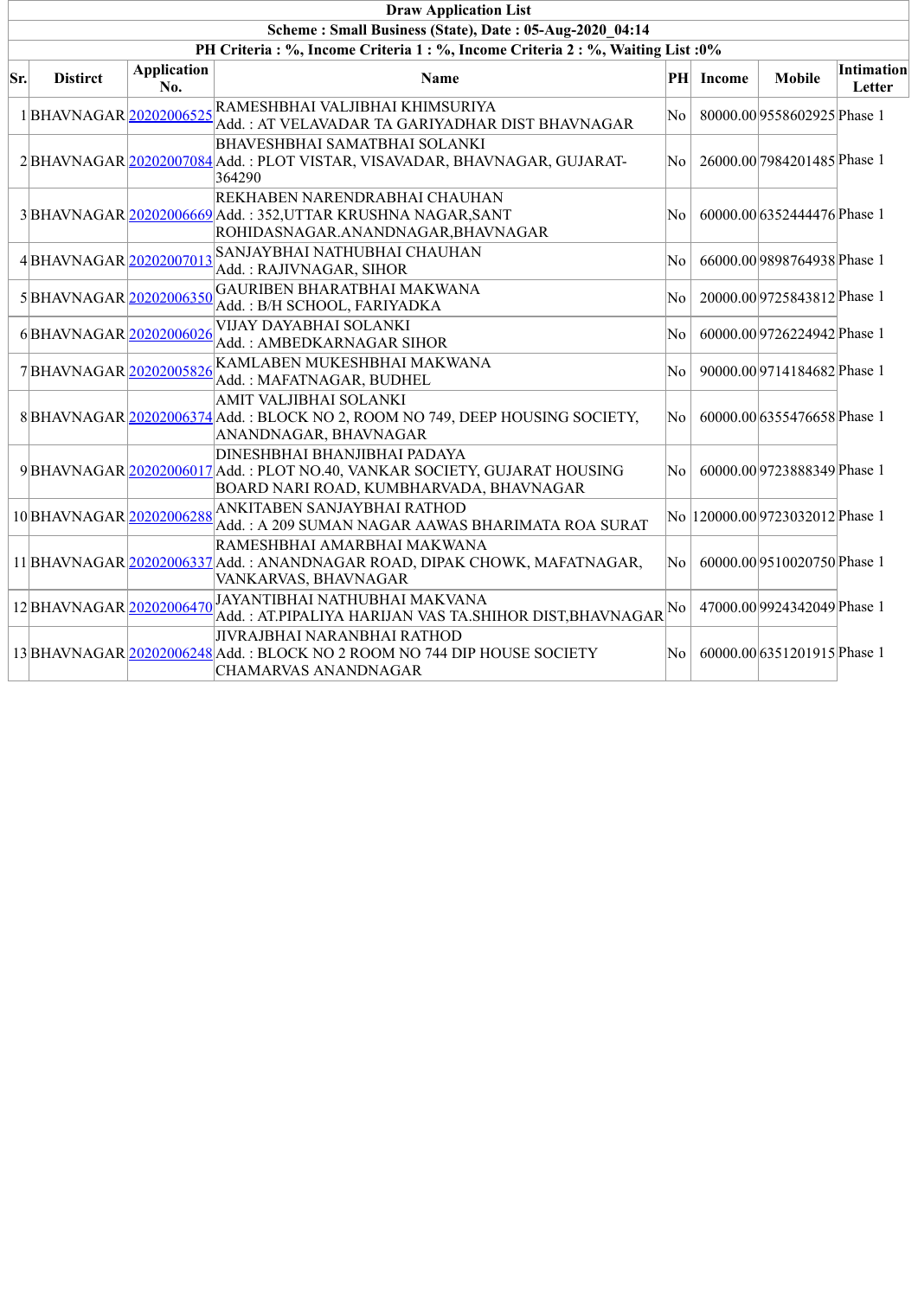|     | <b>Draw Application List</b>                                                 |                           |                                                                                                                                                      |                        |                  |                                  |                             |  |  |  |  |  |
|-----|------------------------------------------------------------------------------|---------------------------|------------------------------------------------------------------------------------------------------------------------------------------------------|------------------------|------------------|----------------------------------|-----------------------------|--|--|--|--|--|
|     | Scheme: Small Business (State), Date: 05-Aug-2020 04:14                      |                           |                                                                                                                                                      |                        |                  |                                  |                             |  |  |  |  |  |
|     | PH Criteria: %, Income Criteria 1: %, Income Criteria 2: %, Waiting List: 0% |                           |                                                                                                                                                      |                        |                  |                                  |                             |  |  |  |  |  |
| Sr. | <b>Distirct</b>                                                              | <b>Application</b><br>No. | Name                                                                                                                                                 |                        | <b>PH</b> Income | <b>Mobile</b>                    | <b>Intimation</b><br>Letter |  |  |  |  |  |
|     | 1 BHAVNAGAR 20202006525                                                      |                           | RAMESHBHAI VALJIBHAI KHIMSURIYA<br>Add.: AT VELAVADAR TA GARIYADHAR DIST BHAVNAGAR                                                                   | No                     |                  | 80000.00 9558602925 Phase 1      |                             |  |  |  |  |  |
|     |                                                                              |                           | <b>BHAVESHBHAI SAMATBHAI SOLANKI</b><br>2 BHAVNAGAR 20202007084 Add.: PLOT VISTAR, VISAVADAR, BHAVNAGAR, GUJARAT-<br>364290                          | No.                    |                  | 26000.00 7984201485 Phase 1      |                             |  |  |  |  |  |
|     |                                                                              |                           | REKHABEN NARENDRABHAI CHAUHAN<br>3 BHAVNAGAR 20202006669 Add.: 352, UTTAR KRUSHNA NAGAR, SANT<br>ROHIDASNAGAR.ANANDNAGAR, BHAVNAGAR                  | No                     |                  | 60000.00 6352444476 Phase 1      |                             |  |  |  |  |  |
|     | 4BHAVNAGAR 20202007013                                                       |                           | SANJAYBHAI NATHUBHAI CHAUHAN<br>Add.: RAJIVNAGAR, SIHOR                                                                                              | No                     |                  | 66000.00 9898764938 Phase 1      |                             |  |  |  |  |  |
|     | 5BHAVNAGAR 20202006350                                                       |                           | GAURIBEN BHARATBHAI MAKWANA<br>Add.: B/H SCHOOL, FARIYADKA                                                                                           | No                     |                  | 20000.00 9725843812 Phase 1      |                             |  |  |  |  |  |
|     | 6BHAVNAGAR 20202006026                                                       |                           | VIJAY DAYABHAI SOLANKI<br>Add.: AMBEDKARNAGAR SIHOR                                                                                                  | No                     |                  | 60000.00 9726224942 Phase 1      |                             |  |  |  |  |  |
|     | 7BHAVNAGAR 20202005826                                                       |                           | KAMLABEN MUKESHBHAI MAKWANA<br>Add.: MAFATNAGAR, BUDHEL                                                                                              | No                     |                  | 90000.00 9714184682 Phase 1      |                             |  |  |  |  |  |
|     |                                                                              |                           | AMIT VALJIBHAI SOLANKI<br>8 BHAVNAGAR 20202006374 Add.: BLOCK NO 2, ROOM NO 749, DEEP HOUSING SOCIETY,<br>ANANDNAGAR, BHAVNAGAR                      | No.                    |                  | 60000.00 6355476658 Phase 1      |                             |  |  |  |  |  |
|     |                                                                              |                           | DINESHBHAI BHANJIBHAI PADAYA<br>9 BHAVNAGAR 20202006017 Add.: PLOT NO.40, VANKAR SOCIETY, GUJARAT HOUSING<br>BOARD NARI ROAD, KUMBHARVADA, BHAVNAGAR | No.                    |                  | 60000.00 9723888349 Phase 1      |                             |  |  |  |  |  |
|     | 10 BHAVNAGAR 20202006288                                                     |                           | ANKITABEN SANJAYBHAI RATHOD<br>Add.: A 209 SUMAN NAGAR AAWAS BHARIMATA ROA SURAT                                                                     |                        |                  | No  120000.00 9723032012 Phase 1 |                             |  |  |  |  |  |
|     |                                                                              |                           | RAMESHBHAI AMARBHAI MAKWANA<br>11 BHAVNAGAR 20202006337 Add.: ANANDNAGAR ROAD, DIPAK CHOWK, MAFATNAGAR,<br>VANKARVAS, BHAVNAGAR                      | $\overline{\text{No}}$ |                  | 60000.00 9510020750 Phase 1      |                             |  |  |  |  |  |
|     | 12BHAVNAGAR 20202006470                                                      |                           | JAYANTIBHAI NATHUBHAI MAKVANA<br><u> Add. : AT.PIPALIYA HARIJAN VAS TA.SHI</u> HOR DIST,BHAVNAGAR ${^{\textrm{No}}}$                                 |                        |                  | 47000.00 9924342049 Phase 1      |                             |  |  |  |  |  |
|     |                                                                              |                           | JIVRAJBHAI NARANBHAI RATHOD<br>13 BHAVNAGAR 20202006248 Add.: BLOCK NO 2 ROOM NO 744 DIP HOUSE SOCIETY<br><b>CHAMARVAS ANANDNAGAR</b>                | No                     |                  | 60000.00 6351201915 Phase 1      |                             |  |  |  |  |  |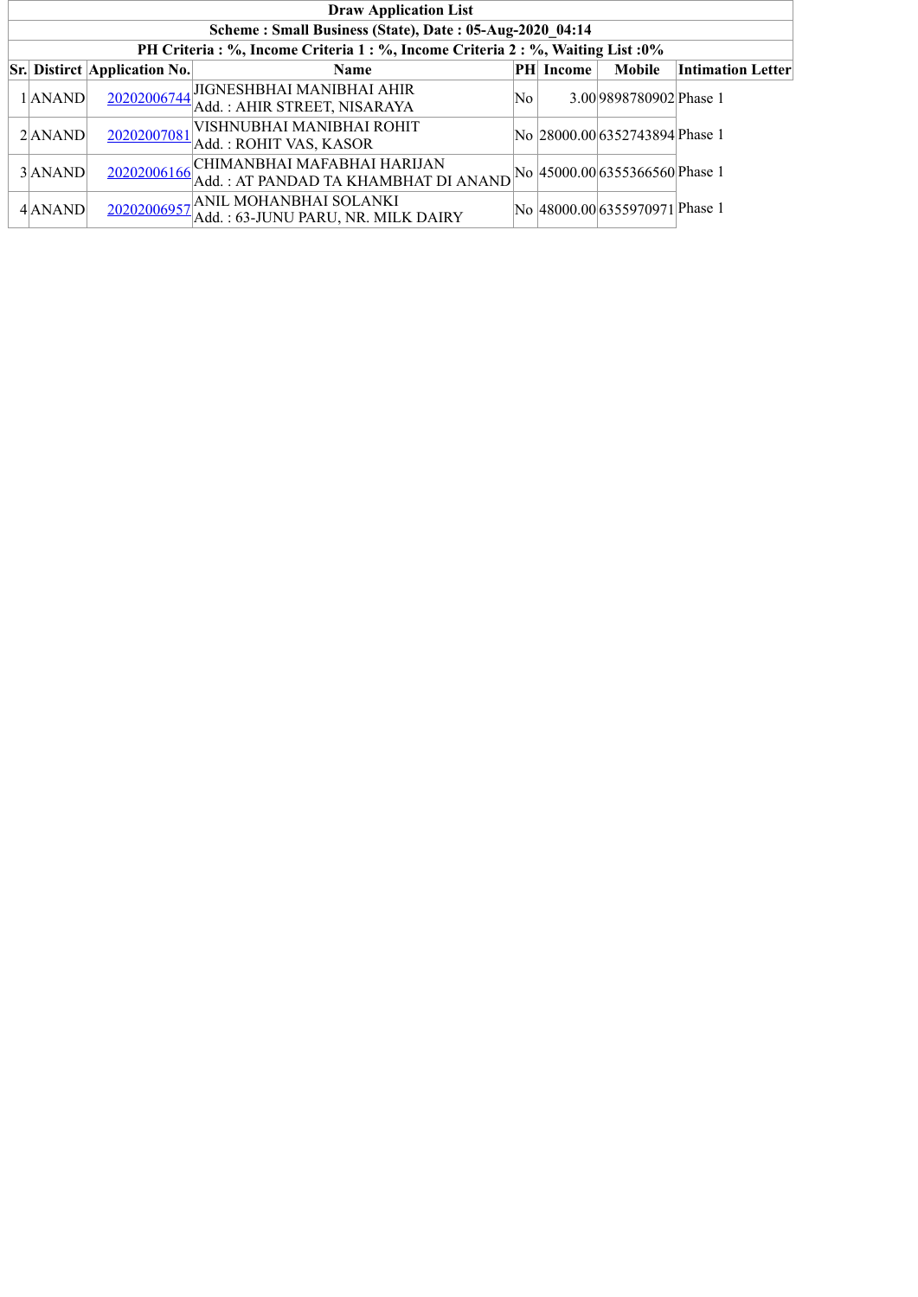| <b>Draw Application List</b>                            |                                     |                                                                                  |    |           |                                |                   |  |  |  |  |
|---------------------------------------------------------|-------------------------------------|----------------------------------------------------------------------------------|----|-----------|--------------------------------|-------------------|--|--|--|--|
| Scheme: Small Business (State), Date: 05-Aug-2020 04:14 |                                     |                                                                                  |    |           |                                |                   |  |  |  |  |
|                                                         |                                     | PH Criteria : %, Income Criteria 1 : %, Income Criteria 2 : %, Waiting List : 0% |    |           |                                |                   |  |  |  |  |
|                                                         | <b>Sr. Distirct Application No.</b> | <b>Name</b>                                                                      |    | PH Income | <b>Mobile</b>                  | Intimation Letter |  |  |  |  |
| 1 ANAND                                                 |                                     | 20202006744 JIGNESHBHAI MANIBHAI AHIR<br>Add.: AHIR STREET, NISARAYA             | No |           | 3.00 9898780902 Phase 1        |                   |  |  |  |  |
| $2$ $ANAND$                                             | 20202007081                         | VISHNUBHAI MANIBHAI ROHIT<br>Add.: ROHIT VAS, KASOR                              |    |           | No 28000.00 6352743894 Phase 1 |                   |  |  |  |  |
| 3 ANAND                                                 | 20202006166                         | CHIMANBHAI MAFABHAI HARIJAN<br>Add.: AT PANDAD TA KHAMBHAT DI ANAND              |    |           | No 45000.00 6355366560 Phase 1 |                   |  |  |  |  |
| 4 ANAND                                                 |                                     | 20202006957 ANIL MOHANBHAI SOLANKI<br>Add.: 63-JUNU PARU, NR. MILK DAIRY         |    |           | No 48000.00 6355970971 Phase 1 |                   |  |  |  |  |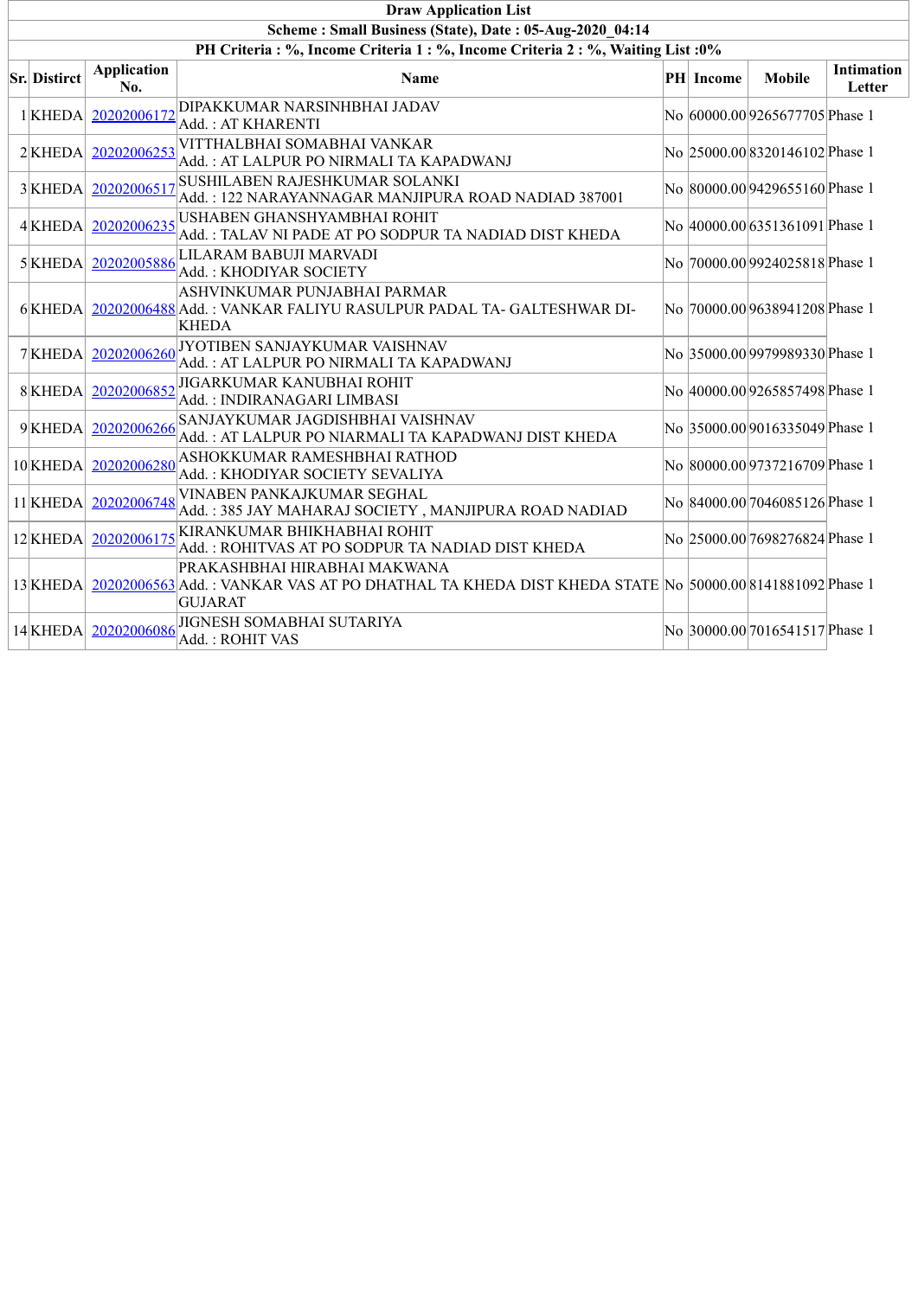| <b>Draw Application List</b>                                                     |                           |                                                                                                                                                       |  |                  |                                |                             |  |  |  |  |  |  |
|----------------------------------------------------------------------------------|---------------------------|-------------------------------------------------------------------------------------------------------------------------------------------------------|--|------------------|--------------------------------|-----------------------------|--|--|--|--|--|--|
| Scheme: Small Business (State), Date: 05-Aug-2020 04:14                          |                           |                                                                                                                                                       |  |                  |                                |                             |  |  |  |  |  |  |
| PH Criteria : %, Income Criteria 1 : %, Income Criteria 2 : %, Waiting List : 0% |                           |                                                                                                                                                       |  |                  |                                |                             |  |  |  |  |  |  |
| <b>Sr. Distirct</b>                                                              | <b>Application</b><br>No. | <b>Name</b>                                                                                                                                           |  | <b>PH</b> Income | <b>Mobile</b>                  | <b>Intimation</b><br>Letter |  |  |  |  |  |  |
| $1$ <b>KHEDA</b>                                                                 | 20202006172               | DIPAKKUMAR NARSINHBHAI JADAV<br>Add. : AT KHARENTI                                                                                                    |  |                  | No 60000.00 9265677705 Phase 1 |                             |  |  |  |  |  |  |
| $2$ <b>KHEDA</b>                                                                 | 20202006253               | VITTHALBHAI SOMABHAI VANKAR<br>Add.: AT LALPUR PO NIRMALI TA KAPADWANJ                                                                                |  |                  | No 25000.00 8320146102 Phase 1 |                             |  |  |  |  |  |  |
| 3KHEDA                                                                           | 20202006517               | SUSHILABEN RAJESHKUMAR SOLANKI<br>Add.: 122 NARAYANNAGAR MANJIPURA ROAD NADIAD 387001                                                                 |  |                  | No 80000.00 9429655160 Phase 1 |                             |  |  |  |  |  |  |
| 4 KHEDA                                                                          | 20202006235               | USHABEN GHANSHYAMBHAI ROHIT<br>Add. : TALAV NI PADE AT PO SODPUR TA NADIAD DIST KHEDA                                                                 |  |                  | No 40000.00 6351361091 Phase 1 |                             |  |  |  |  |  |  |
| $5$ KHEDA                                                                        | 20202005886               | LILARAM BABUJI MARVADI<br>Add. : KHODIYAR SOCIETY                                                                                                     |  |                  | No 70000.00 9924025818 Phase 1 |                             |  |  |  |  |  |  |
| $6$ KHEDA                                                                        |                           | ASHVINKUMAR PUNJABHAI PARMAR<br>20202006488 Add.: VANKAR FALIYU RASULPUR PADAL TA-GALTESHWAR DI-<br><b>KHEDA</b>                                      |  |                  | No 70000.00 9638941208 Phase 1 |                             |  |  |  |  |  |  |
| 7KHEDA                                                                           | 20202006260               | JYOTIBEN SANJAYKUMAR VAISHNAV<br>Add.: AT LALPUR PO NIRMALI TA KAPADWANJ                                                                              |  |                  | No 35000.00 9979989330 Phase 1 |                             |  |  |  |  |  |  |
| 8KHEDA                                                                           | 20202006852               | JIGARKUMAR KANUBHAI ROHIT<br>Add.: INDIRANAGARI LIMBASI                                                                                               |  |                  | No 40000.00 9265857498 Phase 1 |                             |  |  |  |  |  |  |
| 9KHEDA                                                                           | 20202006266               | SANJAYKUMAR JAGDISHBHAI VAISHNAV<br>Add.: AT LALPUR PO NIARMALI TA KAPADWANJ DIST KHEDA                                                               |  |                  | No 35000.00 9016335049 Phase 1 |                             |  |  |  |  |  |  |
| 10 KHEDA                                                                         |                           | 20202006280 ASHOKKUMAR RAMESHBHAI RATHOD<br>Add.: KHODIYAR SOCIETY SEVALIYA                                                                           |  |                  | No 80000.00 9737216709 Phase 1 |                             |  |  |  |  |  |  |
| 11 KHEDA                                                                         | 20202006748               | VINABEN PANKAJKUMAR SEGHAL<br>Add.: 385 JAY MAHARAJ SOCIETY, MANJIPURA ROAD NADIAD                                                                    |  |                  | No 84000.00 7046085126 Phase 1 |                             |  |  |  |  |  |  |
| 12 KHEDA                                                                         | 20202006175               | KIRANKUMAR BHIKHABHAI ROHIT<br>Add.: ROHITVAS AT PO SODPUR TA NADIAD DIST KHEDA                                                                       |  |                  | No 25000.00 7698276824 Phase 1 |                             |  |  |  |  |  |  |
| 13 KHEDA                                                                         |                           | PRAKASHBHAI HIRABHAI MAKWANA<br>20202006563 Add.: VANKAR VAS AT PO DHATHAL TA KHEDA DIST KHEDA STATE No 50000.00 8141881092 Phase 1<br><b>GUJARAT</b> |  |                  |                                |                             |  |  |  |  |  |  |
| 14 KHEDA                                                                         | 20202006086               | JIGNESH SOMABHAI SUTARIYA<br>Add. : ROHIT VAS                                                                                                         |  |                  | No 30000.00 7016541517 Phase 1 |                             |  |  |  |  |  |  |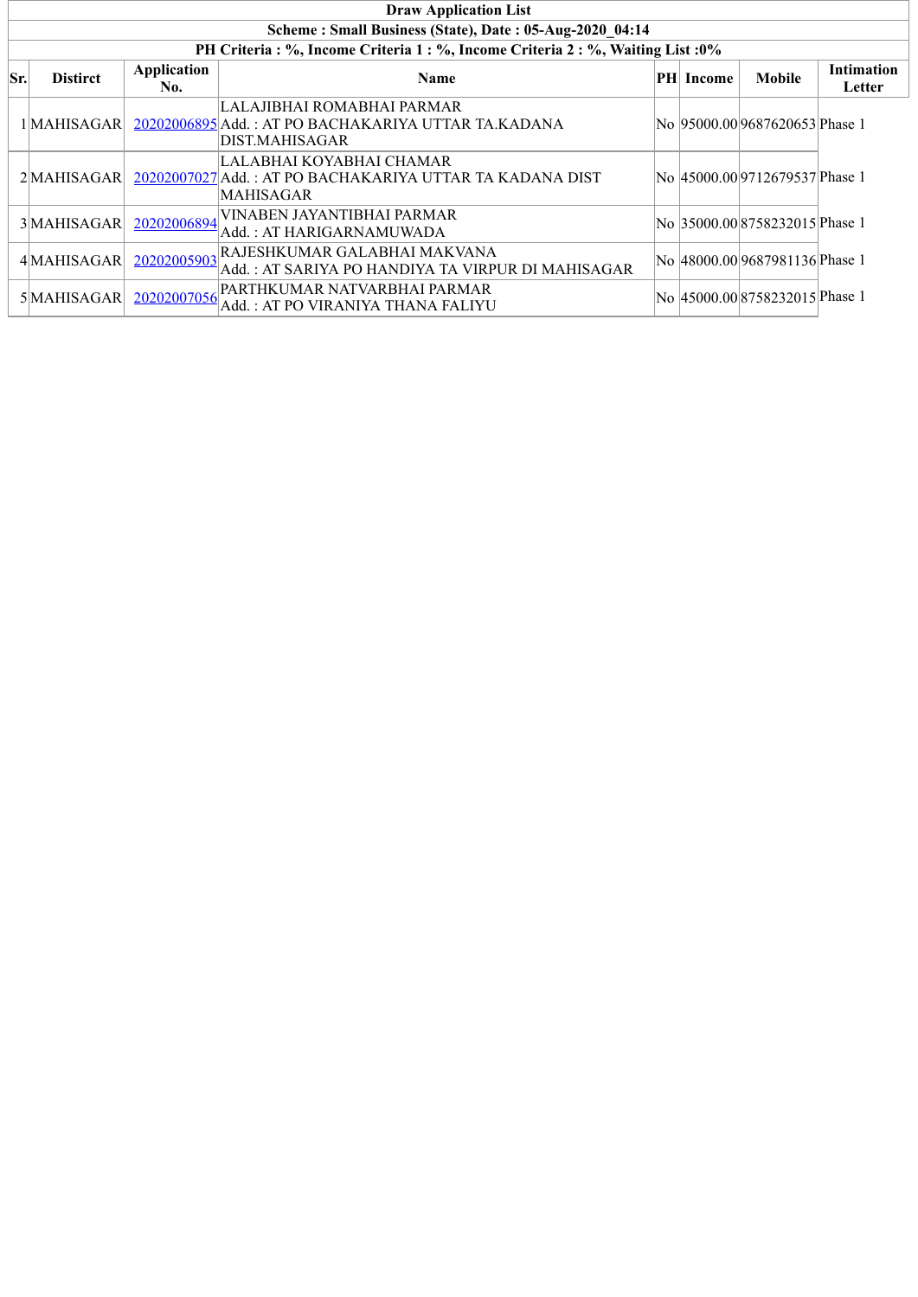|     | <b>Draw Application List</b>                            |                    |                                                                                                     |  |                   |                                |                             |  |  |  |  |  |
|-----|---------------------------------------------------------|--------------------|-----------------------------------------------------------------------------------------------------|--|-------------------|--------------------------------|-----------------------------|--|--|--|--|--|
|     | Scheme: Small Business (State), Date: 05-Aug-2020 04:14 |                    |                                                                                                     |  |                   |                                |                             |  |  |  |  |  |
|     |                                                         |                    | PH Criteria : %, Income Criteria 1 : %, Income Criteria 2 : %, Waiting List : 0%                    |  |                   |                                |                             |  |  |  |  |  |
| Sr. | <b>Distirct</b>                                         | Application<br>No. | <b>Name</b>                                                                                         |  | <b>PHI</b> Income | <b>Mobile</b>                  | <b>Intimation</b><br>Letter |  |  |  |  |  |
|     | 1 MAHISAGAR                                             |                    | LALAJIBHAI ROMABHAI PARMAR<br>20202006895 Add.: AT PO BACHAKARIYA UTTAR TA.KADANA<br>DIST.MAHISAGAR |  |                   | No 95000.009687620653 Phase 1  |                             |  |  |  |  |  |
|     | 2MAHISAGAR                                              |                    | LALABHAI KOYABHAI CHAMAR<br>20202007027 Add.: AT PO BACHAKARIYA UTTAR TA KADANA DIST<br>MAHISAGAR   |  |                   | No 45000.00 9712679537 Phase 1 |                             |  |  |  |  |  |
|     | 3 MAHISAGAR                                             | 20202006894        | VINABEN JAYANTIBHAI PARMAR<br>Add. : AT HARIGARNAMUWADA                                             |  |                   | No 35000.00 8758232015 Phase 1 |                             |  |  |  |  |  |
|     | 4 MAHISAGAR                                             | 20202005903        | RAJESHKUMAR GALABHAI MAKVANA<br>Add. : AT SARIYA PO HANDIYA TA VIRPUR DI MAHISAGAR                  |  |                   | No 48000.00 9687981136 Phase 1 |                             |  |  |  |  |  |
|     | 5 MAHISAGAR                                             | 20202007056        | PARTHKUMAR NATVARBHAI PARMAR<br>Add. : AT PO VIRANIYA THANA FALIYU                                  |  |                   | No 45000.00 8758232015 Phase 1 |                             |  |  |  |  |  |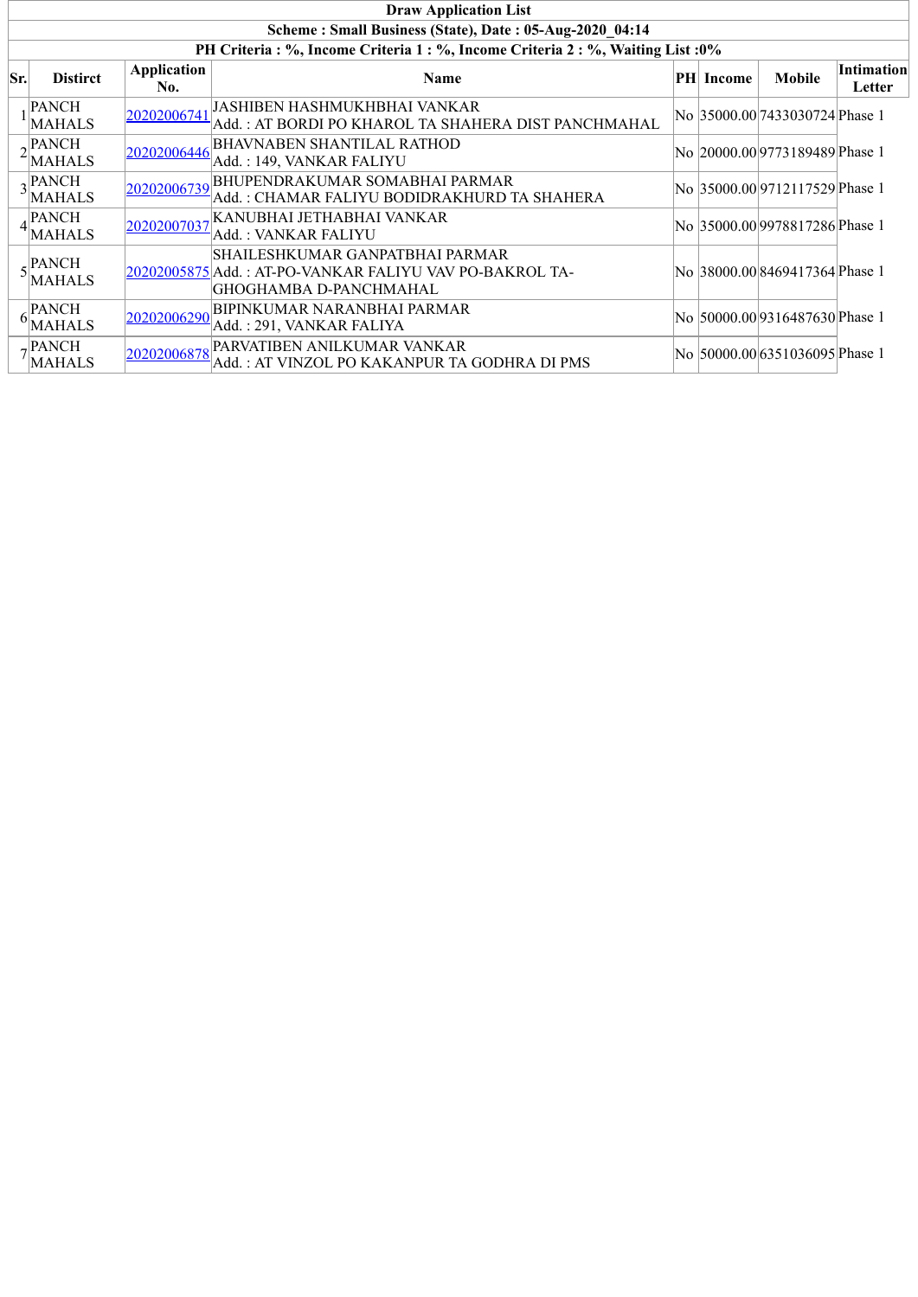|     | <b>Draw Application List</b>                            |                           |                                                                                                                      |  |           |                                 |                             |  |  |  |  |
|-----|---------------------------------------------------------|---------------------------|----------------------------------------------------------------------------------------------------------------------|--|-----------|---------------------------------|-----------------------------|--|--|--|--|
|     | Scheme: Small Business (State), Date: 05-Aug-2020 04:14 |                           |                                                                                                                      |  |           |                                 |                             |  |  |  |  |
|     |                                                         |                           | PH Criteria : %, Income Criteria 1 : %, Income Criteria 2 : %, Waiting List : 0%                                     |  |           |                                 |                             |  |  |  |  |
| Sr. | <b>Distirct</b>                                         | <b>Application</b><br>No. | Name                                                                                                                 |  | PH Income | <b>Mobile</b>                   | <b>Intimation</b><br>Letter |  |  |  |  |
|     | <b>PANCH</b><br><b>MAHALS</b>                           | 20202006741               | JASHIBEN HASHMUKHBHAI VANKAR<br>Add. : AT BORDI PO KHAROL TA SHAHERA DIST PANCHMAHAL                                 |  |           | No 35000.00 7433030724 Phase 1  |                             |  |  |  |  |
|     | PANCH<br><b>MAHALS</b>                                  | 20202006446               | <b>BHAVNABEN SHANTILAL RATHOD</b><br>Add.: 149, VANKAR FALIYU                                                        |  |           | No  20000.00 9773189489 Phase 1 |                             |  |  |  |  |
|     | $\sqrt{\text{PAVCH}}$<br><b>MAHALS</b>                  |                           | 20202006739 BHUPENDRAKUMAR SOMABHAI PARMAR<br>Add.: CHAMAR FALIYU BODIDRAKHURD TA SHAHERA                            |  |           | No 35000.00 9712117529 Phase 1  |                             |  |  |  |  |
|     | <b>PANCH</b><br><b>MAHALS</b>                           | 20202007037               | KANUBHAI JETHABHAI VANKAR<br>Add. : VANKAR FALIYU                                                                    |  |           | No  35000.00 9978817286 Phase 1 |                             |  |  |  |  |
|     | - PANCH<br><b>MAHALS</b>                                |                           | SHAILESHKUMAR GANPATBHAI PARMAR<br>20202005875 Add.: AT-PO-VANKAR FALIYU VAV PO-BAKROL TA-<br>GHOGHAMBA D-PANCHMAHAL |  |           | No 38000.00 8469417364 Phase 1  |                             |  |  |  |  |
|     | <b>PANCH</b><br><b>MAHALS</b>                           | 20202006290               | <b>BIPINKUMAR NARANBHAI PARMAR</b><br>Add.: 291, VANKAR FALIYA                                                       |  |           | No 50000.00 9316487630 Phase 1  |                             |  |  |  |  |
|     | , PANCH<br><b>MAHALS</b>                                | 20202006878               | PARVATIBEN ANILKUMAR VANKAR<br>Add. : AT VINZOL PO KAKANPUR TA GODHRA DI PMS                                         |  |           | No  50000.00 6351036095 Phase 1 |                             |  |  |  |  |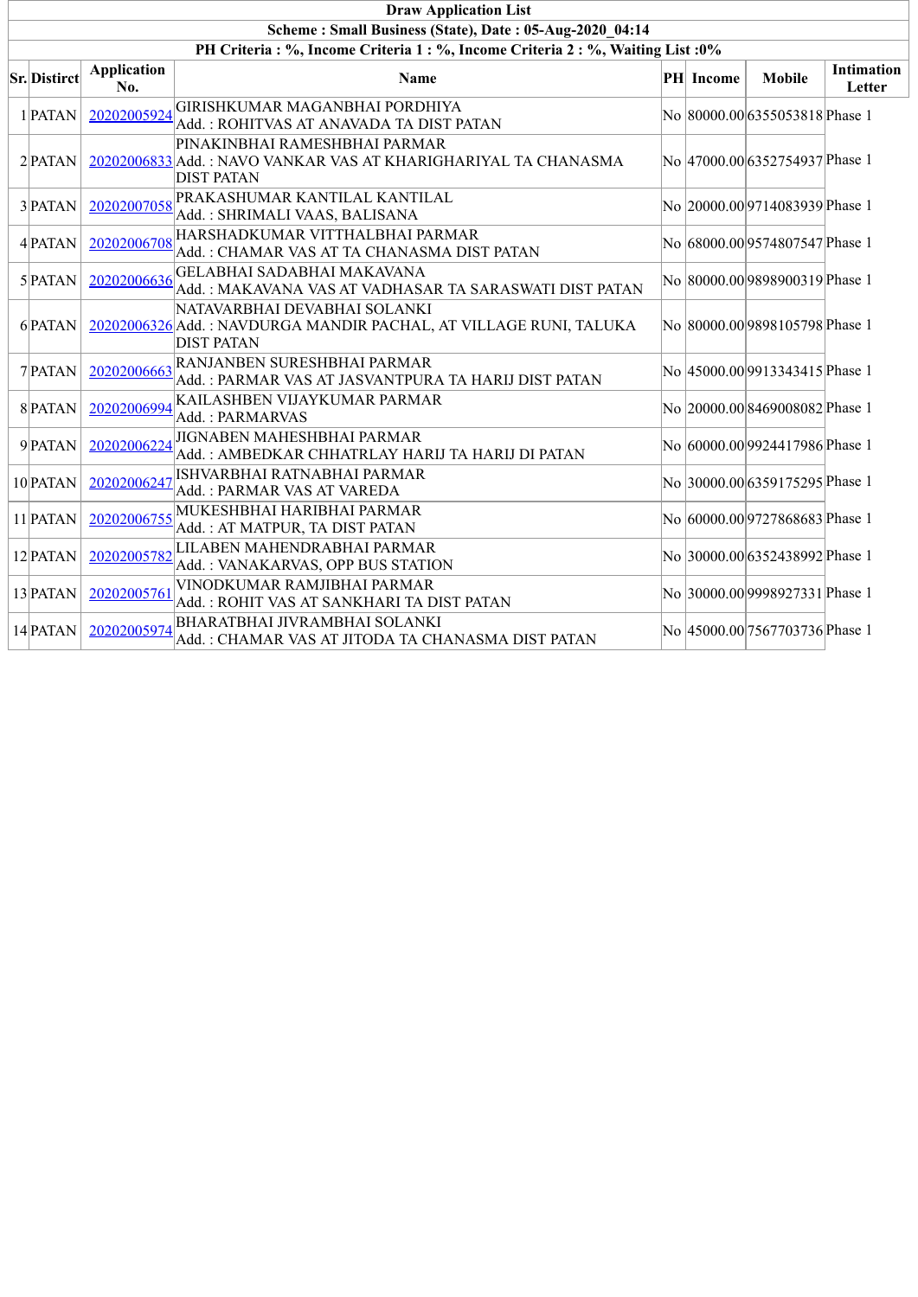| <b>Draw Application List</b>                                                 |                           |                                                                                                                        |  |           |                                |                             |  |  |  |  |  |  |
|------------------------------------------------------------------------------|---------------------------|------------------------------------------------------------------------------------------------------------------------|--|-----------|--------------------------------|-----------------------------|--|--|--|--|--|--|
| Scheme: Small Business (State), Date: 05-Aug-2020 04:14                      |                           |                                                                                                                        |  |           |                                |                             |  |  |  |  |  |  |
| PH Criteria: %, Income Criteria 1: %, Income Criteria 2: %, Waiting List: 0% |                           |                                                                                                                        |  |           |                                |                             |  |  |  |  |  |  |
| <b>Sr.</b> Distirct                                                          | <b>Application</b><br>No. | Name                                                                                                                   |  | PH Income | <b>Mobile</b>                  | <b>Intimation</b><br>Letter |  |  |  |  |  |  |
| 1 PATAN                                                                      | 20202005924               | GIRISHKUMAR MAGANBHAI PORDHIYA<br>Add. : ROHITVAS AT ANAVADA TA DIST PATAN                                             |  |           | No 80000.00 6355053818 Phase 1 |                             |  |  |  |  |  |  |
| $2$ <b>PATAN</b>                                                             |                           | PINAKINBHAI RAMESHBHAI PARMAR<br>20202006833 Add.: NAVO VANKAR VAS AT KHARIGHARIYAL TA CHANASMA<br><b>DIST PATAN</b>   |  |           | No 47000.00 6352754937 Phase 1 |                             |  |  |  |  |  |  |
| 3 PATAN                                                                      | 20202007058               | PRAKASHUMAR KANTILAL KANTILAL<br>Add.: SHRIMALI VAAS, BALISANA                                                         |  |           | No 20000.00 9714083939 Phase 1 |                             |  |  |  |  |  |  |
| 4 PATAN                                                                      | 20202006708               | HARSHADKUMAR VITTHALBHAI PARMAR<br>Add.: CHAMAR VAS AT TA CHANASMA DIST PATAN                                          |  |           | No 68000.00 9574807547 Phase 1 |                             |  |  |  |  |  |  |
| $5$ PATAN                                                                    | 20202006636               | GELABHAI SADABHAI MAKAVANA<br>Add.: MAKAVANA VAS AT VADHASAR TA SARASWATI DIST PATAN                                   |  |           | No 80000.00 9898900319 Phase 1 |                             |  |  |  |  |  |  |
| 6 PATAN                                                                      |                           | NATAVARBHAI DEVABHAI SOLANKI<br>20202006326 Add.: NAVDURGA MANDIR PACHAL, AT VILLAGE RUNI, TALUKA<br><b>DIST PATAN</b> |  |           | No 80000.00 9898105798 Phase 1 |                             |  |  |  |  |  |  |
| 7 PATAN                                                                      | 20202006663               | RANJANBEN SURESHBHAI PARMAR<br>Add.: PARMAR VAS AT JASVANTPURA TA HARIJ DIST PATAN                                     |  |           | No 45000.00 9913343415 Phase 1 |                             |  |  |  |  |  |  |
| 8 PATAN                                                                      | 20202006994               | KAILASHBEN VIJAYKUMAR PARMAR<br>Add.: PARMARVAS                                                                        |  |           | No 20000.00 8469008082 Phase 1 |                             |  |  |  |  |  |  |
| 9 PATAN                                                                      | 20202006224               | JIGNABEN MAHESHBHAI PARMAR<br>Add.: AMBEDKAR CHHATRLAY HARIJ TA HARIJ DI PATAN                                         |  |           | No 60000.00 9924417986 Phase 1 |                             |  |  |  |  |  |  |
| 10 PATAN                                                                     | 20202006247               | ISHVARBHAI RATNABHAI PARMAR<br>Add.: PARMAR VAS AT VAREDA                                                              |  |           | No 30000.00 6359175295 Phase 1 |                             |  |  |  |  |  |  |
| 11 PATAN                                                                     | 20202006755               | MUKESHBHAI HARIBHAI PARMAR<br>Add.: AT MATPUR, TA DIST PATAN                                                           |  |           | No 60000.00 9727868683 Phase 1 |                             |  |  |  |  |  |  |
| 12 PATAN                                                                     | 20202005782               | LILABEN MAHENDRABHAI PARMAR<br>Add.: VANAKARVAS, OPP BUS STATION                                                       |  |           | No 30000.00 6352438992 Phase 1 |                             |  |  |  |  |  |  |
| 13 PATAN                                                                     | 20202005761               | VINODKUMAR RAMJIBHAI PARMAR<br>Add. : ROHIT VAS AT SANKHARI TA DIST PATAN                                              |  |           | No 30000.00 9998927331 Phase 1 |                             |  |  |  |  |  |  |
| 14 PATAN                                                                     | 20202005974               | <b>BHARATBHAI JIVRAMBHAI SOLANKI</b><br>Add.: CHAMAR VAS AT JITODA TA CHANASMA DIST PATAN                              |  |           | No 45000.00 7567703736 Phase 1 |                             |  |  |  |  |  |  |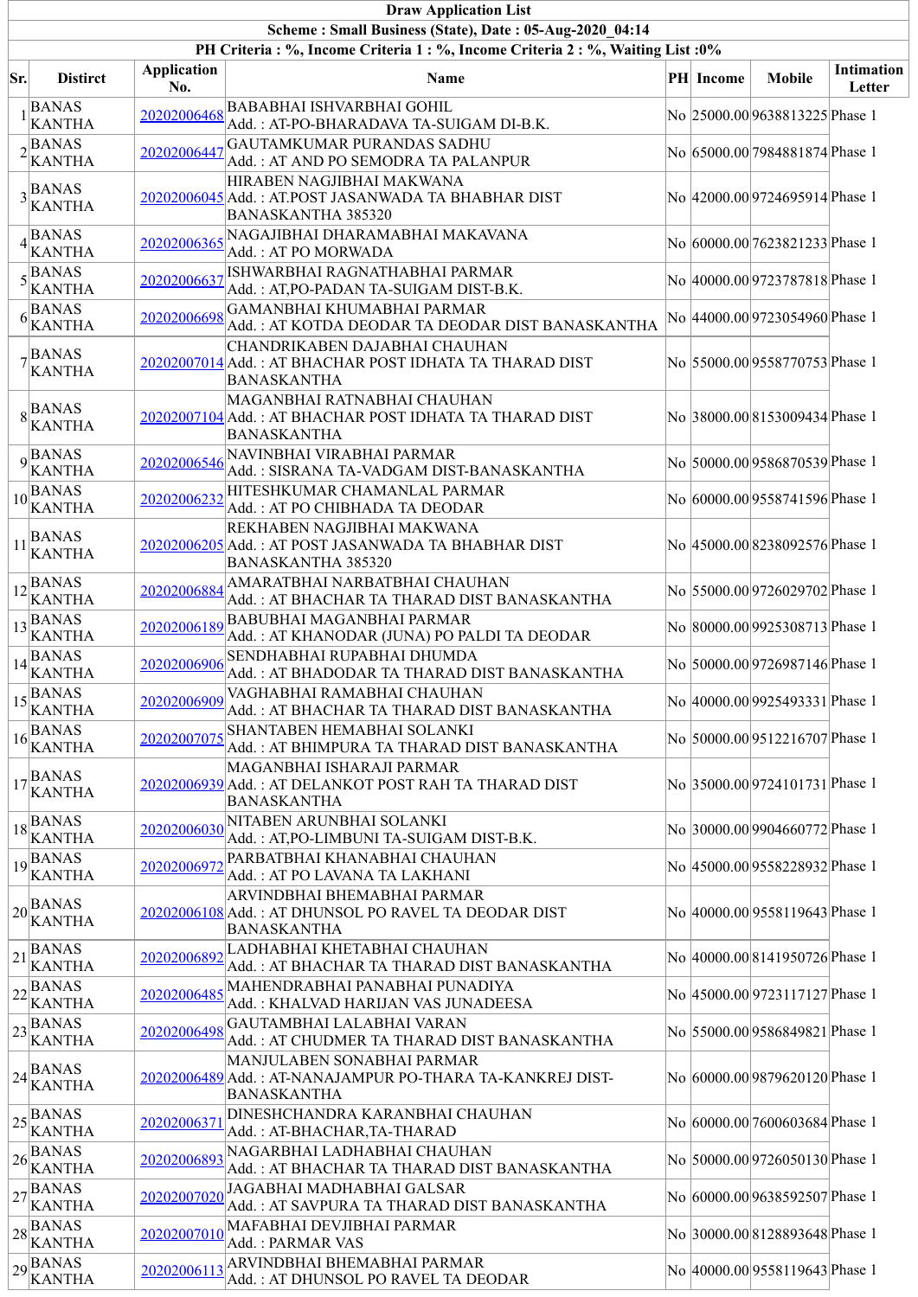|     |                                                                            |                           | <b>Draw Application List</b>                                                                                        |  |                  |                                 |                             |  |  |  |
|-----|----------------------------------------------------------------------------|---------------------------|---------------------------------------------------------------------------------------------------------------------|--|------------------|---------------------------------|-----------------------------|--|--|--|
|     | Scheme: Small Business (State), Date: 05-Aug-2020 04:14                    |                           |                                                                                                                     |  |                  |                                 |                             |  |  |  |
|     |                                                                            |                           | PH Criteria : %, Income Criteria 1 : %, Income Criteria 2 : %, Waiting List : 0%                                    |  |                  |                                 |                             |  |  |  |
| Sr. | <b>Distirct</b>                                                            | <b>Application</b><br>No. | <b>Name</b>                                                                                                         |  | <b>PH</b> Income | <b>Mobile</b>                   | <b>Intimation</b><br>Letter |  |  |  |
|     | <b>BANAS</b><br><b>KANTHA</b>                                              | 20202006468               | <b>BABABHAI ISHVARBHAI GOHIL</b><br>Add.: AT-PO-BHARADAVA TA-SUIGAM DI-B.K.                                         |  |                  | No 25000.00 9638813225 Phase 1  |                             |  |  |  |
|     | $2\sqrt{\text{BANAS}}$<br><b>KANTHA</b>                                    | 20202006447               | GAUTAMKUMAR PURANDAS SADHU<br>Add.: AT AND PO SEMODRA TA PALANPUR                                                   |  |                  | No 65000.00 7984881874 Phase 1  |                             |  |  |  |
|     | $3$ <b>BANAS</b><br>KANTHA                                                 |                           | HIRABEN NAGJIBHAI MAKWANA<br>20202006045 Add.: AT.POST JASANWADA TA BHABHAR DIST<br><b>BANASKANTHA 385320</b>       |  |                  | No 42000.00 9724695914 Phase 1  |                             |  |  |  |
|     | $4$ BANAS<br><b>KANTHA</b>                                                 | 20202006365               | NAGAJIBHAI DHARAMABHAI MAKAVANA<br>Add.: AT PO MORWADA                                                              |  |                  | No 60000.00 7623821233 Phase 1  |                             |  |  |  |
|     | $5\begin{array}{l}\n\stackrel{\text{BANAS}}{\text{KANTHA}}\n\end{array}$   | 20202006637               | ISHWARBHAI RAGNATHABHAI PARMAR<br>Add.: AT,PO-PADAN TA-SUIGAM DIST-B.K.                                             |  |                  | No 40000.00 9723787818 Phase 1  |                             |  |  |  |
|     | <b>BANAS</b><br>$6 \times \sqrt{\text{KANTHA}}$                            | 20202006698               | <b>GAMANBHAI KHUMABHAI PARMAR</b><br>Add.: AT KOTDA DEODAR TA DEODAR DIST BANASKANTHA                               |  |                  | No  44000.00 9723054960 Phase 1 |                             |  |  |  |
|     | $7\frac{BANAS}{KANTHA}$                                                    |                           | CHANDRIKABEN DAJABHAI CHAUHAN<br>20202007014 Add.: AT BHACHAR POST IDHATA TA THARAD DIST<br><b>BANASKANTHA</b>      |  |                  | No 55000.00 9558770753 Phase 1  |                             |  |  |  |
|     | $8\begin{array}{l}\n\big \text{BANAS} \\ \text{KANTHA}\n\end{array}$       |                           | MAGANBHAI RATNABHAI CHAUHAN<br>20202007104 Add. : AT BHACHAR POST IDHATA TA THARAD DIST<br><b>BANASKANTHA</b>       |  |                  | No 38000.008153009434 Phase 1   |                             |  |  |  |
|     | $9$ <sup>BANAS</sup><br>KANTHA                                             |                           | 20202006546 NAVINBHAI VIRABHAI PARMAR<br>Add.: SISRANA TA-VADGAM DIST-BANASKANTHA                                   |  |                  | No 50000.00 9586870539 Phase 1  |                             |  |  |  |
|     | $10\overline{\text{BANAS}}$<br><b>KANTHA</b>                               | 20202006232               | HITESHKUMAR CHAMANLAL PARMAR<br>Add.: AT PO CHIBHADA TA DEODAR                                                      |  |                  | No 60000.00 9558741596 Phase 1  |                             |  |  |  |
| 11  | <b>BANAS</b><br><b>KANTHA</b>                                              |                           | REKHABEN NAGJIBHAI MAKWANA<br>20202006205 Add.: AT POST JASANWADA TA BHABHAR DIST<br><b>BANASKANTHA 385320</b>      |  |                  | No 45000.008238092576 Phase 1   |                             |  |  |  |
|     | $12\overline{\text{BANAS}}$<br><b>KANTHA</b>                               |                           | 20202006884 AMARATBHAI NARBATBHAI CHAUHAN<br>Add.: AT BHACHAR TA THARAD DIST BANASKANTHA                            |  |                  | No 55000.00 9726029702 Phase 1  |                             |  |  |  |
|     | $13\overline{\text{BANAS}}$<br><b>KANTHA</b>                               |                           | 20202006189 BABUBHAI MAGANBHAI PARMAR<br>Add.: AT KHANODAR (JUNA) PO PALDI TA DEODAR                                |  |                  | No 80000.00 9925308713 Phase 1  |                             |  |  |  |
|     | $14\overline{\text{BANAS}}$<br><b>KANTHA</b>                               | 20202006906               | SENDHABHAI RUPABHAI DHUMDA<br>Add.: AT BHADODAR TA THARAD DIST BANASKANTHA                                          |  |                  | No 50000.00 9726987146 Phase 1  |                             |  |  |  |
| 15  | <b>BANAS</b><br><b>KANTHA</b>                                              | 20202006909               | VAGHABHAI RAMABHAI CHAUHAN<br>Add.: AT BHACHAR TA THARAD DIST BANASKANTHA                                           |  |                  | No 40000.00 9925493331 Phase 1  |                             |  |  |  |
| 16  | <b>BANAS</b><br><b>KANTHA</b>                                              | 20202007075               | SHANTABEN HEMABHAI SOLANKI<br>Add.: AT BHIMPURA TA THARAD DIST BANASKANTHA                                          |  |                  | No 50000.00 9512216707 Phase 1  |                             |  |  |  |
|     | $17\begin{array}{l}\n\text{BANAS} \\ \text{KANTHA}\n\end{array}$           |                           | MAGANBHAI ISHARAJI PARMAR<br>20202006939 Add.: AT DELANKOT POST RAH TA THARAD DIST<br><b>BANASKANTHA</b>            |  |                  | No 35000.00 9724101731 Phase 1  |                             |  |  |  |
|     | $18\overline{\text{BANAS}}$<br><b>KANTHA</b>                               | 20202006030               | NITABEN ARUNBHAI SOLANKI<br>Add.: AT, PO-LIMBUNI TA-SUIGAM DIST-B.K.                                                |  |                  | No 30000.00 9904660772 Phase 1  |                             |  |  |  |
|     | $19\overline{\text{BANAS}}$<br><b>KANTHA</b>                               | 20202006972               | PARBATBHAI KHANABHAI CHAUHAN<br>Add. : AT PO LAVANA TA LAKHANI                                                      |  |                  | No 45000.00 9558228932 Phase 1  |                             |  |  |  |
|     | $20\vert$ BANAS<br><b>KANTHA</b>                                           |                           | ARVINDBHAI BHEMABHAI PARMAR<br><u> 20202006108 </u> Add. : AT DHUNSOL PO RAVEL TA DEODAR DIST<br><b>BANASKANTHA</b> |  |                  | No 40000.00 9558119643 Phase 1  |                             |  |  |  |
| 21  | <b>BANAS</b><br><b>KANTHA</b>                                              | 20202006892               | LADHABHAI KHETABHAI CHAUHAN<br>Add.: AT BHACHAR TA THARAD DIST BANASKANTHA                                          |  |                  | No 40000.00 8141950726 Phase 1  |                             |  |  |  |
|     | $22\sqrt{\frac{BANAS}{m}}$<br><b>KANTHA</b>                                |                           | 20202006485 MAHENDRABHAI PANABHAI PUNADIYA<br>Add. : KHALVAD HARIJAN VAS JUNADEESA                                  |  |                  | No 45000.00 9723117127 Phase 1  |                             |  |  |  |
|     | $23\overline{\smash{\big  \text{BANAS}}\vphantom{\big }}$<br><b>KANTHA</b> | 20202006498               | GAUTAMBHAI LALABHAI VARAN<br>Add. : AT CHUDMER TA THARAD DIST BANASKANTHA                                           |  |                  | No 55000.00 9586849821 Phase 1  |                             |  |  |  |
|     | $24\frac{B}{11}$<br><b>KANTHA</b>                                          |                           | MANJULABEN SONABHAI PARMAR<br>20202006489 Add. : AT-NANAJAMPUR PO-THARA TA-KANKREJ DIST-<br><b>BANASKANTHA</b>      |  |                  | No 60000.00 9879620120 Phase 1  |                             |  |  |  |
|     | $25\overline{\smash{{\text{BANAS}}\xspace}}$<br><b>KANTHA</b>              | 2020200637                | DINESHCHANDRA KARANBHAI CHAUHAN<br>Add.: AT-BHACHAR, TA-THARAD                                                      |  |                  | No 60000.00 7600603684 Phase 1  |                             |  |  |  |
|     | $26\sqrt{\frac{BANAS}{m}}$<br><b>KANTHA</b>                                | 20202006893               | NAGARBHAI LADHABHAI CHAUHAN<br>Add. : AT BHACHAR TA THARAD DIST BANASKANTHA                                         |  |                  | No 50000.00 9726050130 Phase 1  |                             |  |  |  |
|     | $27\sqrt{\frac{BANAS}{m}}$<br><b>KANTHA</b>                                | 20202007020               | JAGABHAI MADHABHAI GALSAR<br>Add. : AT SAVPURA TA THARAD DIST BANASKANTHA                                           |  |                  | No 60000.00 9638592507 Phase 1  |                             |  |  |  |
|     | $28\sqrt{\frac{BANAS}{m}}$<br><b>KANTHA</b>                                | 20202007010               | MAFABHAI DEVJIBHAI PARMAR<br>Add.: PARMAR VAS                                                                       |  |                  | No 30000.008128893648 Phase 1   |                             |  |  |  |
|     | $29\overline{\text{BANAS}}$<br><b>KANTHA</b>                               | 20202006113               | ARVINDBHAI BHEMABHAI PARMAR<br>Add.: AT DHUNSOL PO RAVEL TA DEODAR                                                  |  |                  | No 40000.00 9558119643 Phase 1  |                             |  |  |  |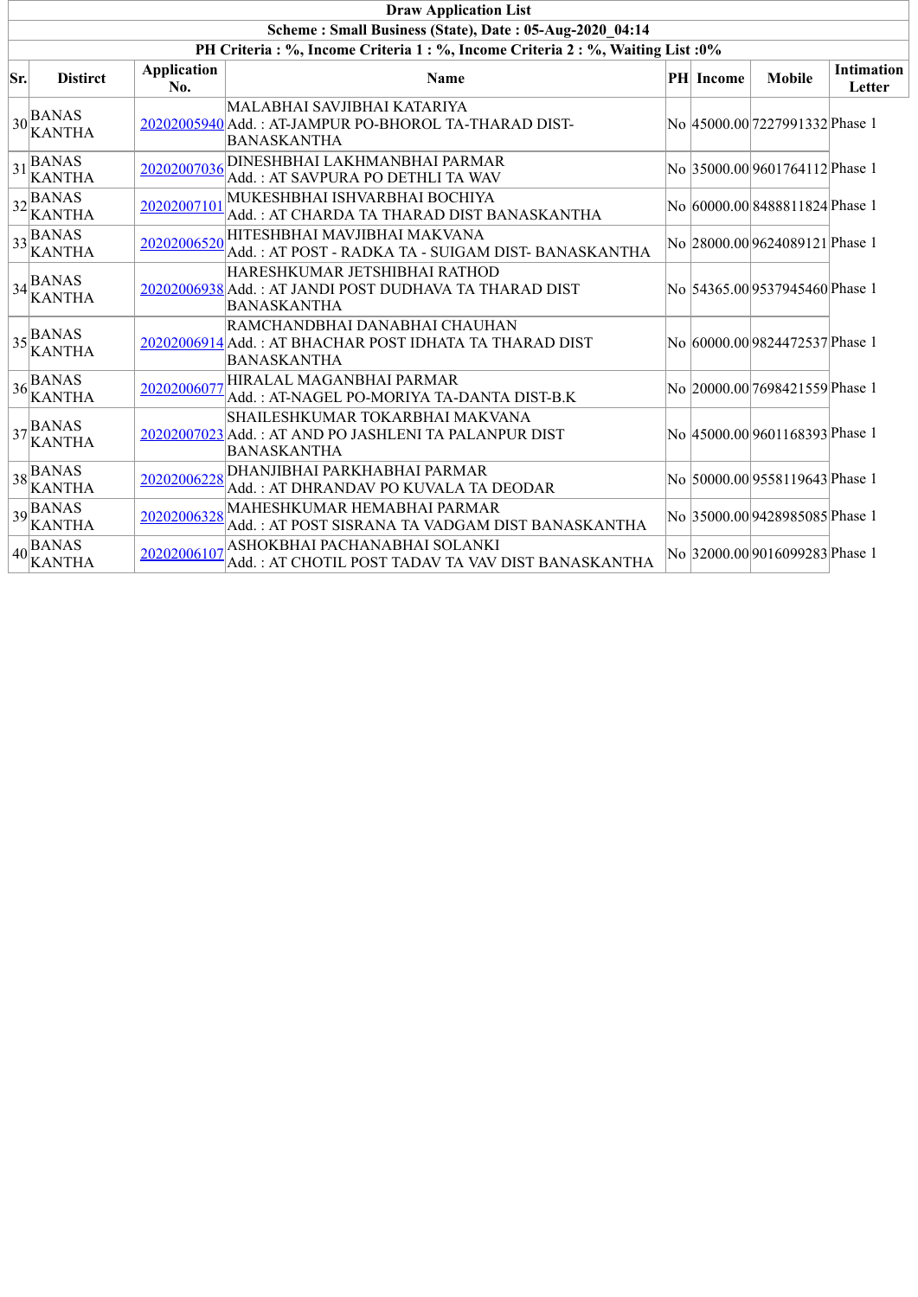|     | <b>Draw Application List</b>                                                     |                           |                                                                                                                |  |                  |                                 |                             |  |  |  |  |  |
|-----|----------------------------------------------------------------------------------|---------------------------|----------------------------------------------------------------------------------------------------------------|--|------------------|---------------------------------|-----------------------------|--|--|--|--|--|
|     | Scheme: Small Business (State), Date: 05-Aug-2020 04:14                          |                           |                                                                                                                |  |                  |                                 |                             |  |  |  |  |  |
|     | PH Criteria : %, Income Criteria 1 : %, Income Criteria 2 : %, Waiting List : 0% |                           |                                                                                                                |  |                  |                                 |                             |  |  |  |  |  |
| Sr. | <b>Distirct</b>                                                                  | <b>Application</b><br>No. | <b>Name</b>                                                                                                    |  | <b>PH</b> Income | <b>Mobile</b>                   | <b>Intimation</b><br>Letter |  |  |  |  |  |
|     | $\frac{1}{30}$ BANAS<br><b>KANTHA</b>                                            |                           | MALABHAI SAVJIBHAI KATARIYA<br>20202005940 Add.: AT-JAMPUR PO-BHOROL TA-THARAD DIST-<br><b>BANASKANTHA</b>     |  |                  | No  45000.00 7227991332 Phase 1 |                             |  |  |  |  |  |
|     | $ 31 $ BANAS<br><b>KANTHA</b>                                                    | 20202007036               | DINESHBHAI LAKHMANBHAI PARMAR<br>Add.: AT SAVPURA PO DETHLI TA WAV                                             |  |                  | No 35000.00 9601764112 Phase 1  |                             |  |  |  |  |  |
|     | $ 32 $ BANAS<br><b>KANTHA</b>                                                    | 20202007101               | MUKESHBHAI ISHVARBHAI BOCHIYA<br>Add. : AT CHARDA TA THARAD DIST BANASKANTHA                                   |  |                  | No  60000.00 8488811824 Phase 1 |                             |  |  |  |  |  |
|     | $33$ BANAS<br>KANTHA                                                             | 20202006520               | HITESHBHAI MAVJIBHAI MAKVANA<br>Add.: AT POST - RADKA TA - SUIGAM DIST- BANASKANTHA                            |  |                  | No 28000.00 9624089121 Phase 1  |                             |  |  |  |  |  |
|     | $34$ $\nparallel$ BANAS<br>KANTHA                                                |                           | HARESHKUMAR JETSHIBHAI RATHOD<br>20202006938 Add.: AT JANDI POST DUDHAVA TA THARAD DIST<br><b>BANASKANTHA</b>  |  |                  | No 54365.00 9537945460 Phase 1  |                             |  |  |  |  |  |
|     | $35\text{BANAS}$<br>KANTHA                                                       |                           | RAMCHANDBHAI DANABHAI CHAUHAN<br>20202006914 Add.: AT BHACHAR POST IDHATA TA THARAD DIST<br><b>BANASKANTHA</b> |  |                  | No 60000.00 9824472537 Phase 1  |                             |  |  |  |  |  |
|     | $36$ BANAS<br>KANTHA                                                             | 20202006077               | HIRALAL MAGANBHAI PARMAR<br>Add.: AT-NAGEL PO-MORIYA TA-DANTA DIST-B.K                                         |  |                  | No 20000.00 7698421559 Phase 1  |                             |  |  |  |  |  |
|     | $\left  \frac{37}{2} \right $ BANAS<br><b>KANTHA</b>                             |                           | SHAILESHKUMAR TOKARBHAI MAKVANA<br>20202007023 Add.: AT AND PO JASHLENI TA PALANPUR DIST<br><b>BANASKANTHA</b> |  |                  | No  45000.00 9601168393 Phase 1 |                             |  |  |  |  |  |
|     | $ 38 _{\text{tr}}^{\text{BANAS}}$<br><b>KANTHA</b>                               | 20202006228               | DHANJIBHAI PARKHABHAI PARMAR<br>Add.: AT DHRANDAV PO KUVALA TA DEODAR                                          |  |                  | No 50000.00 9558119643 Phase 1  |                             |  |  |  |  |  |
|     | $ 39 $ BANAS<br><b>KANTHA</b>                                                    | 20202006328               | MAHESHKUMAR HEMABHAI PARMAR<br>Add.: AT POST SISRANA TA VADGAM DIST BANASKANTHA                                |  |                  | No 35000.00 9428985085 Phase 1  |                             |  |  |  |  |  |
|     | $ 40 $ BANAS<br><b>KANTHA</b>                                                    | 20202006107               | ASHOKBHAI PACHANABHAI SOLANKI<br>Add.: AT CHOTIL POST TADAV TA VAV DIST BANASKANTHA                            |  |                  | No 32000.00 9016099283 Phase 1  |                             |  |  |  |  |  |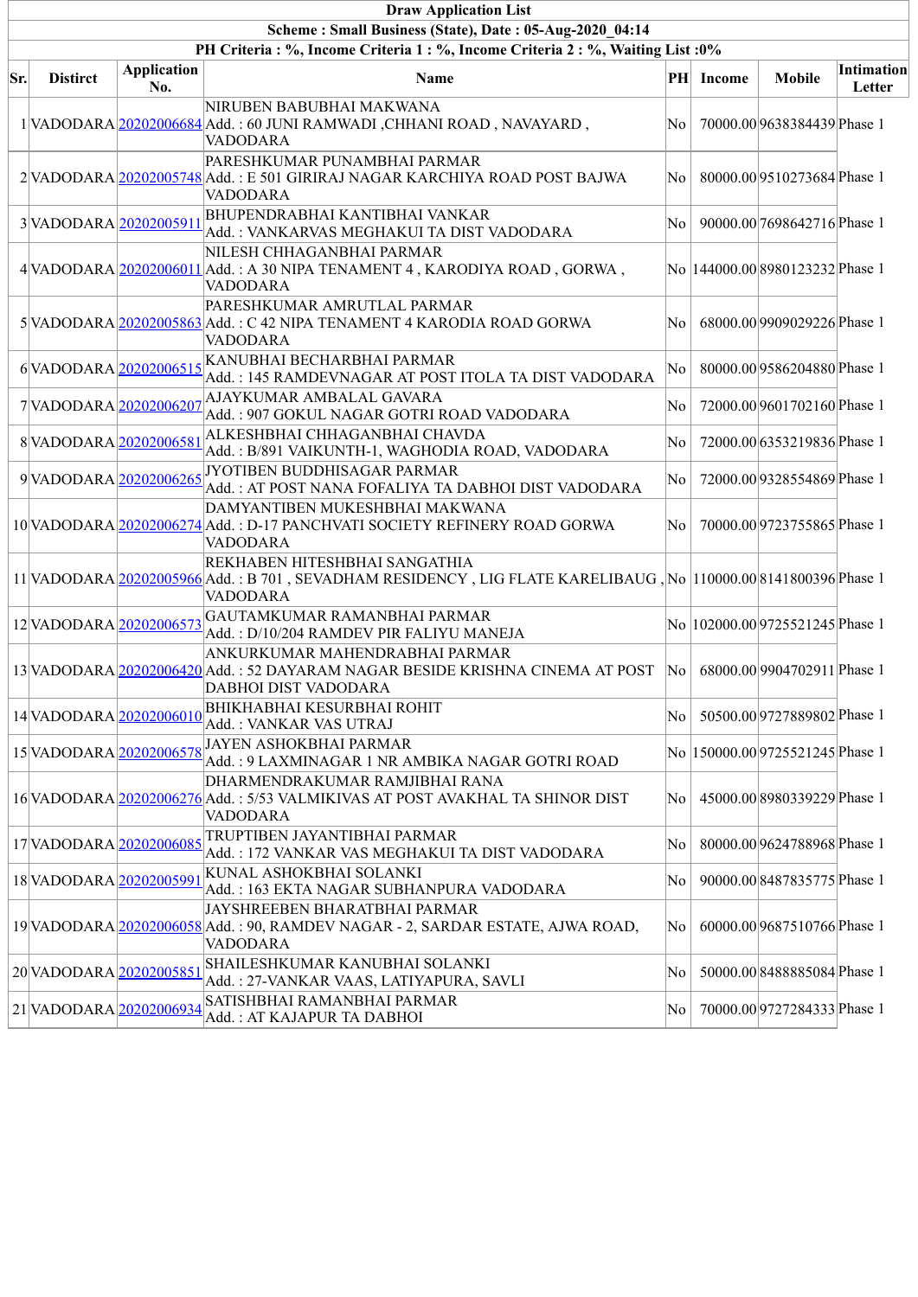|     | <b>Draw Application List</b>                            |                           |                                                                                                                                                                     |     |               |                                  |                      |  |  |  |  |  |
|-----|---------------------------------------------------------|---------------------------|---------------------------------------------------------------------------------------------------------------------------------------------------------------------|-----|---------------|----------------------------------|----------------------|--|--|--|--|--|
|     | Scheme: Small Business (State), Date: 05-Aug-2020 04:14 |                           |                                                                                                                                                                     |     |               |                                  |                      |  |  |  |  |  |
|     |                                                         |                           | PH Criteria : %, Income Criteria 1 : %, Income Criteria 2 : %, Waiting List : 0%                                                                                    |     |               |                                  |                      |  |  |  |  |  |
| Sr. | <b>Distirct</b>                                         | <b>Application</b><br>No. | Name                                                                                                                                                                | PH  | <b>Income</b> | <b>Mobile</b>                    | Intimation<br>Letter |  |  |  |  |  |
|     |                                                         |                           | NIRUBEN BABUBHAI MAKWANA<br>1 VADODARA 20202006684 Add.: 60 JUNI RAMWADI, CHHANI ROAD, NAVAYARD,<br>VADODARA                                                        | No  |               | 70000.00 9638384439 Phase 1      |                      |  |  |  |  |  |
|     |                                                         |                           | PARESHKUMAR PUNAMBHAI PARMAR<br>2 VADODARA 20202005748 Add. : E 501 GIRIRAJ NAGAR KARCHIYA ROAD POST BAJWA<br><b>VADODARA</b>                                       | No  |               | 80000.00 9510273684 Phase 1      |                      |  |  |  |  |  |
|     | 3VADODARA 20202005911                                   |                           | <b>BHUPENDRABHAI KANTIBHAI VANKAR</b><br>Add.: VANKARVAS MEGHAKUI TA DIST VADODARA                                                                                  | No  |               | 90000.00 7698642716 Phase 1      |                      |  |  |  |  |  |
|     |                                                         |                           | NILESH CHHAGANBHAI PARMAR<br>4 VADODARA 20202006011 Add.: A 30 NIPA TENAMENT 4, KARODIYA ROAD, GORWA,<br><b>VADODARA</b>                                            |     |               | No  144000.00 8980123232 Phase 1 |                      |  |  |  |  |  |
|     |                                                         |                           | PARESHKUMAR AMRUTLAL PARMAR<br>5 VADODARA 20202005863 Add.: C 42 NIPA TENAMENT 4 KARODIA ROAD GORWA<br><b>VADODARA</b>                                              | No  |               | 68000.00 9909029226 Phase 1      |                      |  |  |  |  |  |
|     | 6VADODARA 20202006515                                   |                           | KANUBHAI BECHARBHAI PARMAR<br>Add.: 145 RAMDEVNAGAR AT POST ITOLA TA DIST VADODARA                                                                                  | No  |               | 80000.00 9586204880 Phase 1      |                      |  |  |  |  |  |
|     | 7VADODARA 20202006207                                   |                           | AJAYKUMAR AMBALAL GAVARA<br>Add.: 907 GOKUL NAGAR GOTRI ROAD VADODARA                                                                                               | No  |               | 72000.00 9601702160 Phase 1      |                      |  |  |  |  |  |
|     | 8VADODARA 20202006581                                   |                           | ALKESHBHAI CHHAGANBHAI CHAVDA<br>Add.: B/891 VAIKUNTH-1, WAGHODIA ROAD, VADODARA                                                                                    | No  |               | 72000.00 6353219836 Phase 1      |                      |  |  |  |  |  |
|     | 9VADODARA 20202006265                                   |                           | JYOTIBEN BUDDHISAGAR PARMAR<br>Add.: AT POST NANA FOFALIYA TA DABHOI DIST VADODARA                                                                                  | No  |               | 72000.00 9328554869 Phase 1      |                      |  |  |  |  |  |
|     |                                                         |                           | DAMYANTIBEN MUKESHBHAI MAKWANA<br>10 VADODARA 20202006274 Add.: D-17 PANCHVATI SOCIETY REFINERY ROAD GORWA<br><b>VADODARA</b>                                       | No  |               | 70000.00 9723755865 Phase 1      |                      |  |  |  |  |  |
|     |                                                         |                           | REKHABEN HITESHBHAI SANGATHIA<br>11 VADODARA 20202005966 Add.: B 701, SEVADHAM RESIDENCY, LIG FLATE KARELIBAUG, No  110000.00 8141800396 Phase 1<br><b>VADODARA</b> |     |               |                                  |                      |  |  |  |  |  |
|     | 12 VADODARA 20202006573                                 |                           | GAUTAMKUMAR RAMANBHAI PARMAR<br>Add.: D/10/204 RAMDEV PIR FALIYU MANEJA                                                                                             |     |               | No  102000.00 9725521245 Phase 1 |                      |  |  |  |  |  |
|     |                                                         |                           | ANKURKUMAR MAHENDRABHAI PARMAR<br>13 VADODARA 20202006420 Add.: 52 DAYARAM NAGAR BESIDE KRISHNA CINEMA AT POST<br>DABHOI DIST VADODARA                              | No. |               | 68000.00 9904702911 Phase 1      |                      |  |  |  |  |  |
|     | 14 VADODARA 20202006010                                 |                           | BHIKHABHAI KESURBHAI ROHIT<br>Add. : VANKAR VAS UTRAJ                                                                                                               | No  |               | 50500.00 9727889802 Phase 1      |                      |  |  |  |  |  |
|     | 15 VADODARA 20202006578                                 |                           | <b>JAYEN ASHOKBHAI PARMAR</b><br>Add. : 9 LAXMINAGAR 1 NR AMBIKA NAGAR GOTRI ROAD                                                                                   |     |               | No  150000.00 9725521245 Phase 1 |                      |  |  |  |  |  |
|     |                                                         |                           | DHARMENDRAKUMAR RAMJIBHAI RANA<br>16 VADODARA 20202006276 Add.: 5/53 VALMIKIVAS AT POST AVAKHAL TA SHINOR DIST<br>VADODARA                                          | No  |               | 45000.00 8980339229 Phase 1      |                      |  |  |  |  |  |
|     | 17 VADODARA 20202006085                                 |                           | TRUPTIBEN JAYANTIBHAI PARMAR<br>Add. : 172 VANKAR VAS MEGHAKUI TA DIST VADODARA                                                                                     | No  |               | 80000.00 9624788968 Phase 1      |                      |  |  |  |  |  |
|     | 18 VADODARA 2020200599                                  |                           | KUNAL ASHOKBHAI SOLANKI<br>Add. : 163 EKTA NAGAR SUBHANPURA VADODARA                                                                                                | No  |               | 90000.00 8487835775 Phase 1      |                      |  |  |  |  |  |
|     |                                                         |                           | JAYSHREEBEN BHARATBHAI PARMAR<br>19 VADODARA 20202006058 Add.: 90, RAMDEV NAGAR - 2, SARDAR ESTATE, AJWA ROAD,<br>VADODARA                                          | No  |               | 60000.00 9687510766 Phase 1      |                      |  |  |  |  |  |
|     | 20 VADODARA 20202005851                                 |                           | SHAILESHKUMAR KANUBHAI SOLANKI<br>Add. : 27-VANKAR VAAS, LATIYAPURA, SAVLI                                                                                          | No  |               | 50000.00 8488885084 Phase 1      |                      |  |  |  |  |  |
|     | 21 VADODARA 20202006934                                 |                           | SATISHBHAI RAMANBHAI PARMAR<br>Add. : AT KAJAPUR TA DABHOI                                                                                                          | No  |               | 70000.00 9727284333 Phase 1      |                      |  |  |  |  |  |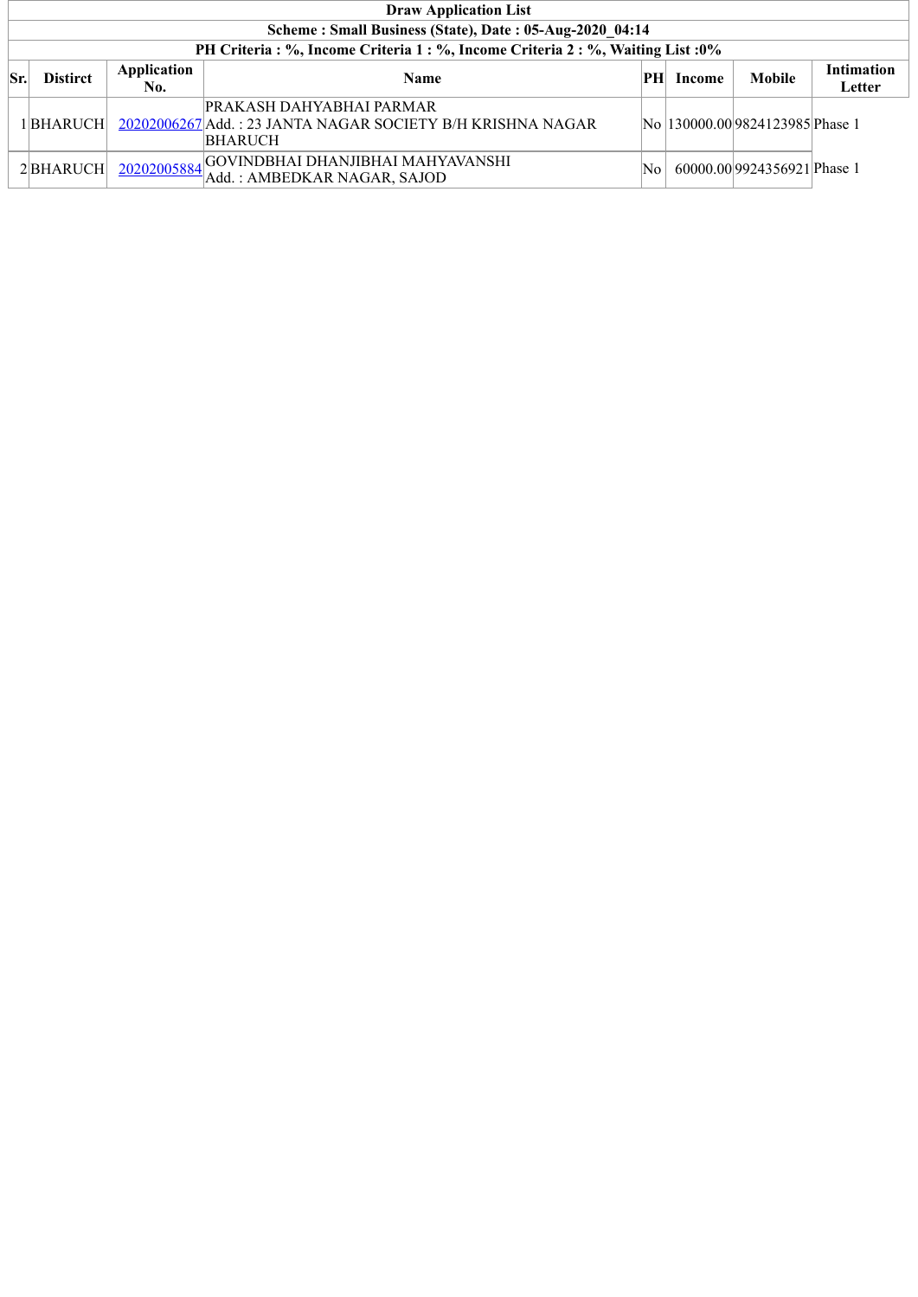|     | <b>Draw Application List</b>                            |                    |                                                                                                                            |     |        |                                  |                             |  |  |  |  |  |
|-----|---------------------------------------------------------|--------------------|----------------------------------------------------------------------------------------------------------------------------|-----|--------|----------------------------------|-----------------------------|--|--|--|--|--|
|     | Scheme: Small Business (State), Date: 05-Aug-2020 04:14 |                    |                                                                                                                            |     |        |                                  |                             |  |  |  |  |  |
|     |                                                         |                    | PH Criteria : %, Income Criteria 1 : %, Income Criteria 2 : %, Waiting List : 0%                                           |     |        |                                  |                             |  |  |  |  |  |
| Sr. | <b>Distirct</b>                                         | Application<br>No. | <b>Name</b>                                                                                                                | PH  | Income | Mobile                           | <b>Intimation</b><br>Letter |  |  |  |  |  |
|     | 1 BHARUCH                                               |                    | PRAKASH DAHYABHAI PARMAR<br>20202006267 Add.: 23 JANTA NAGAR SOCIETY B/H KRISHNA NAGAR<br>BHARUCH                          |     |        | No  130000.00 9824123985 Phase 1 |                             |  |  |  |  |  |
|     | 2 BHARUCH                                               |                    | $20202005884 \boxed{\text{GOVINDBHAI} \ \overline{\text{DHANJIBHAI} \ \text{MAHYAVANSHI}}}$<br>Add.: AMBEDKAR NAGAR, SAJOD | No. |        | 60000.00 9924356921 Phase 1      |                             |  |  |  |  |  |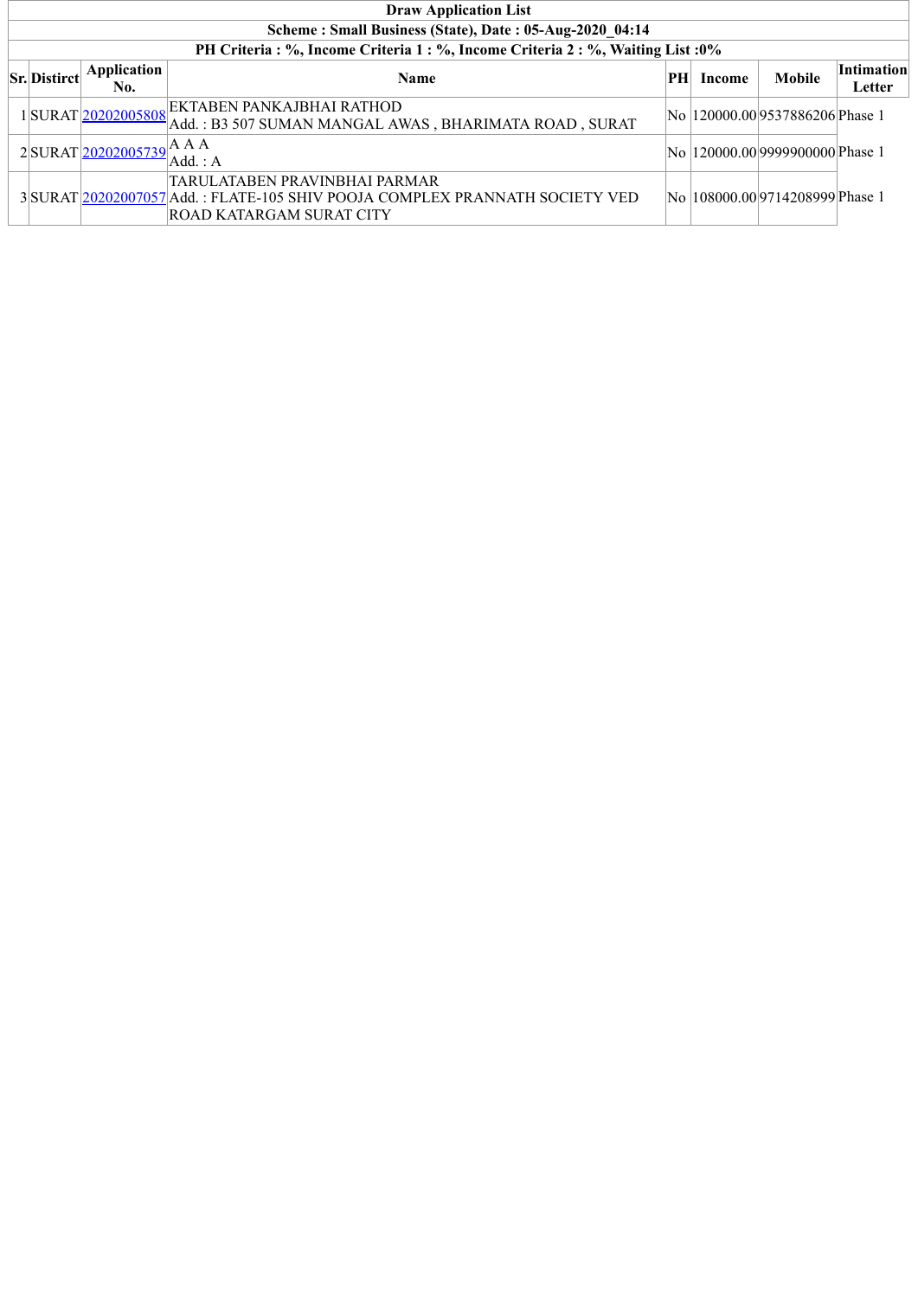| <b>Draw Application List</b>                            |                              |                                                                                                                                          |     |               |                                  |                             |  |  |  |  |  |
|---------------------------------------------------------|------------------------------|------------------------------------------------------------------------------------------------------------------------------------------|-----|---------------|----------------------------------|-----------------------------|--|--|--|--|--|
| Scheme: Small Business (State), Date: 05-Aug-2020 04:14 |                              |                                                                                                                                          |     |               |                                  |                             |  |  |  |  |  |
|                                                         |                              | PH Criteria : %, Income Criteria 1 : %, Income Criteria 2 : %, Waiting List : 0%                                                         |     |               |                                  |                             |  |  |  |  |  |
| <b>Sr.</b> Distirct                                     | <b>Application</b><br>No.    | <b>Name</b>                                                                                                                              | PHI | <b>Income</b> | <b>Mobile</b>                    | <b>Intimation</b><br>Letter |  |  |  |  |  |
|                                                         |                              | 1 SURAT 20202005808 EKTABEN PANKAJBHAI RATHOD<br>Add.: B3 507 SUMAN MANGAL AWAS, BHARIMATA ROAD, SURAT                                   |     |               | No  120000.00 9537886206 Phase 1 |                             |  |  |  |  |  |
|                                                         | 2SURAT $20202005739$ A A A . | Add.: A                                                                                                                                  |     |               | No  120000.00 9999900000 Phase 1 |                             |  |  |  |  |  |
|                                                         |                              | TARULATABEN PRAVINBHAI PARMAR<br>3 SURAT 20202007057 Add.: FLATE-105 SHIV POOJA COMPLEX PRANNATH SOCIETY VED<br>ROAD KATARGAM SURAT CITY |     |               | No  108000.00 9714208999 Phase 1 |                             |  |  |  |  |  |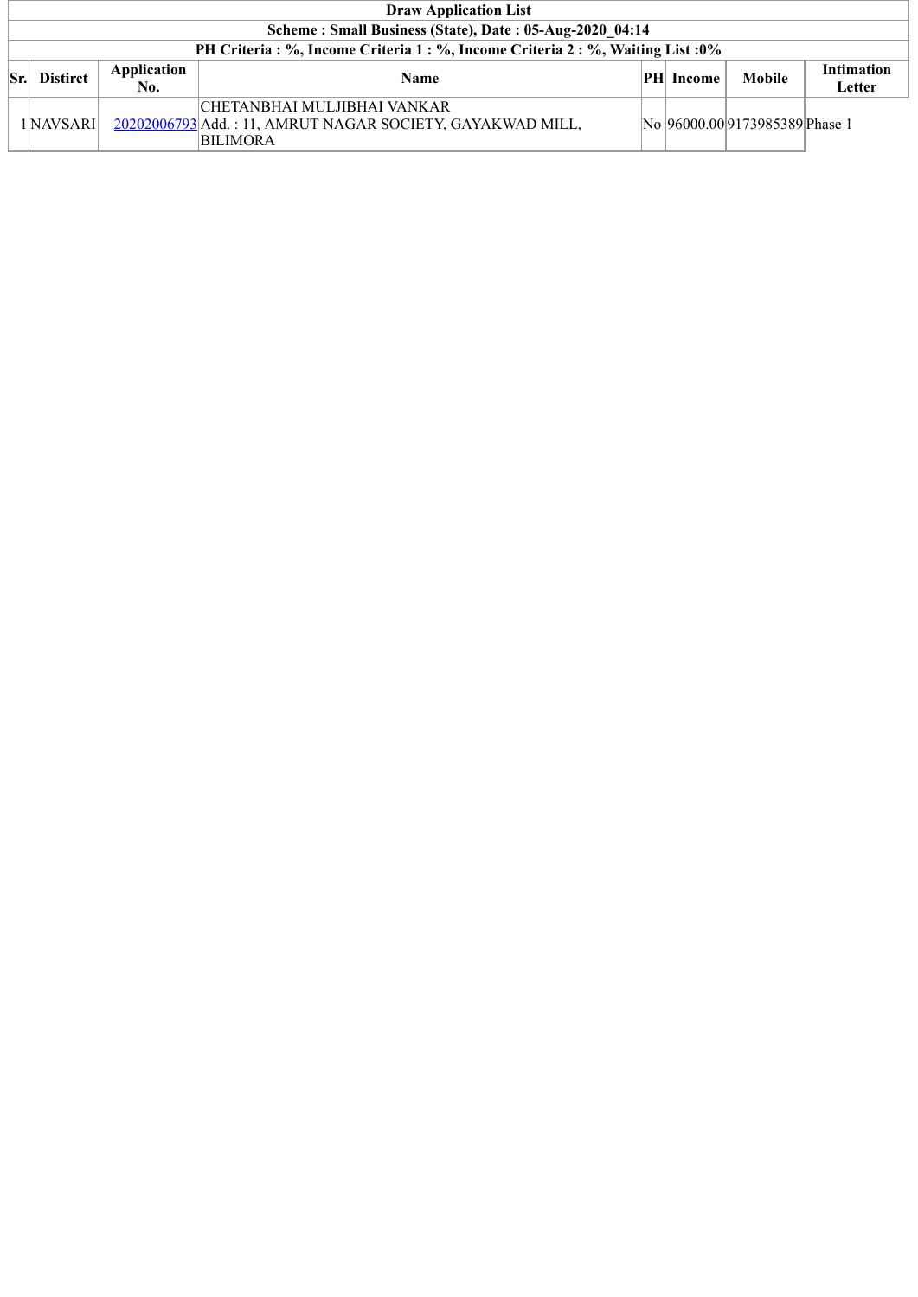| <b>Draw Application List</b>                            |                    |                                                                                                              |  |                  |                               |                      |  |  |  |  |
|---------------------------------------------------------|--------------------|--------------------------------------------------------------------------------------------------------------|--|------------------|-------------------------------|----------------------|--|--|--|--|
| Scheme: Small Business (State), Date: 05-Aug-2020 04:14 |                    |                                                                                                              |  |                  |                               |                      |  |  |  |  |
|                                                         |                    | PH Criteria : %, Income Criteria 1 : %, Income Criteria 2 : %, Waiting List : 0%                             |  |                  |                               |                      |  |  |  |  |
| <b>Distirct</b>                                         | Application<br>No. | <b>Name</b>                                                                                                  |  | <b>PH</b> Income | <b>Mobile</b>                 | Intimation<br>Letter |  |  |  |  |
| 1 NAVSARI                                               |                    | CHETANBHAI MULJIBHAI VANKAR <br>20202006793 Add.: 11, AMRUT NAGAR SOCIETY, GAYAKWAD MILL,<br><b>BILIMORA</b> |  |                  | No 96000.009173985389 Phase 1 |                      |  |  |  |  |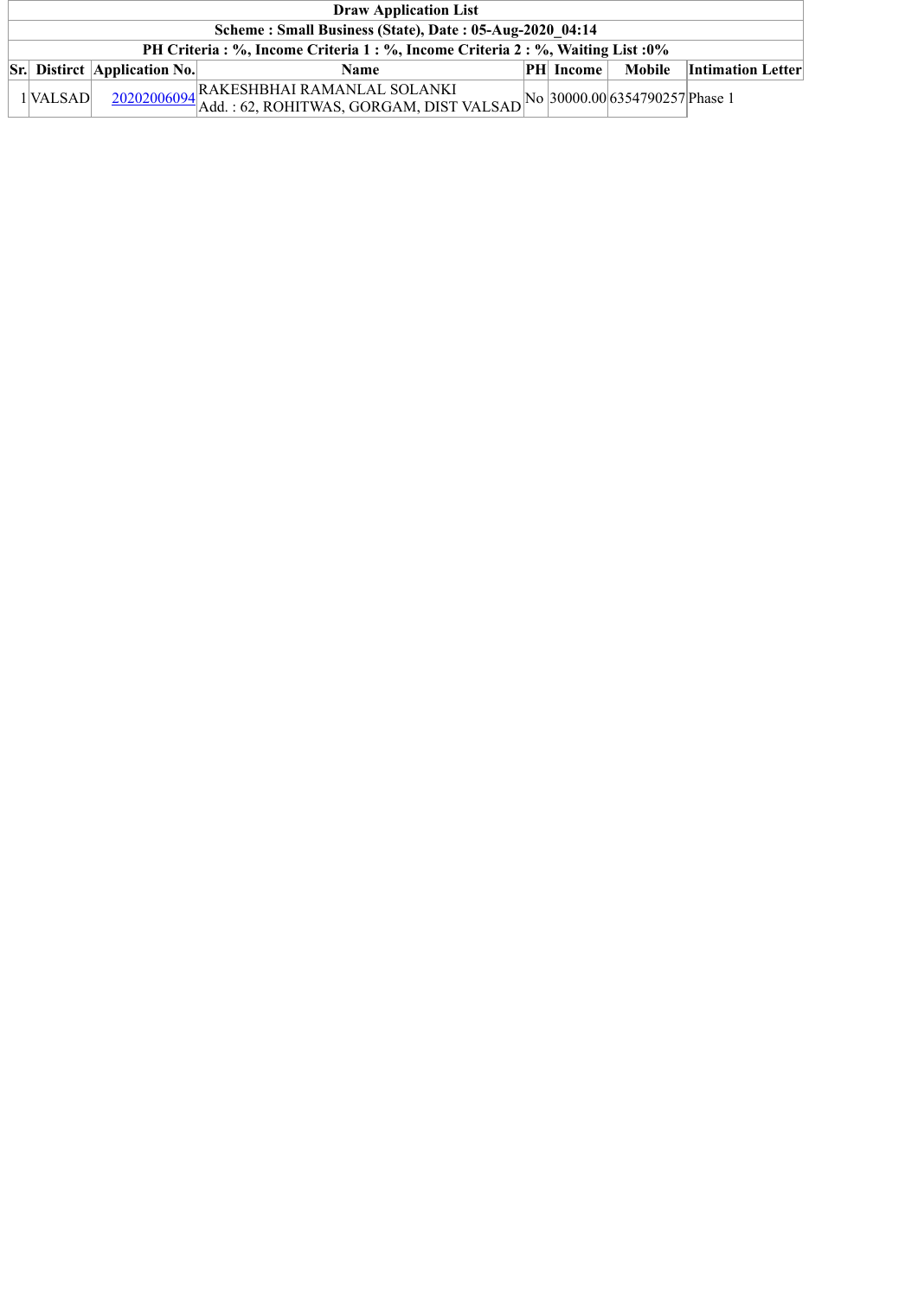| <b>Draw Application List</b>                                                     |                                     |                                                                                                                                                 |  |               |  |                                 |  |  |  |
|----------------------------------------------------------------------------------|-------------------------------------|-------------------------------------------------------------------------------------------------------------------------------------------------|--|---------------|--|---------------------------------|--|--|--|
| Scheme: Small Business (State), Date: 05-Aug-2020 04:14                          |                                     |                                                                                                                                                 |  |               |  |                                 |  |  |  |
| PH Criteria : %, Income Criteria 1 : %, Income Criteria 2 : %, Waiting List : 0% |                                     |                                                                                                                                                 |  |               |  |                                 |  |  |  |
|                                                                                  | <b>Sr.</b> Distirct Application No. | <b>Name</b>                                                                                                                                     |  | $ PH $ Income |  | <b>Mobile</b> Intimation Letter |  |  |  |
| 1 <sup>VALSAD</sup>                                                              |                                     | $\frac{20202006094}{\text{Add.}:62, \text{ROHITWAS, GORGAM, DIST VALSAD}}\n\text{No} \left  \frac{30000.00}{6354790257} \right  \text{Phase 1}$ |  |               |  |                                 |  |  |  |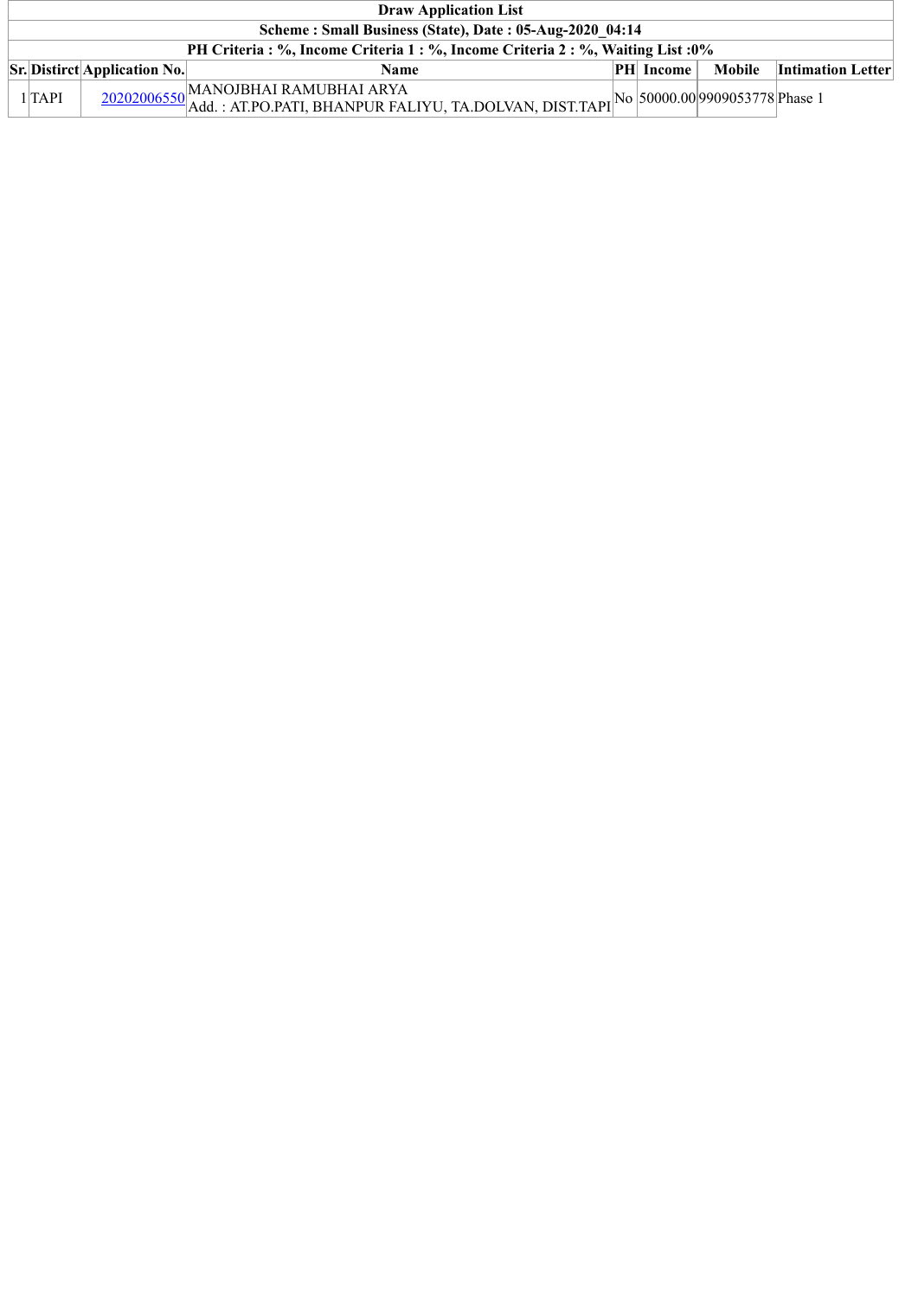| <b>Draw Application List</b>                                                     |                                     |             |  |                  |  |                          |  |  |  |  |
|----------------------------------------------------------------------------------|-------------------------------------|-------------|--|------------------|--|--------------------------|--|--|--|--|
| Scheme: Small Business (State), Date: 05-Aug-2020 04:14                          |                                     |             |  |                  |  |                          |  |  |  |  |
| PH Criteria : %, Income Criteria 1 : %, Income Criteria 2 : %, Waiting List : 0% |                                     |             |  |                  |  |                          |  |  |  |  |
|                                                                                  | <b>Sr.</b> Distirct Application No. | <b>Name</b> |  | <b>PH</b> Income |  | Mobile Intimation Letter |  |  |  |  |
| $1$ $TAPI$                                                                       |                                     |             |  |                  |  |                          |  |  |  |  |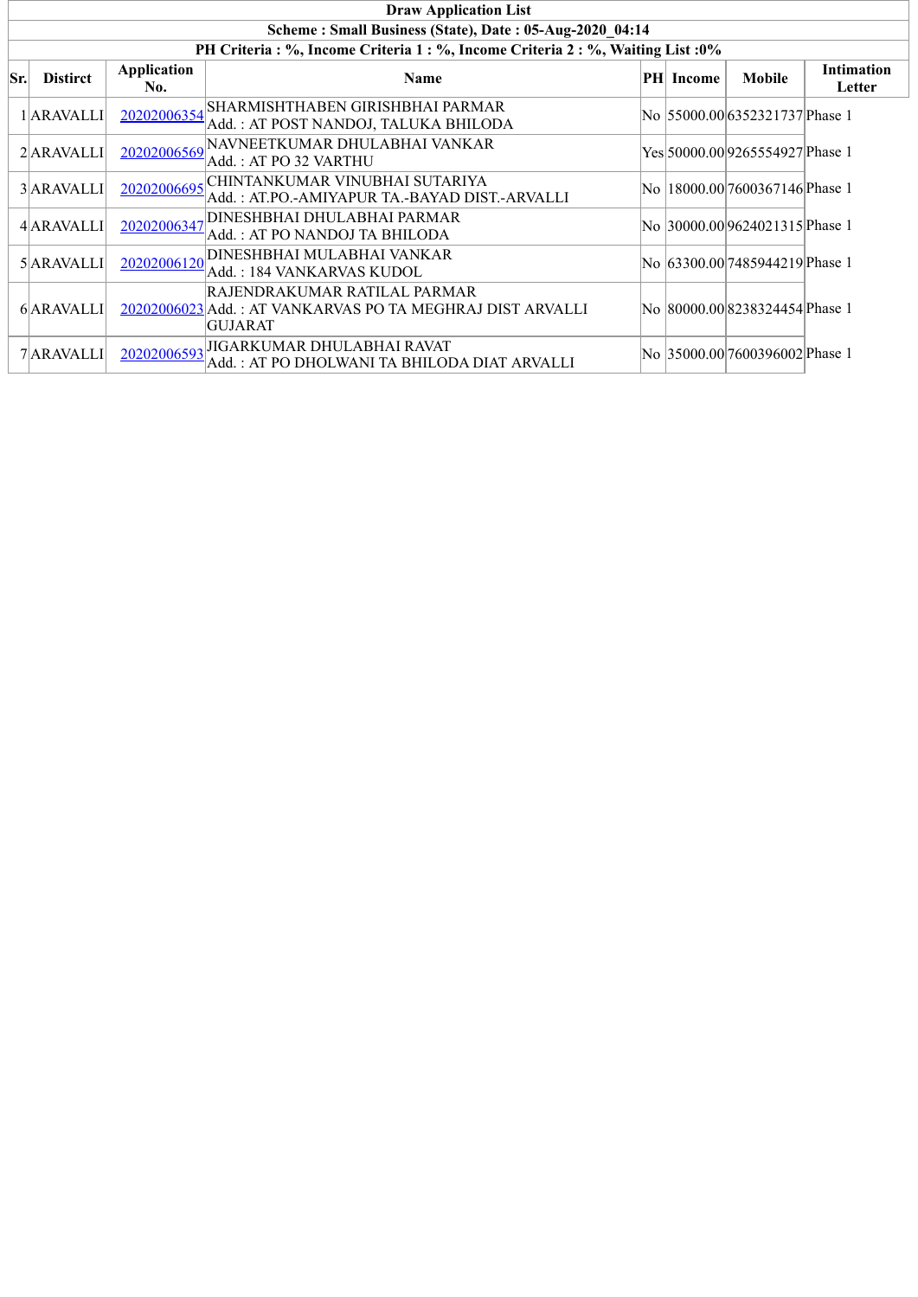|     | <b>Draw Application List</b>                                                     |                    |                                                                                                             |  |           |                                    |                             |  |  |  |  |  |
|-----|----------------------------------------------------------------------------------|--------------------|-------------------------------------------------------------------------------------------------------------|--|-----------|------------------------------------|-----------------------------|--|--|--|--|--|
|     |                                                                                  |                    | Scheme: Small Business (State), Date: 05-Aug-2020 04:14                                                     |  |           |                                    |                             |  |  |  |  |  |
|     | PH Criteria : %, Income Criteria 1 : %, Income Criteria 2 : %, Waiting List : 0% |                    |                                                                                                             |  |           |                                    |                             |  |  |  |  |  |
| Sr. | <b>Distirct</b>                                                                  | Application<br>No. | <b>Name</b>                                                                                                 |  | PH Income | <b>Mobile</b>                      | <b>Intimation</b><br>Letter |  |  |  |  |  |
|     | 1 ARAVALLI                                                                       | 20202006354        | <b>SHARMISHTHABEN GIRISHBHAI PARMAR</b><br>Add.: AT POST NANDOJ, TALUKA BHILODA                             |  |           | No 55000.00 6352321737 Phase 1     |                             |  |  |  |  |  |
|     | 2 ARAVALLI                                                                       | 20202006569        | NAVNEETKUMAR DHULABHAI VANKAR<br>Add.: AT PO 32 VARTHU                                                      |  |           | Yes 50000.00 9265554927 Phase 1    |                             |  |  |  |  |  |
|     | 3 ARAVALLI                                                                       | 20202006695        | CHINTANKUMAR VINUBHAI SUTARIYA<br>Add. : AT.PO.-AMIYAPUR TA.-BAYAD DIST.-ARVALLI                            |  |           | No  18000.00 7600367146 Phase 1    |                             |  |  |  |  |  |
|     | 4 ARAVALLI                                                                       | 20202006347        | <b>DINESHBHAI DHULABHAI PARMAR</b><br>Add. : AT PO NANDOJ TA BHILODA                                        |  |           | No 30000.00 9624021315 Phase 1     |                             |  |  |  |  |  |
|     | 5 ARAVALLI                                                                       | 20202006120        | <b>DINESHBHAI MULABHAI VANKAR</b><br>Add. : 184 VANKARVAS KUDOL                                             |  |           | No 63300.00 7485944219 Phase 1     |                             |  |  |  |  |  |
|     | 6 ARAVALLI                                                                       |                    | RAJENDRAKUMAR RATILAL PARMAR<br>20202006023 Add.: AT VANKARVAS PO TA MEGHRAJ DIST ARVALLI<br><b>GUJARAT</b> |  |           | No   80000.00  8238324454  Phase 1 |                             |  |  |  |  |  |
|     | 7 ARAVALLI                                                                       | 20202006593        | JIGARKUMAR DHULABHAI RAVAT<br>Add. : AT PO DHOLWANI TA BHILODA DIAT ARVALLI                                 |  |           | No 35000.00 7600396002 Phase 1     |                             |  |  |  |  |  |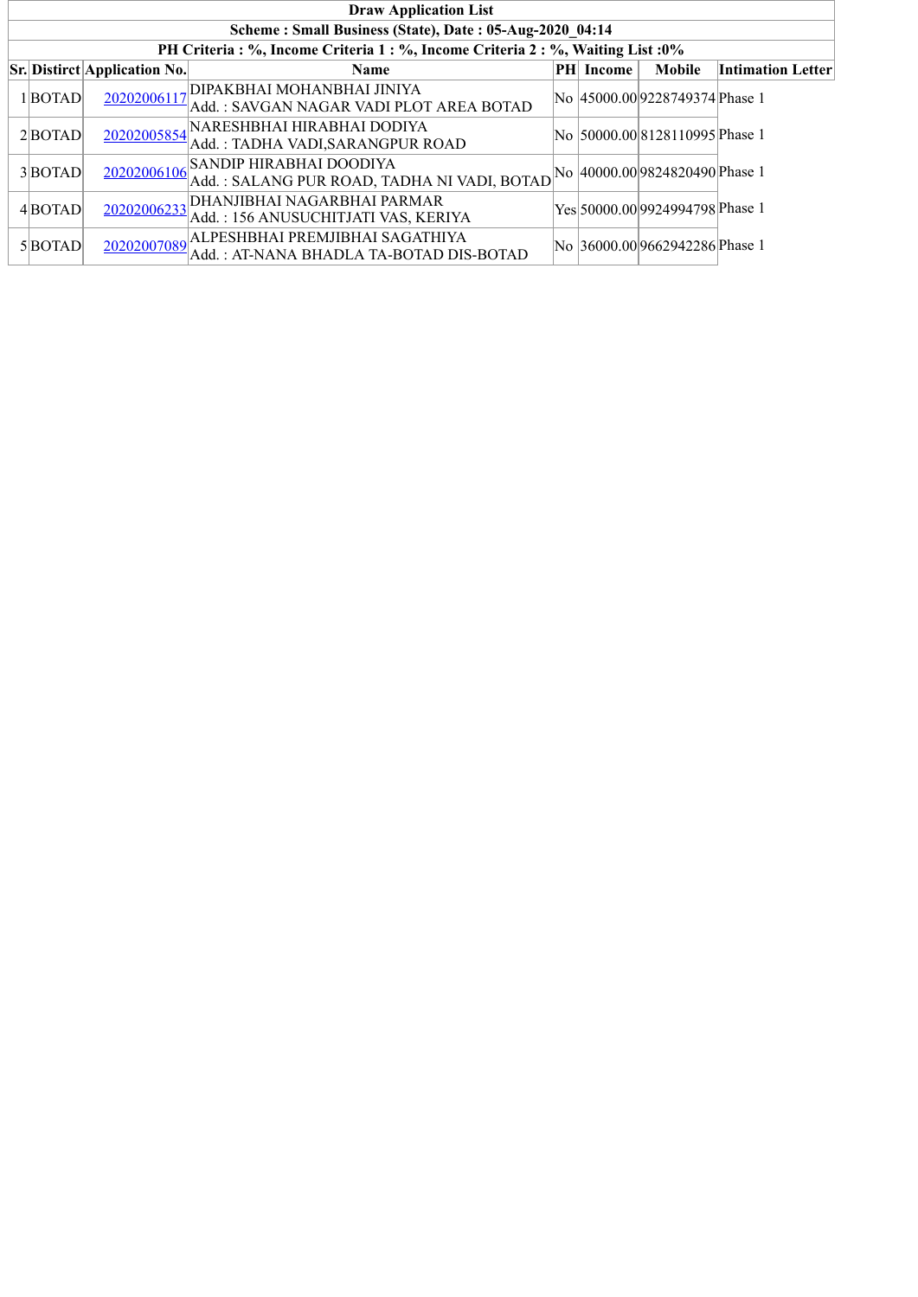| <b>Draw Application List</b>                                                     |                                     |                                                                            |    |        |                                 |                          |  |  |  |  |
|----------------------------------------------------------------------------------|-------------------------------------|----------------------------------------------------------------------------|----|--------|---------------------------------|--------------------------|--|--|--|--|
|                                                                                  |                                     | Scheme: Small Business (State), Date: 05-Aug-2020 04:14                    |    |        |                                 |                          |  |  |  |  |
| PH Criteria : %, Income Criteria 1 : %, Income Criteria 2 : %, Waiting List : 0% |                                     |                                                                            |    |        |                                 |                          |  |  |  |  |
|                                                                                  | <b>Sr.</b> Distirct Application No. | Name                                                                       | PH | Income | Mobile                          | <b>Intimation Letter</b> |  |  |  |  |
| $1 $ <b>BOTAD</b>                                                                | 20202006117                         | DIPAKBHAI MOHANBHAI JINIYA<br>Add.: SAVGAN NAGAR VADI PLOT AREA BOTAD      |    |        | No  45000.00 9228749374 Phase 1 |                          |  |  |  |  |
| $2 $ BOTAD                                                                       | 20202005854                         | NARESHBHAI HIRABHAI DODIYA<br>Add.: TADHA VADI, SARANGPUR ROAD             |    |        | No  50000.00 8128110995 Phase 1 |                          |  |  |  |  |
| $3 $ BOTAD                                                                       | 20202006106                         | SANDIP HIRABHAI DOODIYA<br>Add.: SALANG PUR ROAD, TADHA NI VADI, BOTAD     |    |        | No  40000.00 9824820490 Phase 1 |                          |  |  |  |  |
| 4BOTAD                                                                           | 20202006233                         | DHANJIBHAI NAGARBHAI PARMAR<br>Add.: 156 ANUSUCHITJATI VAS, KERIYA         |    |        | Yes 50000.00 9924994798 Phase 1 |                          |  |  |  |  |
| 5BOTAD                                                                           | 20202007089                         | ALPESHBHAI PREMJIBHAI SAGATHIYA<br>Add.: AT-NANA BHADLA TA-BOTAD DIS-BOTAD |    |        | No 36000.00 9662942286 Phase 1  |                          |  |  |  |  |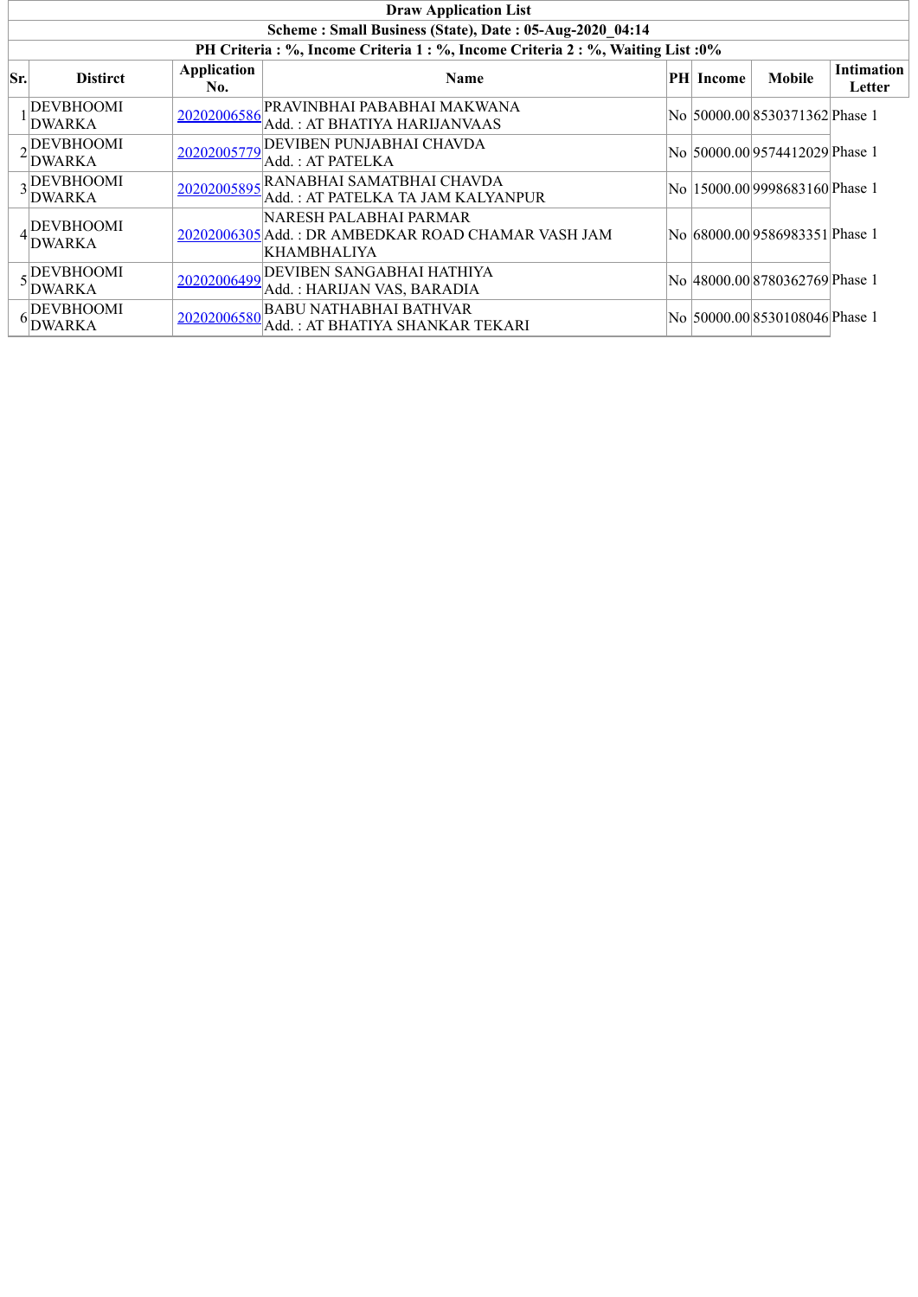|     | <b>Draw Application List</b>                            |                           |                                                                                                    |  |           |                                 |                             |  |  |  |  |
|-----|---------------------------------------------------------|---------------------------|----------------------------------------------------------------------------------------------------|--|-----------|---------------------------------|-----------------------------|--|--|--|--|
|     | Scheme: Small Business (State), Date: 05-Aug-2020 04:14 |                           |                                                                                                    |  |           |                                 |                             |  |  |  |  |
|     |                                                         |                           | PH Criteria : %, Income Criteria 1 : %, Income Criteria 2 : %, Waiting List : 0%                   |  |           |                                 |                             |  |  |  |  |
| Sr. | <b>Distirct</b>                                         | <b>Application</b><br>No. | Name                                                                                               |  | PH Income | <b>Mobile</b>                   | <b>Intimation</b><br>Letter |  |  |  |  |
|     | <b>DEVBHOOMI</b><br><b>DWARKA</b>                       | 20202006586               | PRAVINBHAI PABABHAI MAKWANA!<br>Add.: AT BHATIYA HARIJANVAAS                                       |  |           | No  50000.00 8530371362 Phase 1 |                             |  |  |  |  |
|     | <sub>2</sub> DEVBHOOMI<br><b>DWARKA</b>                 | 20202005779               | <b>DEVIBEN PUNJABHAI CHAVDA</b><br>Add. : AT PATELKA                                               |  |           | No 50000.00 9574412029 Phase 1  |                             |  |  |  |  |
|     | DEVBHOOMI<br>DWARKA                                     | 20202005895               | RANABHAI SAMATBHAI CHAVDA<br>Add.: AT PATELKA TA JAM KALYANPUR                                     |  |           | No  15000.00 9998683160 Phase 1 |                             |  |  |  |  |
|     | <b>DEVBHOOMI</b><br><b>DWARKA</b>                       |                           | NARESH PALABHAI PARMAR<br>20202006305 Add.: DR AMBEDKAR ROAD CHAMAR VASH JAM<br><b>KHAMBHALIYA</b> |  |           | No  68000.00 9586983351 Phase 1 |                             |  |  |  |  |
|     | . DEVBHOOMI<br>DWARKA                                   | 20202006499               | <b>DEVIBEN SANGABHAI HATHIYA</b><br>Add. : HARIJAN VAS, BARADIA                                    |  |           | No 48000.00 8780362769 Phase 1  |                             |  |  |  |  |
|     | <b>DEVBHOOMI</b><br><b>DWARKA</b>                       | 20202006580               | <b>BABU NATHABHAI BATHVAR</b><br>Add.: AT BHATIYA SHANKAR TEKARI                                   |  |           | No 50000.00 8530108046 Phase 1  |                             |  |  |  |  |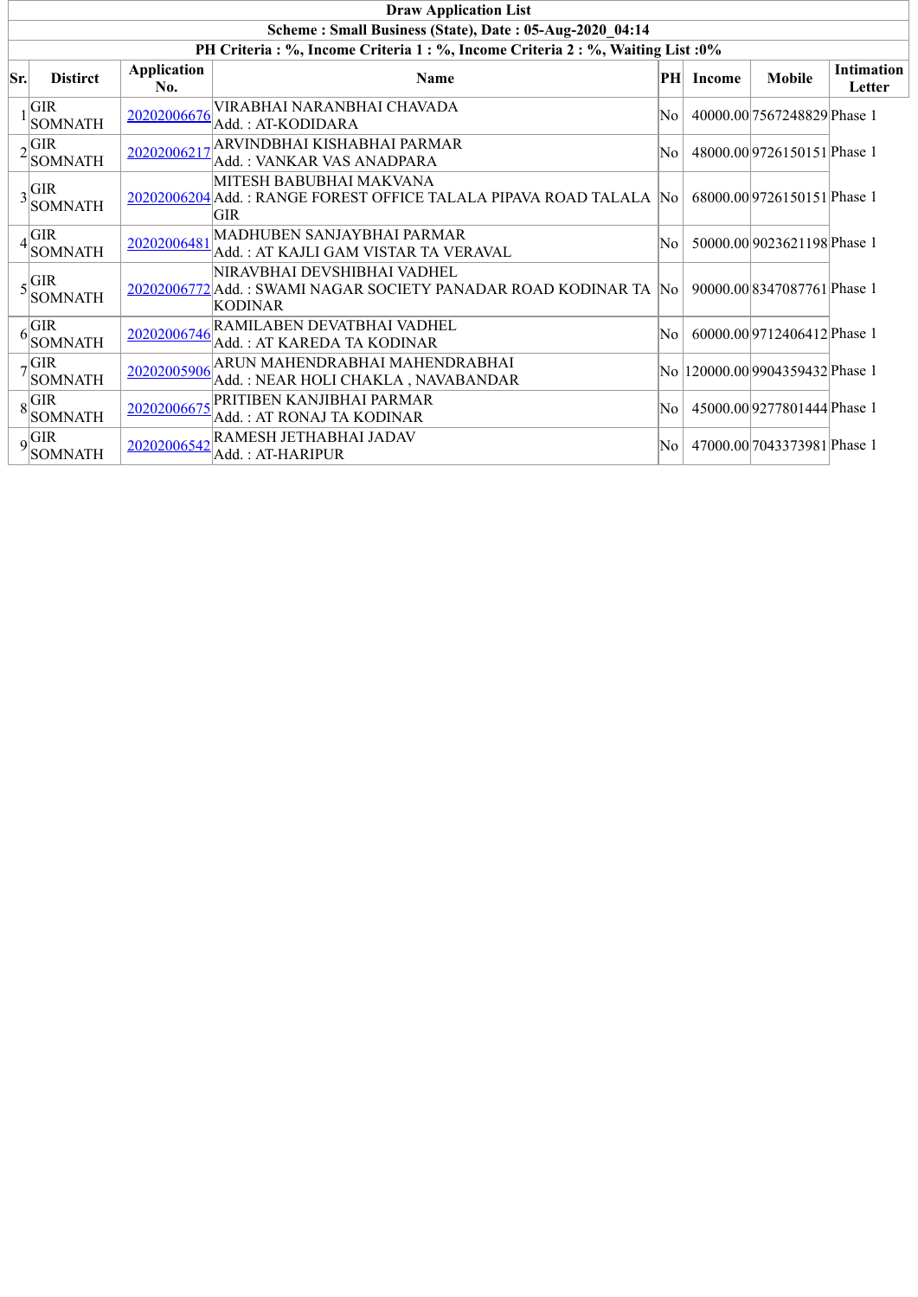|     | <b>Draw Application List</b>                            |                           |                                                                                                                   |    |               |                                  |                             |  |  |  |  |
|-----|---------------------------------------------------------|---------------------------|-------------------------------------------------------------------------------------------------------------------|----|---------------|----------------------------------|-----------------------------|--|--|--|--|
|     | Scheme: Small Business (State), Date: 05-Aug-2020 04:14 |                           |                                                                                                                   |    |               |                                  |                             |  |  |  |  |
|     |                                                         |                           | PH Criteria : %, Income Criteria 1 : %, Income Criteria 2 : %, Waiting List : 0%                                  |    |               |                                  |                             |  |  |  |  |
| Sr. | <b>Distirct</b>                                         | <b>Application</b><br>No. | Name                                                                                                              | PH | <b>Income</b> | <b>Mobile</b>                    | <b>Intimation</b><br>Letter |  |  |  |  |
|     | <b>GIR</b><br><b>SOMNATH</b>                            | 20202006676               | VIRABHAI NARANBHAI CHAVADA<br>Add.: AT-KODIDARA                                                                   | No |               | 40000.00 7567248829 Phase 1      |                             |  |  |  |  |
|     | $2 \overline{\text{GIR}} $<br><b>SOMNATH</b>            |                           | 20202006217 ARVINDBHAI KISHABHAI PARMAR<br>Add.: VANKAR VAS ANADPARA                                              | No |               | 48000.009726150151Phase 1        |                             |  |  |  |  |
|     | $3\frac{\text{GIR}}{\text{S}}$<br><b>SOMNATH</b>        |                           | MITESH BABUBHAI MAKVANA<br>20202006204 Add.: RANGE FOREST OFFICE TALALA PIPAVA ROAD TALALA No<br><b>GIR</b>       |    |               | 68000.00 9726150151 Phase 1      |                             |  |  |  |  |
|     | <b>GIR</b><br><b>SOMNATH</b>                            | 20202006481               | MADHUBEN SANJAYBHAI PARMAR<br>Add.: AT KAJLI GAM VISTAR TA VERAVAL                                                | No |               | 50000.00 9023621198 Phase 1      |                             |  |  |  |  |
|     | $\epsilon$ GIR<br><b>SOMNATH</b>                        |                           | NIRAVBHAI DEVSHIBHAI VADHEL<br>20202006772 Add.: SWAMI NAGAR SOCIETY PANADAR ROAD KODINAR TA No<br><b>KODINAR</b> |    |               | 90000.00 8347087761 Phase 1      |                             |  |  |  |  |
|     | GIR<br><b>SOMNATH</b>                                   | 20202006746               | RAMILABEN DEVATBHAI VADHEL<br>Add.: AT KAREDA TA KODINAR                                                          | No |               | 60000.009712406412Phase 1        |                             |  |  |  |  |
|     | $\sigma$ <sup>GIR</sup><br><b>SOMNATH</b>               | 20202005906               | ARUN MAHENDRABHAI MAHENDRABHAI<br>Add.: NEAR HOLI CHAKLA, NAVABANDAR                                              |    |               | No  120000.00 9904359432 Phase 1 |                             |  |  |  |  |
|     | $\circ$ GIR<br><b>SOMNATH</b>                           |                           | 20202006675 PRITIBEN KANJIBHAI PARMAR<br>Add. : AT RONAJ TA KODINAR                                               | No |               | 45000.00 9277801444 Phase 1      |                             |  |  |  |  |
|     | $9$ <sup>GIR</sup><br><b>SOMNATH</b>                    | 20202006542               | RAMESH JETHABHAI JADAV<br>Add. : AT-HARIPUR                                                                       | No |               | 47000.00 7043373981 Phase 1      |                             |  |  |  |  |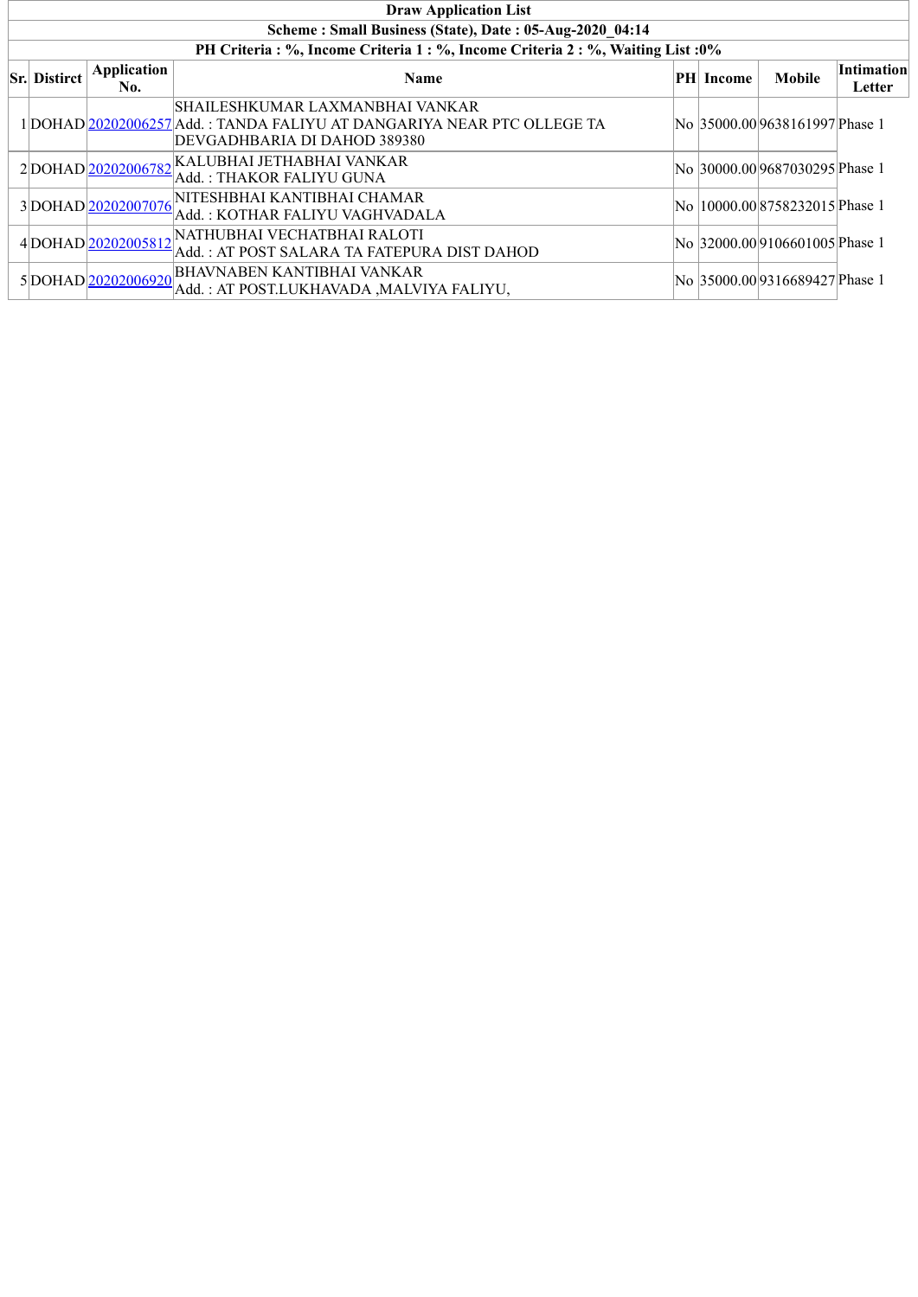| <b>Draw Application List</b>                                                                                          |                    |                                                                                                                                            |  |  |                                 |  |  |  |  |  |  |
|-----------------------------------------------------------------------------------------------------------------------|--------------------|--------------------------------------------------------------------------------------------------------------------------------------------|--|--|---------------------------------|--|--|--|--|--|--|
| Scheme: Small Business (State), Date: 05-Aug-2020 04:14                                                               |                    |                                                                                                                                            |  |  |                                 |  |  |  |  |  |  |
|                                                                                                                       |                    | PH Criteria : %, Income Criteria 1 : %, Income Criteria 2 : %, Waiting List : 0%                                                           |  |  |                                 |  |  |  |  |  |  |
| Application<br><b>Intimation</b><br><b>Sr.</b> Distirct<br>Mobile<br><b>Name</b><br><b>PH</b> Income<br>No.<br>Letter |                    |                                                                                                                                            |  |  |                                 |  |  |  |  |  |  |
|                                                                                                                       |                    | SHAILESHKUMAR LAXMANBHAI VANKAR <br>1 DOHAD 20202006257 Add.: TANDA FALIYU AT DANGARIYA NEAR PTC OLLEGE TA<br>DEVGADHBARIA DI DAHOD 389380 |  |  | No 35000.00 9638161997 Phase 1  |  |  |  |  |  |  |
|                                                                                                                       |                    | $2\big \text{DOHAD}\big \underline{20202006782}\big \text{KALUBHAI JETHABHAI VANKAR}\big $<br> Add. : THAKOR FALIYU GUNA                   |  |  | No 30000.00 9687030295 Phase 1  |  |  |  |  |  |  |
|                                                                                                                       | 3DOHAD 20202007076 | NITESHBHAI KANTIBHAI CHAMAR<br> Add. : KOTHAR FALIYU VAGHVADALA                                                                            |  |  | No  10000.00 8758232015 Phase 1 |  |  |  |  |  |  |
|                                                                                                                       |                    | 4DOHAD 20202005812 NATHUBHAI VECHATBHAI RALOTI<br>Add.: AT POST SALARA TA FATEPURA DIST DAHOD                                              |  |  | No 32000.00 9106601005 Phase 1  |  |  |  |  |  |  |
|                                                                                                                       | 5DOHAD 20202006920 | <b>BHAVNABEN KANTIBHAI VANKAR</b><br>Add. : AT POST.LUKHAVADA ,MALVIYA FALIYU,                                                             |  |  | No 35000.00 9316689427 Phase 1  |  |  |  |  |  |  |